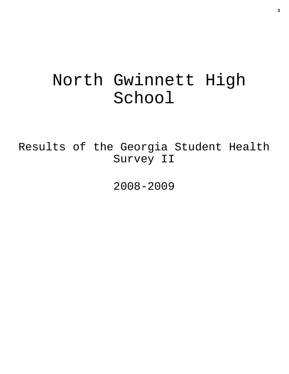# North Gwinnett High School

Results of the Georgia Student Health Survey II

2008-2009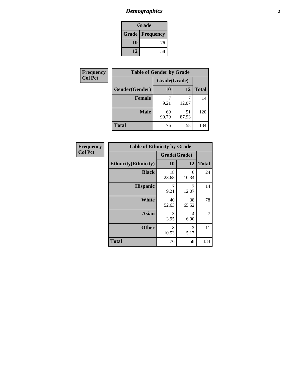## *Demographics* **2**

| Grade                    |    |  |  |  |
|--------------------------|----|--|--|--|
| <b>Grade   Frequency</b> |    |  |  |  |
| 10                       | 76 |  |  |  |
| 12                       | 58 |  |  |  |

| Frequency      | <b>Table of Gender by Grade</b> |              |             |              |  |
|----------------|---------------------------------|--------------|-------------|--------------|--|
| <b>Col Pct</b> |                                 | Grade(Grade) |             |              |  |
|                | Gender(Gender)                  | 10           | 12          | <b>Total</b> |  |
|                | <b>Female</b>                   | 9.21         | 12.07       | 14           |  |
|                | <b>Male</b>                     | 69<br>90.79  | 51<br>87.93 | 120          |  |
|                | <b>Total</b>                    | 76           | 58          | 134          |  |

| <b>Frequency</b><br>Col Pct |
|-----------------------------|

| <b>Table of Ethnicity by Grade</b> |              |             |              |  |  |  |
|------------------------------------|--------------|-------------|--------------|--|--|--|
|                                    | Grade(Grade) |             |              |  |  |  |
| <b>Ethnicity</b> (Ethnicity)       | 10           | 12          | <b>Total</b> |  |  |  |
| <b>Black</b>                       | 18<br>23.68  | 6<br>10.34  | 24           |  |  |  |
| <b>Hispanic</b>                    | 7<br>9.21    | 7<br>12.07  | 14           |  |  |  |
| <b>White</b>                       | 40<br>52.63  | 38<br>65.52 | 78           |  |  |  |
| <b>Asian</b>                       | 3<br>3.95    | 4<br>6.90   | 7            |  |  |  |
| <b>Other</b>                       | 8<br>10.53   | 3<br>5.17   | 11           |  |  |  |
| <b>Total</b>                       | 76           | 58          | 134          |  |  |  |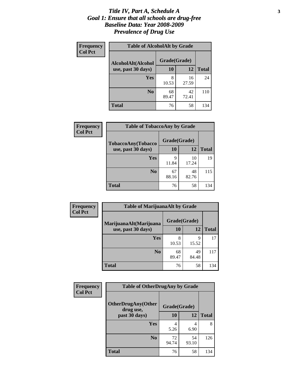#### *Title IV, Part A, Schedule A* **3** *Goal 1: Ensure that all schools are drug-free Baseline Data: Year 2008-2009 Prevalence of Drug Use*

| Frequency<br><b>Col Pct</b> | <b>Table of AlcoholAlt by Grade</b> |              |             |              |  |  |
|-----------------------------|-------------------------------------|--------------|-------------|--------------|--|--|
|                             | AlcoholAlt(Alcohol                  | Grade(Grade) |             |              |  |  |
|                             | use, past 30 days)                  | 10           | 12          | <b>Total</b> |  |  |
|                             | <b>Yes</b>                          | 8<br>10.53   | 16<br>27.59 | 24           |  |  |
|                             | N <sub>0</sub>                      | 68<br>89.47  | 42<br>72.41 | 110          |  |  |
|                             | <b>Total</b>                        | 76           | 58          | 134          |  |  |

| <b>Frequency</b><br><b>Col Pct</b> | <b>Table of TobaccoAny by Grade</b> |              |             |              |  |
|------------------------------------|-------------------------------------|--------------|-------------|--------------|--|
|                                    | <b>TobaccoAny(Tobacco</b>           | Grade(Grade) |             |              |  |
|                                    | use, past 30 days)                  | 10           | 12          | <b>Total</b> |  |
|                                    | Yes                                 | Q<br>11.84   | 10<br>17.24 | 19           |  |
|                                    | N <sub>0</sub>                      | 67<br>88.16  | 48<br>82.76 | 115          |  |
|                                    | <b>Total</b>                        | 76           | 58          | 134          |  |

| Frequency                                                      | <b>Table of MarijuanaAlt by Grade</b> |              |              |     |  |
|----------------------------------------------------------------|---------------------------------------|--------------|--------------|-----|--|
| <b>Col Pct</b><br>MarijuanaAlt(Marijuana<br>use, past 30 days) |                                       | Grade(Grade) |              |     |  |
|                                                                | 10                                    | 12           | <b>Total</b> |     |  |
|                                                                | Yes                                   | 8<br>10.53   | 9<br>15.52   | 17  |  |
|                                                                | N <sub>0</sub>                        | 68<br>89.47  | 49<br>84.48  | 117 |  |
|                                                                | <b>Total</b>                          | 76           | 58           | 134 |  |

| Frequency<br><b>Col Pct</b> | <b>Table of OtherDrugAny by Grade</b>  |              |             |              |  |
|-----------------------------|----------------------------------------|--------------|-------------|--------------|--|
|                             | <b>OtherDrugAny(Other</b><br>drug use, | Grade(Grade) |             |              |  |
|                             | past 30 days)                          | 10           | 12          | <b>Total</b> |  |
|                             | Yes                                    | 5.26         | 4<br>6.90   | 8            |  |
|                             | N <sub>0</sub>                         | 72<br>94.74  | 54<br>93.10 | 126          |  |
|                             | <b>Total</b>                           | 76           | 58          | 134          |  |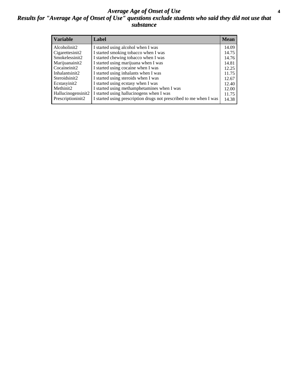#### *Average Age of Onset of Use* **4** *Results for "Average Age of Onset of Use" questions exclude students who said they did not use that substance*

| <b>Variable</b>    | Label                                                              | <b>Mean</b> |
|--------------------|--------------------------------------------------------------------|-------------|
| Alcoholinit2       | I started using alcohol when I was                                 | 14.09       |
| Cigarettesinit2    | I started smoking tobacco when I was                               | 14.75       |
| Smokelessinit2     | I started chewing tobacco when I was                               | 14.76       |
| Marijuanainit2     | I started using marijuana when I was                               | 14.81       |
| Cocaineinit2       | I started using cocaine when I was                                 | 12.25       |
| Inhalantsinit2     | I started using inhalants when I was                               | 11.75       |
| Steroidsinit2      | I started using steroids when I was                                | 12.67       |
| Ecstasyinit2       | I started using ecstasy when I was                                 | 12.40       |
| Methinit2          | I started using methamphetamines when I was                        | 12.00       |
| Hallucinogensinit2 | I started using hallucinogens when I was                           | 11.75       |
| Prescriptioninit2  | I started using prescription drugs not prescribed to me when I was | 14.38       |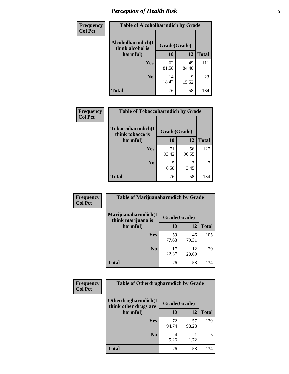## *Perception of Health Risk* **5**

| Frequency      | <b>Table of Alcoholharmdich by Grade</b> |              |             |              |  |
|----------------|------------------------------------------|--------------|-------------|--------------|--|
| <b>Col Pct</b> | Alcoholharmdich(I<br>think alcohol is    | Grade(Grade) |             |              |  |
|                | harmful)                                 | 10           | 12          | <b>Total</b> |  |
|                | Yes                                      | 62<br>81.58  | 49<br>84.48 | 111          |  |
|                | N <sub>0</sub>                           | 14<br>18.42  | q<br>15.52  | 23           |  |
|                | <b>Total</b>                             | 76           | 58          | 134          |  |

| <b>Frequency</b> | <b>Table of Tobaccoharmdich by Grade</b> |              |             |              |  |
|------------------|------------------------------------------|--------------|-------------|--------------|--|
| <b>Col Pct</b>   | Tobaccoharmdich(I<br>think tobacco is    | Grade(Grade) |             |              |  |
|                  | harmful)                                 | 10           | 12          | <b>Total</b> |  |
|                  | Yes                                      | 71<br>93.42  | 56<br>96.55 | 127          |  |
|                  | N <sub>0</sub>                           | 5<br>6.58    | 2<br>3.45   |              |  |
|                  | Total                                    | 76           | 58          | 134          |  |

| Frequency      | <b>Table of Marijuanaharmdich by Grade</b> |              |             |              |  |
|----------------|--------------------------------------------|--------------|-------------|--------------|--|
| <b>Col Pct</b> | Marijuanaharmdich(I<br>think marijuana is  | Grade(Grade) |             |              |  |
|                | harmful)                                   | 10           | 12          | <b>Total</b> |  |
|                | Yes                                        | 59<br>77.63  | 46<br>79.31 | 105          |  |
|                | N <sub>0</sub>                             | 17<br>22.37  | 12<br>20.69 | 29           |  |
|                | <b>Total</b>                               | 76           | 58          | 134          |  |

| Frequency      | <b>Table of Otherdrugharmdich by Grade</b>   |              |             |              |  |  |  |
|----------------|----------------------------------------------|--------------|-------------|--------------|--|--|--|
| <b>Col Pct</b> | Otherdrugharmdich(I<br>think other drugs are | Grade(Grade) |             |              |  |  |  |
|                | harmful)                                     | 10           | 12          | <b>Total</b> |  |  |  |
|                | Yes                                          | 72<br>94.74  | 57<br>98.28 | 129          |  |  |  |
|                | N <sub>0</sub>                               | 4<br>5.26    | 1.72        | 5            |  |  |  |
|                | <b>Total</b>                                 | 76           | 58          | 134          |  |  |  |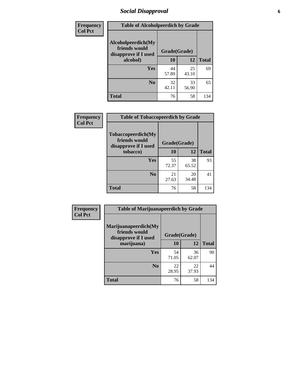## *Social Disapproval* **6**

| Frequency      | <b>Table of Alcoholpeerdich by Grade</b>                    |              |             |              |
|----------------|-------------------------------------------------------------|--------------|-------------|--------------|
| <b>Col Pct</b> | Alcoholpeerdich(My<br>friends would<br>disapprove if I used | Grade(Grade) |             |              |
|                | alcohol)                                                    | 10           | 12          | <b>Total</b> |
|                | <b>Yes</b>                                                  | 44<br>57.89  | 25<br>43.10 | 69           |
|                | N <sub>0</sub>                                              | 32<br>42.11  | 33<br>56.90 | 65           |
|                | <b>Total</b>                                                | 76           | 58          | 134          |

| <b>Frequency</b> |
|------------------|
| <b>Col Pct</b>   |

| <b>Table of Tobaccopeerdich by Grade</b>                    |              |             |              |  |  |  |  |
|-------------------------------------------------------------|--------------|-------------|--------------|--|--|--|--|
| Tobaccopeerdich(My<br>friends would<br>disapprove if I used | Grade(Grade) |             |              |  |  |  |  |
| tobacco)                                                    | 10           | 12          | <b>Total</b> |  |  |  |  |
| Yes                                                         | 55<br>72.37  | 38<br>65.52 | 93           |  |  |  |  |
| N <sub>0</sub>                                              | 21<br>27.63  | 20<br>34.48 | 41           |  |  |  |  |
| <b>Total</b>                                                | 76           | 58          | 134          |  |  |  |  |

| Frequency      | <b>Table of Marijuanapeerdich by Grade</b>                    |              |             |              |  |  |  |
|----------------|---------------------------------------------------------------|--------------|-------------|--------------|--|--|--|
| <b>Col Pct</b> | Marijuanapeerdich(My<br>friends would<br>disapprove if I used | Grade(Grade) |             |              |  |  |  |
|                | marijuana)                                                    | 10           | 12          | <b>Total</b> |  |  |  |
|                | <b>Yes</b>                                                    | 54<br>71.05  | 36<br>62.07 | 90           |  |  |  |
|                | N <sub>0</sub>                                                | 22<br>28.95  | 22<br>37.93 | 44           |  |  |  |
|                | <b>Total</b>                                                  | 76           | 58          | 134          |  |  |  |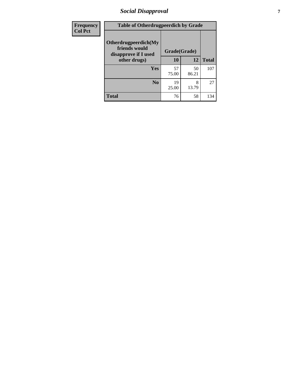## *Social Disapproval* **7**

| Frequency      | <b>Table of Otherdrugpeerdich by Grade</b>                    |              |             |              |  |  |  |
|----------------|---------------------------------------------------------------|--------------|-------------|--------------|--|--|--|
| <b>Col Pct</b> | Otherdrugpeerdich(My<br>friends would<br>disapprove if I used | Grade(Grade) |             |              |  |  |  |
|                | other drugs)                                                  | 10           | 12          | <b>Total</b> |  |  |  |
|                | <b>Yes</b>                                                    | 57<br>75.00  | 50<br>86.21 | 107          |  |  |  |
|                | N <sub>0</sub>                                                | 19<br>25.00  | 8<br>13.79  | 27           |  |  |  |
|                | <b>Total</b>                                                  | 76           | 58          | 134          |  |  |  |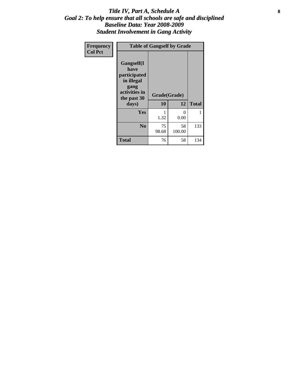#### Title IV, Part A, Schedule A **8** *Goal 2: To help ensure that all schools are safe and disciplined Baseline Data: Year 2008-2009 Student Involvement in Gang Activity*

| Frequency      | <b>Table of Gangself by Grade</b>                                                                 |                    |                  |              |
|----------------|---------------------------------------------------------------------------------------------------|--------------------|------------------|--------------|
| <b>Col Pct</b> | Gangself(I<br>have<br>participated<br>in illegal<br>gang<br>activities in<br>the past 30<br>days) | Grade(Grade)<br>10 | 12               | <b>Total</b> |
|                | Yes                                                                                               | 1<br>1.32          | $\theta$<br>0.00 | 1            |
|                | N <sub>0</sub>                                                                                    | 75<br>98.68        | 58<br>100.00     | 133          |
|                | Total                                                                                             | 76                 | 58               | 134          |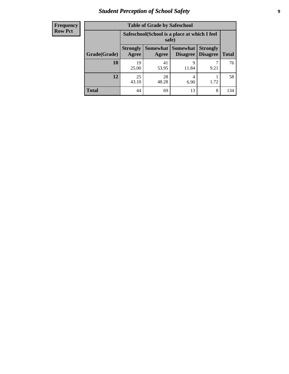## *Student Perception of School Safety* **9**

| <b>Frequency</b><br>Row Pct |
|-----------------------------|
|                             |

| <b>Table of Grade by Safeschool</b> |                          |                                                        |                                        |                                    |              |  |
|-------------------------------------|--------------------------|--------------------------------------------------------|----------------------------------------|------------------------------------|--------------|--|
|                                     |                          | Safeschool (School is a place at which I feel<br>safe) |                                        |                                    |              |  |
| Grade(Grade)                        | <b>Strongly</b><br>Agree | Agree                                                  | <b>Somewhat   Somewhat</b><br>Disagree | <b>Strongly</b><br><b>Disagree</b> | <b>Total</b> |  |
| 10                                  | 19<br>25.00              | 41<br>53.95                                            | 9<br>11.84                             | 9.21                               | 76           |  |
| 12                                  | 25<br>43.10              | 28<br>48.28                                            | 4<br>6.90                              | 1.72                               | 58           |  |
| <b>Total</b>                        | 44                       | 69                                                     | 13                                     | 8                                  | 134          |  |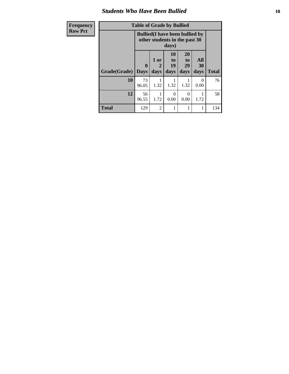#### *Students Who Have Been Bullied* **10**

| Frequency      |  |
|----------------|--|
| <b>Row Pct</b> |  |

## **Table of Grade by Bullied**

┑

| $\mathbf{v}$ | Lavic VI Grauc Dy Dunicu |                         |                                                                                  |                               |                        |                   |              |
|--------------|--------------------------|-------------------------|----------------------------------------------------------------------------------|-------------------------------|------------------------|-------------------|--------------|
|              |                          |                         | <b>Bullied</b> (I have been bullied by<br>other students in the past 30<br>days) |                               |                        |                   |              |
|              | Grade(Grade)             | $\bf{0}$<br><b>Days</b> | 1 or<br>2<br>days                                                                | <b>10</b><br>to<br>19<br>days | 20<br>to<br>29<br>days | All<br>30<br>days | <b>Total</b> |
|              | 10                       | 73<br>96.05             | 1.32                                                                             | 1.32                          | 1.32                   | $\theta$<br>0.00  | 76           |
|              | 12                       | 56<br>96.55             | 1.72                                                                             | 0<br>0.00                     | 0.00                   | 1.72              | 58           |
|              | <b>Total</b>             | 129                     | 2                                                                                | 1                             |                        | 1                 | 134          |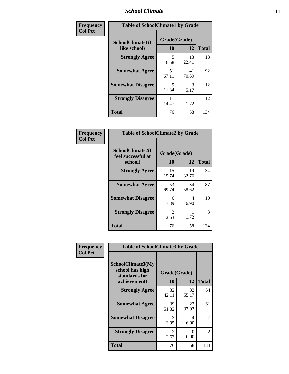### *School Climate* **11**

| Frequency      | <b>Table of SchoolClimate1 by Grade</b> |                    |             |              |  |  |
|----------------|-----------------------------------------|--------------------|-------------|--------------|--|--|
| <b>Col Pct</b> | SchoolClimate1(I<br>like school)        | Grade(Grade)<br>10 | 12          | <b>Total</b> |  |  |
|                | <b>Strongly Agree</b>                   | 5<br>6.58          | 13<br>22.41 | 18           |  |  |
|                | <b>Somewhat Agree</b>                   | 51<br>67.11        | 41<br>70.69 | 92           |  |  |
|                | <b>Somewhat Disagree</b>                | 9<br>11.84         | 3<br>5.17   | 12           |  |  |
|                | <b>Strongly Disagree</b>                | 11<br>14.47        | 1.72        | 12           |  |  |
|                | <b>Total</b>                            | 76                 | 58          | 134          |  |  |

| Frequency<br>Col Pct |
|----------------------|

| <b>Table of SchoolClimate2 by Grade</b>           |                        |             |              |  |  |
|---------------------------------------------------|------------------------|-------------|--------------|--|--|
| SchoolClimate2(I<br>feel successful at<br>school) | Grade(Grade)<br>10     | 12          | <b>Total</b> |  |  |
| <b>Strongly Agree</b>                             | 15<br>19.74            | 19<br>32.76 | 34           |  |  |
| <b>Somewhat Agree</b>                             | 53<br>69.74            | 34<br>58.62 | 87           |  |  |
| <b>Somewhat Disagree</b>                          | 6<br>7.89              | 4<br>6.90   | 10           |  |  |
| <b>Strongly Disagree</b>                          | $\mathfrak{D}$<br>2.63 | 1.72        | 3            |  |  |
| <b>Total</b>                                      | 76                     | 58          | 134          |  |  |

| Frequency      | <b>Table of SchoolClimate3 by Grade</b>                      |                           |             |              |
|----------------|--------------------------------------------------------------|---------------------------|-------------|--------------|
| <b>Col Pct</b> | <b>SchoolClimate3(My</b><br>school has high<br>standards for | Grade(Grade)<br><b>10</b> | 12          | <b>Total</b> |
|                | achievement)                                                 |                           |             |              |
|                | <b>Strongly Agree</b>                                        | 32<br>42.11               | 32<br>55.17 | 64           |
|                | <b>Somewhat Agree</b>                                        | 39<br>51.32               | 22<br>37.93 | 61           |
|                | <b>Somewhat Disagree</b>                                     | 3<br>3.95                 | 4<br>6.90   |              |
|                | <b>Strongly Disagree</b>                                     | $\mathfrak{D}$<br>2.63    | 0<br>0.00   | 2            |
|                | Total                                                        | 76                        | 58          | 134          |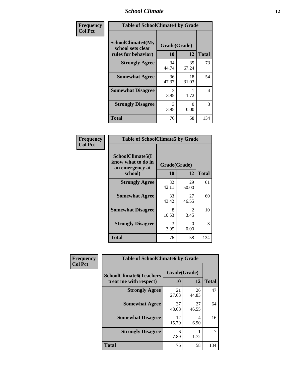### *School Climate* **12**

| Frequency      | <b>Table of SchoolClimate4 by Grade</b>                              |                    |                           |              |
|----------------|----------------------------------------------------------------------|--------------------|---------------------------|--------------|
| <b>Col Pct</b> | <b>SchoolClimate4(My</b><br>school sets clear<br>rules for behavior) | Grade(Grade)<br>10 | 12                        | <b>Total</b> |
|                | <b>Strongly Agree</b>                                                | 34<br>44.74        | 39<br>67.24               | 73           |
|                | <b>Somewhat Agree</b>                                                | 36<br>47.37        | 18<br>31.03               | 54           |
|                | <b>Somewhat Disagree</b>                                             | 3<br>3.95          | 1.72                      | 4            |
|                | <b>Strongly Disagree</b>                                             | 3<br>3.95          | $\mathbf{\Omega}$<br>0.00 | 3            |
|                | <b>Total</b>                                                         | 76                 | 58                        | 134          |

| <b>Table of SchoolClimate5 by Grade</b>                              |                    |                        |              |  |  |
|----------------------------------------------------------------------|--------------------|------------------------|--------------|--|--|
| SchoolClimate5(I<br>know what to do in<br>an emergency at<br>school) | Grade(Grade)<br>10 | 12                     | <b>Total</b> |  |  |
| <b>Strongly Agree</b>                                                | 32                 | 29                     | 61           |  |  |
|                                                                      | 42.11              | 50.00                  |              |  |  |
| <b>Somewhat Agree</b>                                                | 33<br>43.42        | 27<br>46.55            | 60           |  |  |
| <b>Somewhat Disagree</b>                                             | 8<br>10.53         | $\mathfrak{D}$<br>3.45 | 10           |  |  |
| <b>Strongly Disagree</b>                                             | 3<br>3.95          | 0<br>0.00              | 3            |  |  |
| <b>Total</b>                                                         | 76                 | 58                     | 134          |  |  |

| Frequency      | <b>Table of SchoolClimate6 by Grade</b>                  |                           |             |              |  |  |
|----------------|----------------------------------------------------------|---------------------------|-------------|--------------|--|--|
| <b>Col Pct</b> | <b>SchoolClimate6(Teachers</b><br>treat me with respect) | Grade(Grade)<br><b>10</b> | 12          | <b>Total</b> |  |  |
|                | <b>Strongly Agree</b>                                    | 21<br>27.63               | 26<br>44.83 | 47           |  |  |
|                | <b>Somewhat Agree</b>                                    | 37<br>48.68               | 27<br>46.55 | 64           |  |  |
|                | <b>Somewhat Disagree</b>                                 | 12<br>15.79               | 4<br>6.90   | 16           |  |  |
|                | <b>Strongly Disagree</b>                                 | 6<br>7.89                 | 1.72        |              |  |  |
|                | <b>Total</b>                                             | 76                        | 58          | 134          |  |  |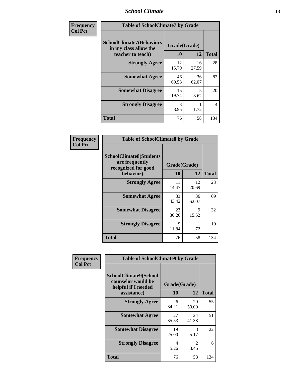### *School Climate* **13**

| Frequency      | <b>Table of SchoolClimate7 by Grade</b>                                       |                           |             |              |  |
|----------------|-------------------------------------------------------------------------------|---------------------------|-------------|--------------|--|
| <b>Col Pct</b> | <b>SchoolClimate7(Behaviors</b><br>in my class allow the<br>teacher to teach) | Grade(Grade)<br><b>10</b> | <b>12</b>   | <b>Total</b> |  |
|                | <b>Strongly Agree</b>                                                         | 12<br>15.79               | 16<br>27.59 | 28           |  |
|                | <b>Somewhat Agree</b>                                                         | 46<br>60.53               | 36<br>62.07 | 82           |  |
|                | <b>Somewhat Disagree</b>                                                      | 15<br>19.74               | 5<br>8.62   | 20           |  |
|                | <b>Strongly Disagree</b>                                                      | 3<br>3.95                 | 1.72        | 4            |  |
|                | <b>Total</b>                                                                  | 76                        | 58          | 134          |  |

| Frequency      | <b>Table of SchoolClimate8 by Grade</b>                                 |              |             |              |  |
|----------------|-------------------------------------------------------------------------|--------------|-------------|--------------|--|
| <b>Col Pct</b> | <b>SchoolClimate8(Students</b><br>are frequently<br>recognized for good | Grade(Grade) |             |              |  |
|                | behavior)                                                               | 10           | 12          | <b>Total</b> |  |
|                | <b>Strongly Agree</b>                                                   | 11<br>14.47  | 12<br>20.69 | 23           |  |
|                | <b>Somewhat Agree</b>                                                   | 33<br>43.42  | 36<br>62.07 | 69           |  |
|                | <b>Somewhat Disagree</b>                                                | 23<br>30.26  | 9<br>15.52  | 32           |  |
|                | <b>Strongly Disagree</b>                                                | 9<br>11.84   | 1.72        | 10           |  |
|                | <b>Total</b>                                                            | 76           | 58          | 134          |  |

| Frequency<br><b>Col Pct</b> | <b>Table of SchoolClimate9 by Grade</b>                                           |                    |                        |              |  |
|-----------------------------|-----------------------------------------------------------------------------------|--------------------|------------------------|--------------|--|
|                             | SchoolClimate9(School<br>counselor would be<br>helpful if I needed<br>assistance) | Grade(Grade)<br>10 | 12                     | <b>Total</b> |  |
|                             | <b>Strongly Agree</b>                                                             | 26<br>34.21        | 29<br>50.00            | 55           |  |
|                             | <b>Somewhat Agree</b>                                                             | 27<br>35.53        | 24<br>41.38            | 51           |  |
|                             | <b>Somewhat Disagree</b>                                                          | 19<br>25.00        | 3<br>5.17              | 22           |  |
|                             | <b>Strongly Disagree</b>                                                          | 4<br>5.26          | $\mathfrak{D}$<br>3.45 | 6            |  |
|                             | Total                                                                             | 76                 | 58                     | 134          |  |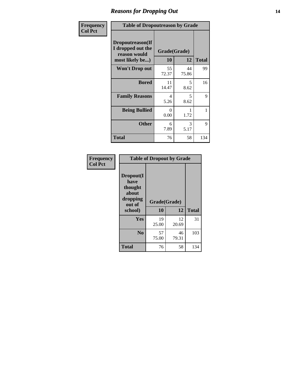## *Reasons for Dropping Out* **14**

| Frequency      | <b>Table of Dropoutreason by Grade</b>                                   |             |                    |              |
|----------------|--------------------------------------------------------------------------|-------------|--------------------|--------------|
| <b>Col Pct</b> | Dropoutreason(If<br>I dropped out the<br>reason would<br>most likely be) | 10          | Grade(Grade)<br>12 | <b>Total</b> |
|                | Won't Drop out                                                           | 55<br>72.37 | 44<br>75.86        | 99           |
|                | <b>Bored</b>                                                             | 11<br>14.47 | 5<br>8.62          | 16           |
|                | <b>Family Reasons</b>                                                    | 4<br>5.26   | 5<br>8.62          | 9            |
|                | <b>Being Bullied</b>                                                     | 0<br>0.00   | 1.72               | 1            |
|                | <b>Other</b>                                                             | 6<br>7.89   | 3<br>5.17          | 9            |
|                | <b>Total</b>                                                             | 76          | 58                 | 134          |

| Frequency<br><b>Col Pct</b> |                                                                        | <b>Table of Dropout by Grade</b> |             |              |
|-----------------------------|------------------------------------------------------------------------|----------------------------------|-------------|--------------|
|                             | Dropout(I<br>have<br>thought<br>about<br>dropping<br>out of<br>school) | Grade(Grade)<br>10               | 12          | <b>Total</b> |
|                             | Yes                                                                    | 19<br>25.00                      | 12<br>20.69 | 31           |
|                             | N <sub>0</sub>                                                         | 57<br>75.00                      | 46<br>79.31 | 103          |
|                             | <b>Total</b>                                                           | 76                               | 58          | 134          |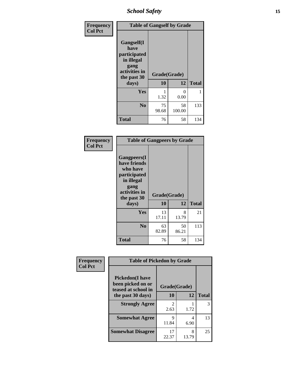*School Safety* **15**

| Frequency      | <b>Table of Gangself by Grade</b>                                                                 |                    |              |              |  |
|----------------|---------------------------------------------------------------------------------------------------|--------------------|--------------|--------------|--|
| <b>Col Pct</b> | Gangself(I<br>have<br>participated<br>in illegal<br>gang<br>activities in<br>the past 30<br>days) | Grade(Grade)<br>10 | 12           | <b>Total</b> |  |
|                | Yes                                                                                               | 1.32               | 0<br>0.00    | 1            |  |
|                | N <sub>0</sub>                                                                                    | 75<br>98.68        | 58<br>100.00 | 133          |  |
|                | <b>Total</b>                                                                                      | 76                 | 58           | 134          |  |

| Frequency<br><b>Col Pct</b> | <b>Table of Gangpeers by Grade</b>                                                                                             |                    |             |              |  |  |  |  |
|-----------------------------|--------------------------------------------------------------------------------------------------------------------------------|--------------------|-------------|--------------|--|--|--|--|
|                             | <b>Gangpeers</b> (I<br>have friends<br>who have<br>participated<br>in illegal<br>gang<br>activities in<br>the past 30<br>days) | Grade(Grade)<br>10 | 12          | <b>Total</b> |  |  |  |  |
|                             | Yes                                                                                                                            | 13<br>17.11        | 8<br>13.79  | 21           |  |  |  |  |
|                             | N <sub>0</sub>                                                                                                                 | 63<br>82.89        | 50<br>86.21 | 113          |  |  |  |  |
|                             | <b>Total</b>                                                                                                                   | 76                 | 58          | 134          |  |  |  |  |

| Frequency      | <b>Table of Pickedon by Grade</b>                                  |                        |            |              |
|----------------|--------------------------------------------------------------------|------------------------|------------|--------------|
| <b>Col Pct</b> | <b>Pickedon(I have</b><br>been picked on or<br>teased at school in | Grade(Grade)           |            |              |
|                | the past 30 days)                                                  | 10                     | 12         | <b>Total</b> |
|                | <b>Strongly Agree</b>                                              | $\mathfrak{D}$<br>2.63 | 1.72       | 3            |
|                | <b>Somewhat Agree</b>                                              | Q<br>11.84             | 4<br>6.90  | 13           |
|                | <b>Somewhat Disagree</b>                                           | 17<br>22.37            | 8<br>13.79 | 25           |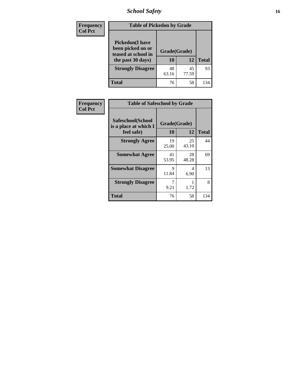*School Safety* **16**

| <b>Frequency</b> | <b>Table of Pickedon by Grade</b>                                                        |                    |             |              |  |  |  |
|------------------|------------------------------------------------------------------------------------------|--------------------|-------------|--------------|--|--|--|
| <b>Col Pct</b>   | <b>Pickedon</b> (I have<br>been picked on or<br>teased at school in<br>the past 30 days) | Grade(Grade)<br>10 | 12          | <b>Total</b> |  |  |  |
|                  | <b>Strongly Disagree</b>                                                                 | 48<br>63.16        | 45<br>77.59 | 93           |  |  |  |
|                  | Total                                                                                    | 76                 | 58          | 134          |  |  |  |

| <b>Frequency</b> | <b>Table of Safeschool by Grade</b>        |                      |             |              |  |  |  |  |
|------------------|--------------------------------------------|----------------------|-------------|--------------|--|--|--|--|
| <b>Col Pct</b>   | Safeschool(School<br>is a place at which I | Grade(Grade)         |             |              |  |  |  |  |
|                  | feel safe)                                 | 10                   | 12          | <b>Total</b> |  |  |  |  |
|                  | <b>Strongly Agree</b>                      | 19<br>25.00          | 25<br>43.10 | 44           |  |  |  |  |
|                  | <b>Somewhat Agree</b>                      | 41<br>53.95          | 28<br>48.28 | 69           |  |  |  |  |
|                  | <b>Somewhat Disagree</b>                   | $\mathbf Q$<br>11.84 | 4<br>6.90   | 13           |  |  |  |  |
|                  | <b>Strongly Disagree</b>                   | 9.21                 | 1.72        | 8            |  |  |  |  |
|                  | <b>Total</b>                               | 76                   | 58          | 134          |  |  |  |  |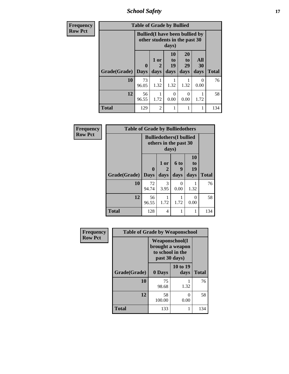*School Safety* **17**

| Frequency      | <b>Table of Grade by Bullied</b> |                  |                                                                         |                               |                        |                   |              |  |
|----------------|----------------------------------|------------------|-------------------------------------------------------------------------|-------------------------------|------------------------|-------------------|--------------|--|
| <b>Row Pct</b> |                                  |                  | <b>Bullied</b> (I have been bullied by<br>other students in the past 30 | days)                         |                        |                   |              |  |
|                | Grade(Grade)                     | 0<br><b>Days</b> | 1 or<br>2<br>days                                                       | <b>10</b><br>to<br>19<br>days | 20<br>to<br>29<br>days | All<br>30<br>days | <b>Total</b> |  |
|                | 10                               | 73<br>96.05      | 1.32                                                                    | 1.32                          | 1.32                   | $\Omega$<br>0.00  | 76           |  |
|                | 12                               | 56<br>96.55      | 1.72                                                                    | 0<br>0.00                     | 0<br>0.00              | 1.72              | 58           |  |
|                | <b>Total</b>                     | 129              | $\overline{2}$                                                          |                               | 1                      |                   | 134          |  |

| Frequency      | <b>Table of Grade by Bulliedothers</b> |                                 |                                                                   |                   |                               |              |  |  |  |  |
|----------------|----------------------------------------|---------------------------------|-------------------------------------------------------------------|-------------------|-------------------------------|--------------|--|--|--|--|
| <b>Row Pct</b> |                                        |                                 | <b>Bulliedothers</b> (I bullied<br>others in the past 30<br>days) |                   |                               |              |  |  |  |  |
|                | Grade(Grade)                           | $\boldsymbol{0}$<br><b>Days</b> | 1 or<br>days                                                      | 6 to<br>9<br>days | <b>10</b><br>to<br>19<br>days | <b>Total</b> |  |  |  |  |
|                | 10                                     | 72<br>94.74                     | 3<br>3.95                                                         | 0<br>0.00         | 1.32                          | 76           |  |  |  |  |
|                | 12                                     | 56<br>96.55                     | 1.72                                                              | 1.72              | 0<br>0.00                     | 58           |  |  |  |  |
|                | <b>Total</b>                           | 128                             | 4                                                                 |                   | 1                             | 134          |  |  |  |  |

| Frequency      | <b>Table of Grade by Weaponschool</b> |                                                                                 |                  |              |
|----------------|---------------------------------------|---------------------------------------------------------------------------------|------------------|--------------|
| <b>Row Pct</b> |                                       | <b>Weaponschool</b> (I<br>brought a weapon<br>to school in the<br>past 30 days) |                  |              |
|                | Grade(Grade)                          | 0 Days                                                                          | 10 to 19<br>days | <b>Total</b> |
|                | 10                                    | 75<br>98.68                                                                     | 1.32             | 76           |
|                | 12                                    | 58<br>100.00                                                                    | 0<br>0.00        | 58           |
|                | <b>Total</b>                          | 133                                                                             |                  | 134          |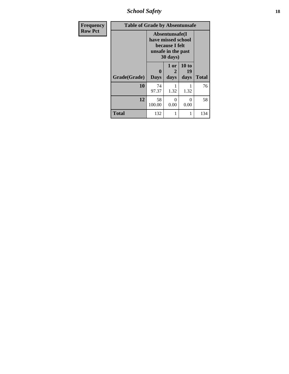*School Safety* **18**

| <b>Frequency</b> | <b>Table of Grade by Absentunsafe</b> |                                                                                                    |                   |                     |              |  |  |  |  |
|------------------|---------------------------------------|----------------------------------------------------------------------------------------------------|-------------------|---------------------|--------------|--|--|--|--|
| <b>Row Pct</b>   |                                       | Absentunsafe(I)<br>have missed school<br>because I felt<br>unsafe in the past<br>$30 \text{ days}$ |                   |                     |              |  |  |  |  |
|                  | Grade(Grade)                          | $\mathbf{0}$<br><b>Days</b>                                                                        | 1 or<br>2<br>days | 10 to<br>19<br>days | <b>Total</b> |  |  |  |  |
|                  | 10                                    | 74<br>97.37                                                                                        | 1.32              | 1.32                | 76           |  |  |  |  |
|                  | 12                                    | 58<br>100.00                                                                                       | 0<br>0.00         | $\Omega$<br>0.00    | 58           |  |  |  |  |
|                  | <b>Total</b>                          | 132                                                                                                |                   |                     | 134          |  |  |  |  |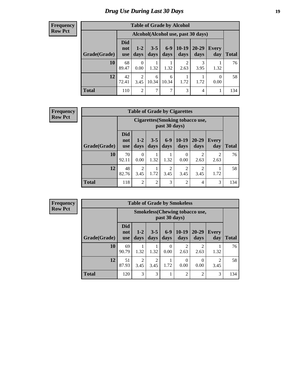## *Drug Use During Last 30 Days* **19**

#### **Frequency Row Pct**

| <b>Table of Grade by Alcohol</b> |                                                                                                                                                |                                     |            |            |           |           |           |              |  |  |
|----------------------------------|------------------------------------------------------------------------------------------------------------------------------------------------|-------------------------------------|------------|------------|-----------|-----------|-----------|--------------|--|--|
|                                  |                                                                                                                                                | Alcohol (Alcohol use, past 30 days) |            |            |           |           |           |              |  |  |
| Grade(Grade)                     | <b>Did</b><br>$6-9$<br>$10-19$<br>$20 - 29$<br>$3 - 5$<br>$1 - 2$<br>Every<br>not<br>days<br>days<br>days<br>day<br>days<br>days<br><b>use</b> |                                     |            |            |           |           |           | <b>Total</b> |  |  |
| 10                               | 68<br>89.47                                                                                                                                    | $\Omega$<br>0.00                    | 1.32       | 1.32       | 2<br>2.63 | 3<br>3.95 | 1.32      | 76           |  |  |
| 12                               | 42<br>72.41                                                                                                                                    | $\overline{2}$<br>3.45              | 6<br>10.34 | 6<br>10.34 | 1.72      | 1.72      | 0<br>0.00 | 58           |  |  |
| <b>Total</b>                     | 110                                                                                                                                            | $\overline{2}$                      | 7          | 7          | 3         | 4         |           | 134          |  |  |

| <b>Frequency</b> |  |
|------------------|--|
| <b>Row Pct</b>   |  |

| <b>Table of Grade by Cigarettes</b> |                                 |                                                                                                                |                |                        |                |                        |           |     |  |
|-------------------------------------|---------------------------------|----------------------------------------------------------------------------------------------------------------|----------------|------------------------|----------------|------------------------|-----------|-----|--|
|                                     |                                 | Cigarettes (Smoking tobacco use,<br>past 30 days)                                                              |                |                        |                |                        |           |     |  |
| Grade(Grade)                        | <b>Did</b><br>not<br><b>use</b> | $10-19$<br>$6-9$<br>20-29<br>$1 - 2$<br>$3 - 5$<br><b>Every</b><br>days<br>days<br>days<br>days<br>day<br>days |                |                        |                |                        |           |     |  |
| 10                                  | 70<br>92.11                     | 0<br>0.00                                                                                                      | 1.32           | 1.32                   | 0<br>0.00      | $\overline{2}$<br>2.63 | 2<br>2.63 | 76  |  |
| 12                                  | 48<br>82.76                     | $\overline{c}$<br>3.45                                                                                         | 1.72           | $\overline{2}$<br>3.45 | 2<br>3.45      | $\overline{2}$<br>3.45 | 1.72      | 58  |  |
| <b>Total</b>                        | 118                             | $\overline{2}$                                                                                                 | $\overline{2}$ | 3                      | $\overline{2}$ | 4                      | 3         | 134 |  |

**Frequency Row Pct**

| <b>Table of Grade by Smokeless</b> |                                                                                                                                                       |                                                         |      |                  |                |                |      |              |  |
|------------------------------------|-------------------------------------------------------------------------------------------------------------------------------------------------------|---------------------------------------------------------|------|------------------|----------------|----------------|------|--------------|--|
|                                    |                                                                                                                                                       | <b>Smokeless</b> (Chewing tobacco use,<br>past 30 days) |      |                  |                |                |      |              |  |
| Grade(Grade)                       | <b>Did</b><br>$10-19$<br>$6 - 9$<br>$3 - 5$<br>$20-29$<br>$1 - 2$<br><b>Every</b><br>not<br>days<br>day<br>days<br>days<br>days<br>days<br><b>use</b> |                                                         |      |                  |                |                |      | <b>Total</b> |  |
| 10                                 | 69<br>90.79                                                                                                                                           | 1.32                                                    | 1.32 | $\Omega$<br>0.00 | 2<br>2.63      | 2.63           | 1.32 | 76           |  |
| 12                                 | 51<br>$\overline{2}$<br>$\mathfrak{D}$<br>$\mathcal{D}_{\mathcal{A}}$<br>0<br>0<br>1.72<br>0.00<br>87.93<br>3.45<br>0.00<br>3.45<br>3.45              |                                                         |      |                  |                |                |      |              |  |
| <b>Total</b>                       | 120                                                                                                                                                   | 3                                                       | 3    |                  | $\overline{2}$ | $\overline{2}$ | 3    | 134          |  |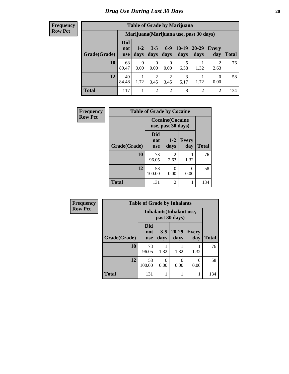#### **Frequency Row Pct**

| <b>Table of Grade by Marijuana</b> |                          |                  |                        |                        |                 |                                         |                |       |
|------------------------------------|--------------------------|------------------|------------------------|------------------------|-----------------|-----------------------------------------|----------------|-------|
|                                    |                          |                  |                        |                        |                 | Marijuana (Marijuana use, past 30 days) |                |       |
| Grade(Grade)                       | Did<br>not<br><b>use</b> | $1 - 2$<br>days  | $3 - 5$<br>days        | $6-9$<br>days          | $10-19$<br>days | 20-29<br>days                           | Every<br>day   | Total |
| 10                                 | 68<br>89.47              | $\Omega$<br>0.00 | 0<br>0.00              | 0<br>0.00              | 5<br>6.58       | 1.32                                    | 2<br>2.63      | 76    |
| 12                                 | 49<br>84.48              | 1.72             | $\overline{2}$<br>3.45 | $\overline{c}$<br>3.45 | 3<br>5.17       | 1.72                                    | 0<br>0.00      | 58    |
| <b>Total</b>                       | 117                      |                  | 2                      | $\overline{2}$         | 8               | $\overline{2}$                          | $\overline{2}$ | 134   |

| Frequency      | <b>Table of Grade by Cocaine</b> |                                 |                                               |                     |              |  |  |
|----------------|----------------------------------|---------------------------------|-----------------------------------------------|---------------------|--------------|--|--|
| <b>Row Pct</b> |                                  |                                 | <b>Cocaine</b> (Cocaine<br>use, past 30 days) |                     |              |  |  |
|                | Grade(Grade)                     | <b>Did</b><br>not<br><b>use</b> | $1 - 2$<br>days                               | <b>Every</b><br>day | <b>Total</b> |  |  |
|                | 10                               | 73<br>96.05                     | 2<br>2.63                                     | 1.32                | 76           |  |  |
|                | 12                               | 58<br>100.00                    | 0<br>0.00                                     | 0.00                | 58           |  |  |
|                | <b>Total</b>                     | 131                             | 2                                             | 1                   | 134          |  |  |

| <b>Frequency</b> | <b>Table of Grade by Inhalants</b> |                          |                                                  |                   |                     |              |  |
|------------------|------------------------------------|--------------------------|--------------------------------------------------|-------------------|---------------------|--------------|--|
| <b>Row Pct</b>   |                                    |                          | <b>Inhalants</b> (Inhalant use,<br>past 30 days) |                   |                     |              |  |
|                  | Grade(Grade)                       | <b>Did</b><br>not<br>use | $3 - 5$<br>days                                  | $20 - 29$<br>days | <b>Every</b><br>day | <b>Total</b> |  |
|                  | 10                                 | 73<br>96.05              | 1.32                                             | 1.32              | 1.32                | 76           |  |
|                  | 12                                 | 58<br>100.00             | 0<br>0.00                                        | 0<br>0.00         | 0<br>0.00           | 58           |  |
|                  | <b>Total</b>                       | 131                      | 1                                                | 1                 |                     | 134          |  |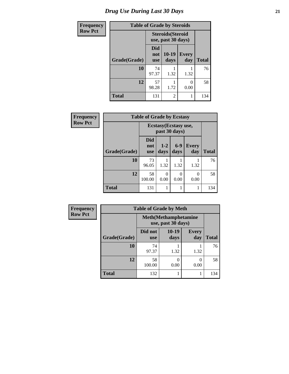## *Drug Use During Last 30 Days* **21**

| <b>Frequency</b> | <b>Table of Grade by Steroids</b> |                                                |                 |                     |              |  |
|------------------|-----------------------------------|------------------------------------------------|-----------------|---------------------|--------------|--|
| <b>Row Pct</b>   |                                   | <b>Steroids</b> (Steroid<br>use, past 30 days) |                 |                     |              |  |
|                  | Grade(Grade)                      | Did<br>not<br><b>use</b>                       | $10-19$<br>days | <b>Every</b><br>day | <b>Total</b> |  |
|                  | 10                                | 74<br>97.37                                    | 1.32            | 1.32                | 76           |  |
|                  | 12                                | 57<br>98.28                                    | 1.72            | $\Omega$<br>0.00    | 58           |  |
|                  | <b>Total</b>                      | 131                                            | $\mathfrak{D}$  |                     | 134          |  |

| <b>Frequency</b> | <b>Table of Grade by Ecstasy</b> |                                 |                                        |                          |                     |              |  |
|------------------|----------------------------------|---------------------------------|----------------------------------------|--------------------------|---------------------|--------------|--|
| <b>Row Pct</b>   |                                  |                                 | Ecstasy (Ecstasy use,<br>past 30 days) |                          |                     |              |  |
|                  | Grade(Grade)                     | <b>Did</b><br>not<br><b>use</b> | $1 - 2$<br>days                        | $6-9$<br>days            | <b>Every</b><br>day | <b>Total</b> |  |
|                  | 10                               | 73<br>96.05                     | 1.32                                   | 1.32                     | 1.32                | 76           |  |
|                  | 12                               | 58<br>100.00                    | 0.00                                   | $\left( \right)$<br>0.00 | 0.00                | 58           |  |
|                  | <b>Total</b>                     | 131                             |                                        |                          |                     | 134          |  |

| Frequency      |              | <b>Table of Grade by Meth</b> |                                                    |                     |              |  |
|----------------|--------------|-------------------------------|----------------------------------------------------|---------------------|--------------|--|
| <b>Row Pct</b> |              |                               | <b>Meth</b> (Methamphetamine<br>use, past 30 days) |                     |              |  |
|                | Grade(Grade) | Did not<br><b>use</b>         | $10-19$<br>days                                    | <b>Every</b><br>day | <b>Total</b> |  |
|                | 10           | 74<br>97.37                   | 1.32                                               | 1.32                | 76           |  |
|                | 12           | 58<br>100.00                  | 0.00                                               | 0<br>0.00           | 58           |  |
|                | <b>Total</b> | 132                           |                                                    |                     | 134          |  |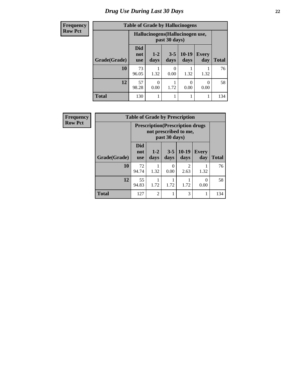| <b>Frequency</b> | <b>Table of Grade by Hallucinogens</b> |                                                   |                 |                 |                  |                     |              |  |
|------------------|----------------------------------------|---------------------------------------------------|-----------------|-----------------|------------------|---------------------|--------------|--|
| Row Pct          |                                        | Hallucinogens (Hallucinogen use,<br>past 30 days) |                 |                 |                  |                     |              |  |
|                  | Grade(Grade)                           | <b>Did</b><br>not<br><b>use</b>                   | $1 - 2$<br>days | $3 - 5$<br>days | $10-19$<br>days  | <b>Every</b><br>day | <b>Total</b> |  |
|                  | 10                                     | 73<br>96.05                                       | 1.32            | 0.00            | 1.32             | 1.32                | 76           |  |
|                  | 12                                     | 57<br>98.28                                       | 0.00            | 1.72            | $\theta$<br>0.00 | 0<br>0.00           | 58           |  |
|                  | <b>Total</b>                           | 130                                               |                 |                 |                  |                     | 134          |  |

| Frequency      |                                                                                    |                          |                |                 | <b>Table of Grade by Prescription</b> |                     |              |
|----------------|------------------------------------------------------------------------------------|--------------------------|----------------|-----------------|---------------------------------------|---------------------|--------------|
| <b>Row Pct</b> | <b>Prescription</b> (Prescription drugs)<br>not prescribed to me,<br>past 30 days) |                          |                |                 |                                       |                     |              |
|                | Grade(Grade)                                                                       | <b>Did</b><br>not<br>use | $1-2$<br>days  | $3 - 5$<br>days | $ 10-19$<br>days                      | <b>Every</b><br>day | <b>Total</b> |
|                | 10                                                                                 | 72<br>94.74              | 1.32           | 0<br>0.00       | $\mathfrak{D}$<br>2.63                | 1.32                | 76           |
|                | 12                                                                                 | 55<br>94.83              | 1.72           | 1.72            | 1.72                                  | 0<br>0.00           | 58           |
|                | <b>Total</b>                                                                       | 127                      | $\overline{2}$ | 1               | 3                                     |                     | 134          |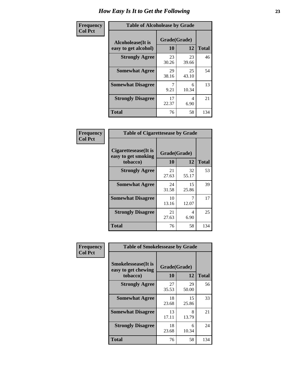| Frequency      | <b>Table of Alcoholease by Grade</b>              |                    |             |              |  |  |
|----------------|---------------------------------------------------|--------------------|-------------|--------------|--|--|
| <b>Col Pct</b> | <b>Alcoholease</b> (It is<br>easy to get alcohol) | Grade(Grade)<br>10 | 12          | <b>Total</b> |  |  |
|                | <b>Strongly Agree</b>                             | 23<br>30.26        | 23<br>39.66 | 46           |  |  |
|                | <b>Somewhat Agree</b>                             | 29<br>38.16        | 25<br>43.10 | 54           |  |  |
|                | <b>Somewhat Disagree</b>                          | 9.21               | 6<br>10.34  | 13           |  |  |
|                | <b>Strongly Disagree</b>                          | 17<br>22.37        | 4<br>6.90   | 21           |  |  |
|                | <b>Total</b>                                      | 76                 | 58          | 134          |  |  |

| Frequency      |                                                          | <b>Table of Cigarettesease by Grade</b> |             |              |  |  |
|----------------|----------------------------------------------------------|-----------------------------------------|-------------|--------------|--|--|
| <b>Col Pct</b> | Cigarettesease (It is<br>easy to get smoking<br>tobacco) | Grade(Grade)<br><b>10</b>               | 12          | <b>Total</b> |  |  |
|                | <b>Strongly Agree</b>                                    | 21<br>27.63                             | 32<br>55.17 | 53           |  |  |
|                | <b>Somewhat Agree</b>                                    | 24<br>31.58                             | 15<br>25.86 | 39           |  |  |
|                | <b>Somewhat Disagree</b>                                 | 10<br>13.16                             | 12.07       | 17           |  |  |
|                | <b>Strongly Disagree</b>                                 | 21<br>27.63                             | 4<br>6.90   | 25           |  |  |
|                | <b>Total</b>                                             | 76                                      | 58          | 134          |  |  |

| Frequency      | <b>Table of Smokelessease by Grade</b>                         |                           |             |              |  |  |  |
|----------------|----------------------------------------------------------------|---------------------------|-------------|--------------|--|--|--|
| <b>Col Pct</b> | <b>Smokelessease</b> (It is<br>easy to get chewing<br>tobacco) | Grade(Grade)<br><b>10</b> | 12          | <b>Total</b> |  |  |  |
|                | <b>Strongly Agree</b>                                          | 27<br>35.53               | 29<br>50.00 | 56           |  |  |  |
|                | <b>Somewhat Agree</b>                                          | 18<br>23.68               | 15<br>25.86 | 33           |  |  |  |
|                | <b>Somewhat Disagree</b>                                       | 13<br>17.11               | 8<br>13.79  | 21           |  |  |  |
|                | <b>Strongly Disagree</b>                                       | 18<br>23.68               | 6<br>10.34  | 24           |  |  |  |
|                | Total                                                          | 76                        | 58          | 134          |  |  |  |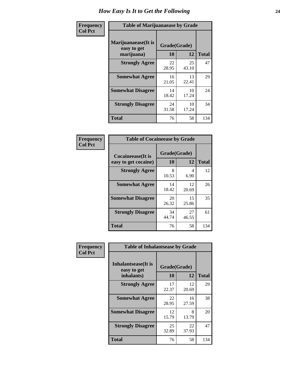| Frequency      | <b>Table of Marijuanaease by Grade</b>           |                    |             |              |  |
|----------------|--------------------------------------------------|--------------------|-------------|--------------|--|
| <b>Col Pct</b> | Marijuanaease(It is<br>easy to get<br>marijuana) | Grade(Grade)<br>10 | 12          | <b>Total</b> |  |
|                | <b>Strongly Agree</b>                            | 22<br>28.95        | 25<br>43.10 | 47           |  |
|                | <b>Somewhat Agree</b>                            | 16<br>21.05        | 13<br>22.41 | 29           |  |
|                | <b>Somewhat Disagree</b>                         | 14<br>18.42        | 10<br>17.24 | 24           |  |
|                | <b>Strongly Disagree</b>                         | 24<br>31.58        | 10<br>17.24 | 34           |  |
|                | <b>Total</b>                                     | 76                 | 58          | 134          |  |

| <b>Table of Cocaineease by Grade</b>              |                          |             |     |  |  |  |  |  |  |
|---------------------------------------------------|--------------------------|-------------|-----|--|--|--|--|--|--|
| <b>Cocaineease</b> (It is<br>easy to get cocaine) | Grade(Grade)<br>10<br>12 |             |     |  |  |  |  |  |  |
| <b>Strongly Agree</b>                             | 8<br>10.53               | 4<br>6.90   | 12  |  |  |  |  |  |  |
| <b>Somewhat Agree</b>                             | 14<br>18.42              | 12<br>20.69 | 26  |  |  |  |  |  |  |
| <b>Somewhat Disagree</b>                          | 20<br>26.32              | 15<br>25.86 | 35  |  |  |  |  |  |  |
| <b>Strongly Disagree</b>                          | 34<br>44.74              | 27<br>46.55 | 61  |  |  |  |  |  |  |
| <b>Total</b>                                      | 76                       | 58          | 134 |  |  |  |  |  |  |

| Frequency      | <b>Table of Inhalantsease by Grade</b>                   |                    |             |              |
|----------------|----------------------------------------------------------|--------------------|-------------|--------------|
| <b>Col Pct</b> | <b>Inhalantsease</b> (It is<br>easy to get<br>inhalants) | Grade(Grade)<br>10 | 12          | <b>Total</b> |
|                | <b>Strongly Agree</b>                                    | 17<br>22.37        | 12<br>20.69 | 29           |
|                | <b>Somewhat Agree</b>                                    | 22<br>28.95        | 16<br>27.59 | 38           |
|                | <b>Somewhat Disagree</b>                                 | 12<br>15.79        | 8<br>13.79  | 20           |
|                | <b>Strongly Disagree</b>                                 | 25<br>32.89        | 22<br>37.93 | 47           |
|                | <b>Total</b>                                             | 76                 | 58          | 134          |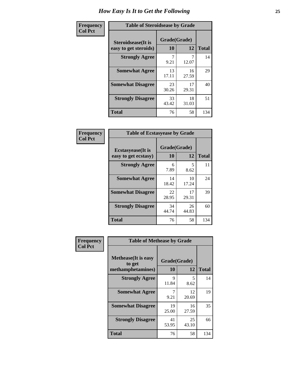| Frequency      | <b>Table of Steroidsease by Grade</b>               |                    |             |              |  |  |  |  |  |  |  |
|----------------|-----------------------------------------------------|--------------------|-------------|--------------|--|--|--|--|--|--|--|
| <b>Col Pct</b> | <b>Steroidsease</b> (It is<br>easy to get steroids) | Grade(Grade)<br>10 | 12          | <b>Total</b> |  |  |  |  |  |  |  |
|                | <b>Strongly Agree</b>                               | 9.21               | 12.07       | 14           |  |  |  |  |  |  |  |
|                | <b>Somewhat Agree</b>                               | 13<br>17.11        | 16<br>27.59 | 29           |  |  |  |  |  |  |  |
|                | <b>Somewhat Disagree</b>                            | 23<br>30.26        | 17<br>29.31 | 40           |  |  |  |  |  |  |  |
|                | <b>Strongly Disagree</b>                            | 33<br>43.42        | 18<br>31.03 | 51           |  |  |  |  |  |  |  |
|                | <b>Total</b>                                        | 76                 | 58          | 134          |  |  |  |  |  |  |  |

| Frequency      | <b>Table of Ecstasyease by Grade</b>              |                    |              |     |  |  |  |  |  |  |  |
|----------------|---------------------------------------------------|--------------------|--------------|-----|--|--|--|--|--|--|--|
| <b>Col Pct</b> | <b>Ecstasyease</b> (It is<br>easy to get ecstasy) | Grade(Grade)<br>10 | <b>Total</b> |     |  |  |  |  |  |  |  |
|                | <b>Strongly Agree</b>                             | 6<br>7.89          | 5<br>8.62    | 11  |  |  |  |  |  |  |  |
|                | <b>Somewhat Agree</b>                             | 14<br>18.42        | 10<br>17.24  | 24  |  |  |  |  |  |  |  |
|                | <b>Somewhat Disagree</b>                          | 22<br>28.95        | 17<br>29.31  | 39  |  |  |  |  |  |  |  |
|                | <b>Strongly Disagree</b>                          | 34<br>44.74        | 26<br>44.83  | 60  |  |  |  |  |  |  |  |
|                | <b>Total</b>                                      | 76                 | 58           | 134 |  |  |  |  |  |  |  |

| Frequency      | <b>Table of Methease by Grade</b>     |              |             |              |  |  |  |  |  |  |  |
|----------------|---------------------------------------|--------------|-------------|--------------|--|--|--|--|--|--|--|
| <b>Col Pct</b> | <b>Methease</b> (It is easy<br>to get | Grade(Grade) |             |              |  |  |  |  |  |  |  |
|                | methamphetamines)                     | 10           | 12          | <b>Total</b> |  |  |  |  |  |  |  |
|                | <b>Strongly Agree</b>                 | 9<br>11.84   | 5<br>8.62   | 14           |  |  |  |  |  |  |  |
|                | <b>Somewhat Agree</b>                 | 7<br>9.21    | 12<br>20.69 | 19           |  |  |  |  |  |  |  |
|                | <b>Somewhat Disagree</b>              | 19<br>25.00  | 16<br>27.59 | 35           |  |  |  |  |  |  |  |
|                | <b>Strongly Disagree</b>              | 41<br>53.95  | 25<br>43.10 | 66           |  |  |  |  |  |  |  |
|                | <b>Total</b>                          | 76           | 58          | 134          |  |  |  |  |  |  |  |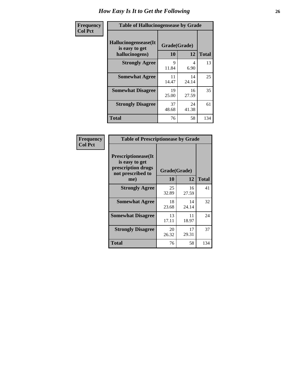| <b>Frequency</b> | <b>Table of Hallucinogensease by Grade</b>               |                    |             |              |
|------------------|----------------------------------------------------------|--------------------|-------------|--------------|
| <b>Col Pct</b>   | Hallucinogensease(It<br>is easy to get<br>hallucinogens) | Grade(Grade)<br>10 | 12          | <b>Total</b> |
|                  | <b>Strongly Agree</b>                                    | Q<br>11.84         | 4<br>6.90   | 13           |
|                  | <b>Somewhat Agree</b>                                    | 11<br>14.47        | 14<br>24.14 | 25           |
|                  | <b>Somewhat Disagree</b>                                 | 19<br>25.00        | 16<br>27.59 | 35           |
|                  | <b>Strongly Disagree</b>                                 | 37<br>48.68        | 24<br>41.38 | 61           |
|                  | <b>Total</b>                                             | 76                 | 58          | 134          |

| Frequency<br>  Col Pct |
|------------------------|
|                        |

| <b>Table of Prescriptionease by Grade</b>                                                |              |             |              |  |  |  |  |  |
|------------------------------------------------------------------------------------------|--------------|-------------|--------------|--|--|--|--|--|
| <b>Prescriptionease</b> (It<br>is easy to get<br>prescription drugs<br>not prescribed to | Grade(Grade) |             |              |  |  |  |  |  |
| me)                                                                                      | 10           | 12          | <b>Total</b> |  |  |  |  |  |
| <b>Strongly Agree</b>                                                                    | 25<br>32.89  | 16<br>27.59 | 41           |  |  |  |  |  |
| <b>Somewhat Agree</b>                                                                    | 18<br>23.68  | 14<br>24.14 | 32           |  |  |  |  |  |
| <b>Somewhat Disagree</b>                                                                 | 13<br>17.11  | 11<br>18.97 | 24           |  |  |  |  |  |
| <b>Strongly Disagree</b>                                                                 | 20<br>26.32  | 17<br>29.31 | 37           |  |  |  |  |  |
| <b>Total</b>                                                                             | 76           | 58          | 134          |  |  |  |  |  |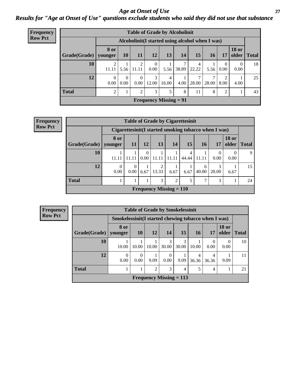*Age at Onset of Use* **27** *Results for "Age at Onset of Use" questions exclude students who said they did not use that substance*

| Frequency      | <b>Table of Grade by Alcoholinit</b>             |                   |                  |                  |                               |            |            |            |       |                  |                       |              |
|----------------|--------------------------------------------------|-------------------|------------------|------------------|-------------------------------|------------|------------|------------|-------|------------------|-----------------------|--------------|
| <b>Row Pct</b> | Alcoholinit (I started using alcohol when I was) |                   |                  |                  |                               |            |            |            |       |                  |                       |              |
|                | Grade(Grade)                                     | 8 or<br>  younger | <b>10</b>        | 11               | 12                            | 13         | <b>14</b>  | 15         | 16    | 17               | <b>18 or</b><br>older | <b>Total</b> |
|                | 10                                               | ∍<br>11.11        | 5.56             | 2<br>11.11       | $\theta$<br>$0.00\,$          | 5.56       | 7<br>38.89 | 4<br>22.22 | 5.56  | $\Omega$<br>0.00 | 0<br>0.00             | 18           |
|                | 12                                               | $\Omega$<br>0.00  | $\Omega$<br>0.00 | $\theta$<br>0.00 | 3<br>12.00                    | 4<br>16.00 | 4.00       | 28.00      | 28.00 | ↑<br>8.00        | 4.00                  | 25           |
|                | <b>Total</b>                                     | 2                 |                  | 2                | 3                             | 5          | 8          | 11         | 8     | $\overline{2}$   |                       | 43           |
|                |                                                  |                   |                  |                  | <b>Frequency Missing = 91</b> |            |            |            |       |                  |                       |              |

| <b>Frequency</b> | <b>Table of Grade by Cigarettesinit</b> |                  |                  |                  |                           |                |            |            |                                                      |                       |              |
|------------------|-----------------------------------------|------------------|------------------|------------------|---------------------------|----------------|------------|------------|------------------------------------------------------|-----------------------|--------------|
| <b>Row Pct</b>   |                                         |                  |                  |                  |                           |                |            |            | Cigarettesinit(I started smoking tobacco when I was) |                       |              |
|                  | Grade(Grade)                            | 8 or<br>younger  | 11               | 12               | 13                        | 14             | 15         | 16         | 17                                                   | <b>18 or</b><br>older | <b>Total</b> |
|                  | 10                                      | 11.11            |                  | $\Omega$<br>0.00 | 11.11                     | 11.11          | 4<br>44.44 | 11.11      | 0<br>0.00                                            | $\Omega$<br>0.00      | 9            |
|                  | 12                                      | $\Omega$<br>0.00 | $\Omega$<br>0.00 | 1<br>6.67        | 2<br>13.33                | 6.67           | 6.67       | 6<br>40.00 | 3<br>20.00                                           | 6.67                  | 15           |
|                  | <b>Total</b>                            |                  |                  | 1                | 3                         | $\overline{2}$ |            | 7          | 3                                                    |                       | 24           |
|                  |                                         |                  |                  |                  | Frequency Missing $= 110$ |                |            |            |                                                      |                       |              |

| <b>Frequency</b> |              | <b>Table of Grade by Smokelessinit</b>               |                  |                |                           |            |                         |            |                       |              |  |  |  |
|------------------|--------------|------------------------------------------------------|------------------|----------------|---------------------------|------------|-------------------------|------------|-----------------------|--------------|--|--|--|
| <b>Row Pct</b>   |              | Smokelessinit (I started chewing tobacco when I was) |                  |                |                           |            |                         |            |                       |              |  |  |  |
|                  | Grade(Grade) | <b>8 or</b><br>younger                               | <b>10</b>        | 12             | 14                        | 15         | 16                      | 17         | <b>18 or</b><br>older | <b>Total</b> |  |  |  |
|                  | 10           | 10.00                                                | 10.00            | 10.00          | 3<br>30.00                | 3<br>30.00 | 10.00                   | 0<br>0.00  | 0.00                  | 10           |  |  |  |
|                  | 12           | $\theta$<br>0.00                                     | $\Omega$<br>0.00 | 9.09           | $\Omega$<br>$0.00\,$      | 9.09       | $\overline{4}$<br>36.36 | 4<br>36.36 | 9.09                  |              |  |  |  |
|                  | <b>Total</b> |                                                      |                  | $\overline{2}$ | 3                         | 4          |                         | 4          |                       | 21           |  |  |  |
|                  |              |                                                      |                  |                | Frequency Missing $= 113$ |            |                         |            |                       |              |  |  |  |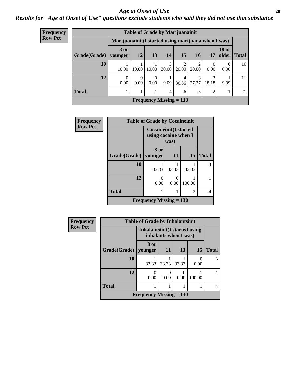#### *Age at Onset of Use* **28**

*Results for "Age at Onset of Use" questions exclude students who said they did not use that substance*

| <b>Frequency</b> | <b>Table of Grade by Marijuanainit</b> |                                                      |                  |                  |                           |                         |                         |                        |                       |              |  |  |
|------------------|----------------------------------------|------------------------------------------------------|------------------|------------------|---------------------------|-------------------------|-------------------------|------------------------|-----------------------|--------------|--|--|
| <b>Row Pct</b>   |                                        | Marijuanainit (I started using marijuana when I was) |                  |                  |                           |                         |                         |                        |                       |              |  |  |
|                  | Grade(Grade)                           | 8 or<br>younger                                      | <b>12</b>        | 13               | 14                        | 15                      | 16                      | 17                     | <b>18 or</b><br>older | <b>Total</b> |  |  |
|                  | 10                                     | 10.00                                                | 10.00            | 10.00            | 3<br>30.00                | $\overline{2}$<br>20.00 | $\mathfrak{D}$<br>20.00 | $\Omega$<br>0.00       | 0<br>0.00             | 10           |  |  |
|                  | 12                                     | $\Omega$<br>0.00                                     | $\Omega$<br>0.00 | $\Omega$<br>0.00 | 9.09                      | 4<br>36.36              | 3<br>27.27              | $\mathcal{D}$<br>18.18 | 9.09                  | 11           |  |  |
|                  | <b>Total</b>                           |                                                      |                  |                  | $\overline{4}$            | 6                       | 5                       | $\overline{2}$         | T                     | 21           |  |  |
|                  |                                        |                                                      |                  |                  | Frequency Missing $= 113$ |                         |                         |                        |                       |              |  |  |

| Frequency      | <b>Table of Grade by Cocaineinit</b> |                                                               |           |        |              |  |
|----------------|--------------------------------------|---------------------------------------------------------------|-----------|--------|--------------|--|
| <b>Row Pct</b> |                                      | <b>Cocaineinit</b> (I started<br>using cocaine when I<br>was) |           |        |              |  |
|                | Grade(Grade)                         | 8 or<br>younger                                               | <b>11</b> | 15     | <b>Total</b> |  |
|                | 10                                   | 33.33                                                         | 33.33     | 33.33  | 3            |  |
|                | 12                                   | 0<br>0.00                                                     | 0<br>0.00 | 100.00 |              |  |
|                | <b>Total</b>                         | 1                                                             |           | 2      | 4            |  |
|                |                                      | <b>Frequency Missing = 130</b>                                |           |        |              |  |

| <b>Frequency</b> | <b>Table of Grade by Inhalantsinit</b> |                                                         |       |       |        |              |  |
|------------------|----------------------------------------|---------------------------------------------------------|-------|-------|--------|--------------|--|
| <b>Row Pct</b>   |                                        | Inhalantsinit (I started using<br>inhalants when I was) |       |       |        |              |  |
|                  | Grade(Grade)                           | 8 or<br>younger                                         | 11    | 13    | 15     | <b>Total</b> |  |
|                  | 10                                     | 33.33                                                   | 33.33 | 33.33 | 0.00   | 3            |  |
|                  | 12                                     | $\Omega$<br>0.00                                        | 0.00  | 0.00  | 100.00 |              |  |
|                  | <b>Total</b>                           |                                                         |       |       |        | 4            |  |
|                  |                                        | Frequency Missing $= 130$                               |       |       |        |              |  |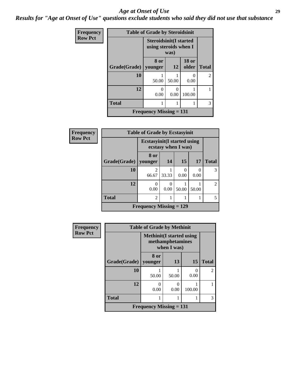#### *Age at Onset of Use* **29**

*Results for "Age at Onset of Use" questions exclude students who said they did not use that substance*

| Frequency      | <b>Table of Grade by Steroidsinit</b> |                                                                |           |                       |                |  |
|----------------|---------------------------------------|----------------------------------------------------------------|-----------|-----------------------|----------------|--|
| <b>Row Pct</b> |                                       | <b>Steroidsinit(I started</b><br>using steroids when I<br>was) |           |                       |                |  |
|                | Grade(Grade)                          | 8 or<br>younger                                                | <b>12</b> | <b>18 or</b><br>older | <b>Total</b>   |  |
|                | 10                                    | 50.00                                                          | 50.00     | 0<br>0.00             | $\overline{2}$ |  |
|                | 12                                    | 0<br>0.00                                                      | 0<br>0.00 | 100.00                |                |  |
|                | <b>Total</b>                          | 1                                                              |           |                       | 3              |  |
|                |                                       | Frequency Missing $= 131$                                      |           |                       |                |  |

| Frequency      |              | <b>Table of Grade by Ecstasyinit</b>                       |       |       |           |                |
|----------------|--------------|------------------------------------------------------------|-------|-------|-----------|----------------|
| <b>Row Pct</b> |              | <b>Ecstasyinit</b> (I started using<br>ecstasy when I was) |       |       |           |                |
|                | Grade(Grade) | 8 or<br>younger                                            | 14    | 15    | <b>17</b> | <b>Total</b>   |
|                | 10           | $\mathfrak{D}$<br>66.67                                    | 33.33 | 0.00  | 0<br>0.00 | 3              |
|                | 12           | 0<br>0.00                                                  | 0.00  | 50.00 | 50.00     | $\mathfrak{D}$ |
|                | <b>Total</b> | $\overline{2}$                                             |       |       |           | 5              |
|                |              | <b>Frequency Missing <math>= 129</math></b>                |       |       |           |                |

| <b>Frequency</b> |              | <b>Table of Grade by Methinit</b>                                   |           |           |                |
|------------------|--------------|---------------------------------------------------------------------|-----------|-----------|----------------|
| <b>Row Pct</b>   |              | <b>Methinit</b> (I started using<br>methamphetamines<br>when I was) |           |           |                |
|                  | Grade(Grade) | 8 or<br>younger                                                     | 13        | 15        | <b>Total</b>   |
|                  | 10           | 50.00                                                               | 50.00     | 0<br>0.00 | $\mathfrak{D}$ |
|                  | 12           | 0.00                                                                | 0<br>0.00 | 100.00    |                |
|                  | <b>Total</b> |                                                                     |           |           | 3              |
|                  |              | <b>Frequency Missing <math>= 131</math></b>                         |           |           |                |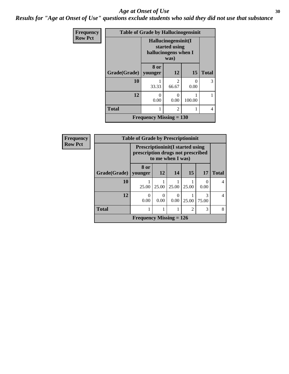#### Age at Onset of Use **30**

*Results for "Age at Onset of Use" questions exclude students who said they did not use that substance*

| <b>Frequency</b> | <b>Table of Grade by Hallucinogensinit</b> |                                                              |                         |           |              |  |
|------------------|--------------------------------------------|--------------------------------------------------------------|-------------------------|-----------|--------------|--|
| <b>Row Pct</b>   |                                            | Hallucinogensinit(I<br>started using<br>hallucinogens when I |                         |           |              |  |
|                  | Grade(Grade)   younger                     | 8 or                                                         | 12                      | 15        | <b>Total</b> |  |
|                  | 10                                         | 33.33                                                        | $\mathfrak{D}$<br>66.67 | 0<br>0.00 | 3            |  |
|                  | 12                                         | 0<br>0.00                                                    | 0.00                    | 100.00    |              |  |
|                  | <b>Total</b>                               |                                                              | $\mathfrak{D}$          | 1         | 4            |  |
|                  |                                            | Frequency Missing $= 130$                                    |                         |           |              |  |

| Frequency      | <b>Table of Grade by Prescriptioninit</b> |                                                                                                    |                 |       |                |            |              |
|----------------|-------------------------------------------|----------------------------------------------------------------------------------------------------|-----------------|-------|----------------|------------|--------------|
| <b>Row Pct</b> |                                           | <b>Prescriptioninit (I started using</b><br>prescription drugs not prescribed<br>to me when I was) |                 |       |                |            |              |
|                | Grade(Grade)                              | 8 or<br>vounger                                                                                    | 12 <sub>1</sub> | 14    | 15             | 17         | <b>Total</b> |
|                | 10                                        | 25.00                                                                                              | 25.00           | 25.00 | 25.00          | 0<br>0.00  | 4            |
|                | 12                                        | $\Omega$<br>0.00                                                                                   | 0.00            | 0.00  | 25.00          | 3<br>75.00 | 4            |
|                | <b>Total</b>                              |                                                                                                    |                 |       | $\mathfrak{D}$ | 3          | 8            |
|                |                                           | <b>Frequency Missing = 126</b>                                                                     |                 |       |                |            |              |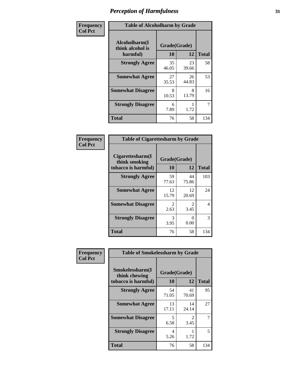| Frequency      | <b>Table of Alcoholharm by Grade</b>          |                    |             |              |  |
|----------------|-----------------------------------------------|--------------------|-------------|--------------|--|
| <b>Col Pct</b> | Alcoholharm(I<br>think alcohol is<br>harmful) | Grade(Grade)<br>10 | 12          | <b>Total</b> |  |
|                | <b>Strongly Agree</b>                         | 35<br>46.05        | 23<br>39.66 | 58           |  |
|                | <b>Somewhat Agree</b>                         | 27<br>35.53        | 26<br>44.83 | 53           |  |
|                | <b>Somewhat Disagree</b>                      | 8<br>10.53         | 8<br>13.79  | 16           |  |
|                | <b>Strongly Disagree</b>                      | 6<br>7.89          | 1.72        | 7            |  |
|                | <b>Total</b>                                  | 76                 | 58          | 134          |  |

| <b>Table of Cigarettesharm by Grade</b>                  |                        |                           |              |  |  |  |
|----------------------------------------------------------|------------------------|---------------------------|--------------|--|--|--|
| Cigarettesharm(I<br>think smoking<br>tobacco is harmful) | Grade(Grade)<br>10     | 12                        | <b>Total</b> |  |  |  |
| <b>Strongly Agree</b>                                    | 59<br>77.63            | 44<br>75.86               | 103          |  |  |  |
| <b>Somewhat Agree</b>                                    | 12<br>15.79            | 12<br>20.69               | 24           |  |  |  |
| <b>Somewhat Disagree</b>                                 | $\mathfrak{D}$<br>2.63 | $\mathfrak{D}$<br>3.45    | 4            |  |  |  |
| <b>Strongly Disagree</b>                                 | 3<br>3.95              | $\mathbf{\Omega}$<br>0.00 | 3            |  |  |  |
| <b>Total</b>                                             | 76                     | 58                        | 134          |  |  |  |

| Frequency      | <b>Table of Smokelessharm by Grade</b>                  |                                 |             |              |  |  |
|----------------|---------------------------------------------------------|---------------------------------|-------------|--------------|--|--|
| <b>Col Pct</b> | Smokelessharm(I<br>think chewing<br>tobacco is harmful) | Grade(Grade)<br>12<br><b>10</b> |             | <b>Total</b> |  |  |
|                | <b>Strongly Agree</b>                                   | 54<br>71.05                     | 41<br>70.69 | 95           |  |  |
|                | <b>Somewhat Agree</b>                                   | 13<br>17.11                     | 14<br>24.14 | 27           |  |  |
|                | <b>Somewhat Disagree</b>                                | 5<br>6.58                       | 2<br>3.45   |              |  |  |
|                | <b>Strongly Disagree</b>                                | 4<br>5.26                       | 1.72        | 5            |  |  |
|                | <b>Total</b>                                            | 76                              | 58          | 134          |  |  |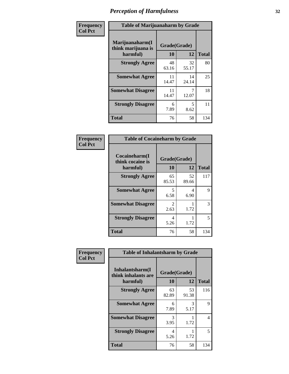| Frequency      | <b>Table of Marijuanaharm by Grade</b>            |                    |             |              |  |
|----------------|---------------------------------------------------|--------------------|-------------|--------------|--|
| <b>Col Pct</b> | Marijuanaharm(I<br>think marijuana is<br>harmful) | Grade(Grade)<br>10 | 12          | <b>Total</b> |  |
|                | <b>Strongly Agree</b>                             | 48<br>63.16        | 32<br>55.17 | 80           |  |
|                | <b>Somewhat Agree</b>                             | 11<br>14.47        | 14<br>24.14 | 25           |  |
|                | <b>Somewhat Disagree</b>                          | 11<br>14.47        | 12.07       | 18           |  |
|                | <b>Strongly Disagree</b>                          | 6<br>7.89          | 5<br>8.62   | 11           |  |
|                | <b>Total</b>                                      | 76                 | 58          | 134          |  |

| <b>Table of Cocaineharm by Grade</b>          |                    |              |     |  |  |  |  |
|-----------------------------------------------|--------------------|--------------|-----|--|--|--|--|
| Cocaineharm(I<br>think cocaine is<br>harmful) | Grade(Grade)<br>10 | <b>Total</b> |     |  |  |  |  |
| <b>Strongly Agree</b>                         | 65<br>85.53        | 52<br>89.66  | 117 |  |  |  |  |
| <b>Somewhat Agree</b>                         | 5<br>6.58          | 4<br>6.90    | 9   |  |  |  |  |
| <b>Somewhat Disagree</b>                      | 2<br>2.63          | 1.72         | 3   |  |  |  |  |
| <b>Strongly Disagree</b>                      | 4<br>5.26          | 1.72         | 5   |  |  |  |  |
| <b>Total</b>                                  | 76                 | 58           | 134 |  |  |  |  |

| Frequency      | <b>Table of Inhalantsharm by Grade</b>             |                           |             |              |
|----------------|----------------------------------------------------|---------------------------|-------------|--------------|
| <b>Col Pct</b> | Inhalantsharm(I<br>think inhalants are<br>harmful) | Grade(Grade)<br><b>10</b> | 12          | <b>Total</b> |
|                | <b>Strongly Agree</b>                              | 63<br>82.89               | 53<br>91.38 | 116          |
|                | <b>Somewhat Agree</b>                              | 6<br>7.89                 | 3<br>5.17   | 9            |
|                | <b>Somewhat Disagree</b>                           | 3<br>3.95                 | 1.72        | 4            |
|                | <b>Strongly Disagree</b>                           | 4<br>5.26                 | 1.72        | 5            |
|                | <b>Total</b>                                       | 76                        | 58          | 134          |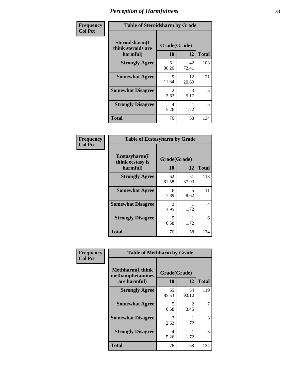| Frequency      | <b>Table of Steroidsharm by Grade</b>            |                        |             |              |
|----------------|--------------------------------------------------|------------------------|-------------|--------------|
| <b>Col Pct</b> | Steroidsharm(I<br>think steroids are<br>harmful) | Grade(Grade)<br>10     | 12          | <b>Total</b> |
|                | <b>Strongly Agree</b>                            | 61<br>80.26            | 42<br>72.41 | 103          |
|                | <b>Somewhat Agree</b>                            | 9<br>11.84             | 12<br>20.69 | 21           |
|                | <b>Somewhat Disagree</b>                         | $\mathfrak{D}$<br>2.63 | 3<br>5.17   | 5            |
|                | <b>Strongly Disagree</b>                         | 4<br>5.26              | 1.72        | 5            |
|                | <b>Total</b>                                     | 76                     | 58          | 134          |

| <b>Table of Ecstasyharm by Grade</b>          |                    |             |              |  |  |
|-----------------------------------------------|--------------------|-------------|--------------|--|--|
| Ecstasyharm(I<br>think ecstasy is<br>harmful) | Grade(Grade)<br>10 | 12          | <b>Total</b> |  |  |
| <b>Strongly Agree</b>                         | 62<br>81.58        | 51<br>87.93 | 113          |  |  |
| <b>Somewhat Agree</b>                         | 6<br>7.89          | 5<br>8.62   | 11           |  |  |
| <b>Somewhat Disagree</b>                      | 3<br>3.95          | 1.72        | 4            |  |  |
| <b>Strongly Disagree</b>                      | 5<br>6.58          | 1.72        | 6            |  |  |
| <b>Total</b>                                  | 76                 | 58          | 134          |  |  |

| Frequency      | <b>Table of Methharm by Grade</b>                           |                           |                        |              |
|----------------|-------------------------------------------------------------|---------------------------|------------------------|--------------|
| <b>Col Pct</b> | <b>Methharm(I think</b><br>methamphetamines<br>are harmful) | Grade(Grade)<br><b>10</b> | 12                     | <b>Total</b> |
|                | <b>Strongly Agree</b>                                       | 65<br>85.53               | 54<br>93.10            | 119          |
|                | <b>Somewhat Agree</b>                                       | 5<br>6.58                 | $\mathfrak{D}$<br>3.45 |              |
|                | <b>Somewhat Disagree</b>                                    | $\mathfrak{D}$<br>2.63    | 1.72                   | 3            |
|                | <b>Strongly Disagree</b>                                    | 4<br>5.26                 | 1.72                   | 5            |
|                | <b>Total</b>                                                | 76                        | 58                     | 134          |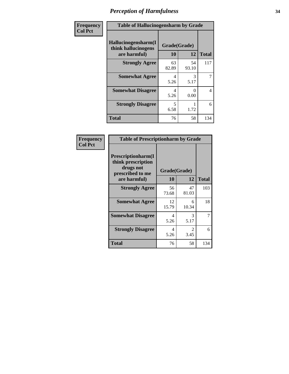| Frequency      | <b>Table of Hallucinogensharm by Grade</b>                 |                    |             |              |
|----------------|------------------------------------------------------------|--------------------|-------------|--------------|
| <b>Col Pct</b> | Hallucinogensharm(I<br>think hallucinogens<br>are harmful) | Grade(Grade)<br>10 | 12          | <b>Total</b> |
|                | <b>Strongly Agree</b>                                      | 63<br>82.89        | 54<br>93.10 | 117          |
|                | <b>Somewhat Agree</b>                                      | 4<br>5.26          | 3<br>5.17   | 7            |
|                | <b>Somewhat Disagree</b>                                   | 4<br>5.26          | 0<br>0.00   | 4            |
|                | <b>Strongly Disagree</b>                                   | 5<br>6.58          | 1.72        | 6            |
|                | <b>Total</b>                                               | 76                 | 58          | 134          |

| <b>Table of Prescriptionharm by Grade</b>                                                         |                    |                        |              |  |  |
|---------------------------------------------------------------------------------------------------|--------------------|------------------------|--------------|--|--|
| <b>Prescriptionharm(I)</b><br>think prescription<br>drugs not<br>prescribed to me<br>are harmful) | Grade(Grade)<br>10 | 12                     | <b>Total</b> |  |  |
| <b>Strongly Agree</b>                                                                             | 56<br>73.68        | 47<br>81.03            | 103          |  |  |
| <b>Somewhat Agree</b>                                                                             | 12<br>15.79        | 6<br>10.34             | 18           |  |  |
| <b>Somewhat Disagree</b>                                                                          | 4<br>5.26          | 3<br>5.17              | 7            |  |  |
| <b>Strongly Disagree</b>                                                                          | 4<br>5.26          | $\mathfrak{D}$<br>3.45 | 6            |  |  |
| <b>Total</b>                                                                                      | 76                 | 58                     | 134          |  |  |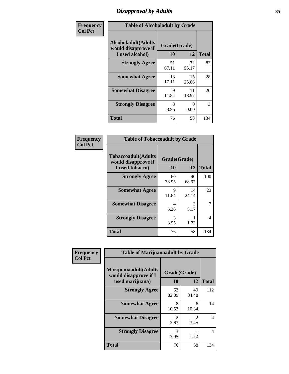## *Disapproval by Adults* **35**

| Frequency      | <b>Table of Alcoholadult by Grade</b>                                 |                       |             |              |
|----------------|-----------------------------------------------------------------------|-----------------------|-------------|--------------|
| <b>Col Pct</b> | <b>Alcoholadult</b> (Adults<br>would disapprove if<br>I used alcohol) | Grade(Grade)<br>10    | 12          | <b>Total</b> |
|                | <b>Strongly Agree</b>                                                 | 51<br>67.11           | 32<br>55.17 | 83           |
|                | <b>Somewhat Agree</b>                                                 | 13<br>17.11           | 15<br>25.86 | 28           |
|                | <b>Somewhat Disagree</b>                                              | 9<br>11.84            | 11<br>18.97 | 20           |
|                | <b>Strongly Disagree</b>                                              | $\mathcal{R}$<br>3.95 | 0<br>0.00   | 3            |
|                | <b>Total</b>                                                          | 76                    | 58          | 134          |

| <b>Table of Tobaccoadult by Grade</b>                                 |                    |             |              |  |  |
|-----------------------------------------------------------------------|--------------------|-------------|--------------|--|--|
| <b>Tobaccoadult</b> (Adults<br>would disapprove if<br>I used tobacco) | Grade(Grade)<br>10 | 12          | <b>Total</b> |  |  |
| <b>Strongly Agree</b>                                                 | 60<br>78.95        | 40<br>68.97 | 100          |  |  |
| <b>Somewhat Agree</b>                                                 | 9<br>11.84         | 14<br>24.14 | 23           |  |  |
| <b>Somewhat Disagree</b>                                              | 4<br>5.26          | 3<br>5.17   | 7            |  |  |
| <b>Strongly Disagree</b>                                              | 3<br>3.95          | 1.72        | 4            |  |  |
| <b>Total</b>                                                          | 76                 | 58          | 134          |  |  |

| Frequency      | <b>Table of Marijuanaadult by Grade</b>                           |                    |                        |              |  |
|----------------|-------------------------------------------------------------------|--------------------|------------------------|--------------|--|
| <b>Col Pct</b> | Marijuanaadult(Adults<br>would disapprove if I<br>used marijuana) | Grade(Grade)<br>10 | 12                     | <b>Total</b> |  |
|                | <b>Strongly Agree</b>                                             | 63<br>82.89        | 49<br>84.48            | 112          |  |
|                | <b>Somewhat Agree</b>                                             | 8<br>10.53         | 6<br>10.34             | 14           |  |
|                | <b>Somewhat Disagree</b>                                          | 2<br>2.63          | $\overline{2}$<br>3.45 | 4            |  |
|                | <b>Strongly Disagree</b>                                          | 3<br>3.95          | 1.72                   | 4            |  |
|                | <b>Total</b>                                                      | 76                 | 58                     | 134          |  |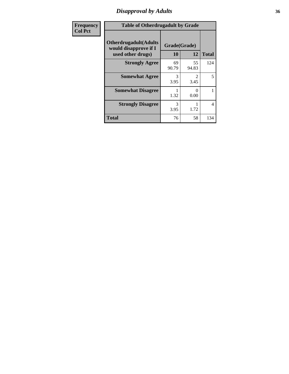## *Disapproval by Adults* **36**

| <b>Frequency</b> | <b>Table of Otherdrugadult by Grade</b>                                     |                       |             |              |
|------------------|-----------------------------------------------------------------------------|-----------------------|-------------|--------------|
| <b>Col Pct</b>   | <b>Otherdrugadult</b> (Adults<br>would disapprove if I<br>used other drugs) | Grade(Grade)<br>10    | 12          | <b>Total</b> |
|                  | <b>Strongly Agree</b>                                                       | 69<br>90.79           | 55<br>94.83 | 124          |
|                  | <b>Somewhat Agree</b>                                                       | $\mathcal{R}$<br>3.95 | 3.45        | 5            |
|                  | <b>Somewhat Disagree</b>                                                    | 1.32                  | 0<br>0.00   |              |
|                  | <b>Strongly Disagree</b>                                                    | 3<br>3.95             | 1.72        | 4            |
|                  | <b>Total</b>                                                                | 76                    | 58          | 134          |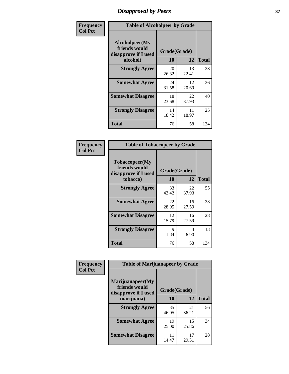# *Disapproval by Peers* **37**

| Frequency      | <b>Table of Alcoholpeer by Grade</b>                    |              |             |              |  |
|----------------|---------------------------------------------------------|--------------|-------------|--------------|--|
| <b>Col Pct</b> | Alcoholpeer(My<br>friends would<br>disapprove if I used | Grade(Grade) |             |              |  |
|                | alcohol)                                                | 10           | 12          | <b>Total</b> |  |
|                | <b>Strongly Agree</b>                                   | 20<br>26.32  | 13<br>22.41 | 33           |  |
|                | <b>Somewhat Agree</b>                                   | 24<br>31.58  | 12<br>20.69 | 36           |  |
|                | <b>Somewhat Disagree</b>                                | 18<br>23.68  | 22<br>37.93 | 40           |  |
|                | <b>Strongly Disagree</b>                                | 14<br>18.42  | 11<br>18.97 | 25           |  |
|                | Total                                                   | 76           | 58          | 134          |  |

| Frequency      | <b>Table of Tobaccopeer by Grade</b>                                |                           |             |              |
|----------------|---------------------------------------------------------------------|---------------------------|-------------|--------------|
| <b>Col Pct</b> | Tobaccopeer(My<br>friends would<br>disapprove if I used<br>tobacco) | Grade(Grade)<br><b>10</b> | 12          | <b>Total</b> |
|                | <b>Strongly Agree</b>                                               | 33<br>43.42               | 22<br>37.93 | 55           |
|                | <b>Somewhat Agree</b>                                               | 22<br>28.95               | 16<br>27.59 | 38           |
|                | <b>Somewhat Disagree</b>                                            | 12<br>15.79               | 16<br>27.59 | 28           |
|                | <b>Strongly Disagree</b>                                            | Q<br>11.84                | 4<br>6.90   | 13           |
|                | Total                                                               | 76                        | 58          | 134          |

| Frequency<br><b>Col Pct</b> | <b>Table of Marijuanapeer by Grade</b>                    |              |             |              |
|-----------------------------|-----------------------------------------------------------|--------------|-------------|--------------|
|                             | Marijuanapeer(My<br>friends would<br>disapprove if I used | Grade(Grade) |             |              |
|                             | marijuana)                                                | 10           | 12          | <b>Total</b> |
|                             | <b>Strongly Agree</b>                                     | 35<br>46.05  | 21<br>36.21 | 56           |
|                             | <b>Somewhat Agree</b>                                     | 19<br>25.00  | 15<br>25.86 | 34           |
|                             | <b>Somewhat Disagree</b>                                  | 11<br>14.47  | 17<br>29.31 | 28           |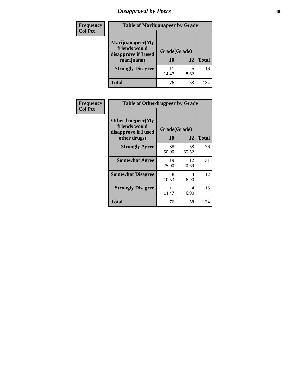# *Disapproval by Peers* **38**

| <b>Frequency</b> | <b>Table of Marijuanapeer by Grade</b>                                  |                    |           |              |  |
|------------------|-------------------------------------------------------------------------|--------------------|-----------|--------------|--|
| <b>Col Pct</b>   | Marijuanapeer(My<br>friends would<br>disapprove if I used<br>marijuana) | Grade(Grade)<br>10 | 12        | <b>Total</b> |  |
|                  | <b>Strongly Disagree</b>                                                | 11<br>14.47        | 5<br>8.62 | 16           |  |
|                  | <b>Total</b>                                                            | 76                 | 58        | 134          |  |

| <b>Frequency</b> | <b>Table of Otherdrugpeer by Grade</b>                                    |                           |             |              |
|------------------|---------------------------------------------------------------------------|---------------------------|-------------|--------------|
| <b>Col Pct</b>   | Otherdrugpeer(My<br>friends would<br>disapprove if I used<br>other drugs) | Grade(Grade)<br><b>10</b> | 12          | <b>Total</b> |
|                  | <b>Strongly Agree</b>                                                     | 38                        | 38          | 76           |
|                  |                                                                           | 50.00                     | 65.52       |              |
|                  | <b>Somewhat Agree</b>                                                     | 19<br>25.00               | 12<br>20.69 | 31           |
|                  | <b>Somewhat Disagree</b>                                                  | 8<br>10.53                | 4<br>6.90   | 12           |
|                  | <b>Strongly Disagree</b>                                                  | 11<br>14.47               | 4<br>6.90   | 15           |
|                  | <b>Total</b>                                                              | 76                        | 58          | 134          |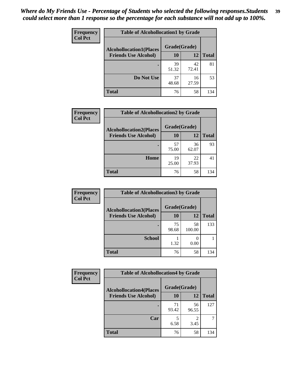| Frequency      | <b>Table of Alcohollocation1 by Grade</b> |              |             |              |
|----------------|-------------------------------------------|--------------|-------------|--------------|
| <b>Col Pct</b> | <b>Alcohollocation1(Places</b>            | Grade(Grade) |             |              |
|                | <b>Friends Use Alcohol)</b>               | 10           | 12          | <b>Total</b> |
|                |                                           | 39<br>51.32  | 42<br>72.41 | 81           |
|                | Do Not Use                                | 37<br>48.68  | 16<br>27.59 | 53           |
|                | <b>Total</b>                              | 76           | 58          | 134          |

| <b>Frequency</b> | <b>Table of Alcohollocation2 by Grade</b>                     |                    |             |              |
|------------------|---------------------------------------------------------------|--------------------|-------------|--------------|
| <b>Col Pct</b>   | <b>Alcohollocation2(Places</b><br><b>Friends Use Alcohol)</b> | Grade(Grade)<br>10 | 12          | <b>Total</b> |
|                  |                                                               |                    |             |              |
|                  |                                                               | 57<br>75.00        | 36<br>62.07 | 93           |
|                  | Home                                                          | 19<br>25.00        | 22<br>37.93 | 41           |
|                  | <b>Total</b>                                                  | 76                 | 58          | 134          |

| Frequency      | <b>Table of Alcohollocation 3 by Grade</b>                    |                    |              |              |  |
|----------------|---------------------------------------------------------------|--------------------|--------------|--------------|--|
| <b>Col Pct</b> | <b>Alcohollocation3(Places</b><br><b>Friends Use Alcohol)</b> | Grade(Grade)<br>10 | 12           | <b>Total</b> |  |
|                |                                                               | 75<br>98.68        | 58<br>100.00 | 133          |  |
|                | <b>School</b>                                                 | 1.32               | 0.00         |              |  |
|                | <b>Total</b>                                                  | 76                 | 58           | 134          |  |

| <b>Frequency</b> | <b>Table of Alcohollocation4 by Grade</b> |              |             |              |  |
|------------------|-------------------------------------------|--------------|-------------|--------------|--|
| <b>Col Pct</b>   | <b>Alcohollocation4(Places</b>            | Grade(Grade) |             |              |  |
|                  | <b>Friends Use Alcohol)</b>               | 10           | 12          | <b>Total</b> |  |
|                  |                                           | 71<br>93.42  | 56<br>96.55 | 127          |  |
|                  | Car                                       | 5<br>6.58    | 2<br>3.45   | 7            |  |
|                  | <b>Total</b>                              | 76           | 58          | 134          |  |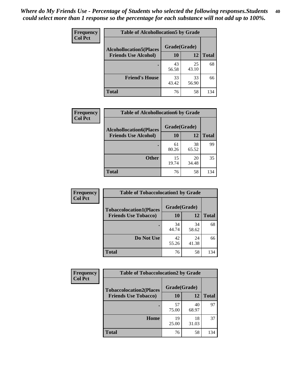| Frequency<br><b>Col Pct</b> | <b>Table of Alcohollocation5 by Grade</b>      |             |             |              |
|-----------------------------|------------------------------------------------|-------------|-------------|--------------|
|                             | Grade(Grade)<br><b>Alcohollocation5(Places</b> |             |             |              |
|                             | <b>Friends Use Alcohol)</b>                    | 10          | 12          | <b>Total</b> |
|                             |                                                | 43<br>56.58 | 25<br>43.10 | 68           |
|                             | <b>Friend's House</b>                          | 33<br>43.42 | 33<br>56.90 | 66           |
|                             | <b>Total</b>                                   | 76          | 58          | 134          |

| Frequency      | <b>Table of Alcohollocation6 by Grade</b>                     |                    |             |              |
|----------------|---------------------------------------------------------------|--------------------|-------------|--------------|
| <b>Col Pct</b> | <b>Alcohollocation6(Places</b><br><b>Friends Use Alcohol)</b> | Grade(Grade)<br>10 | 12          | <b>Total</b> |
|                |                                                               | 61<br>80.26        | 38<br>65.52 | 99           |
|                | <b>Other</b>                                                  | 15<br>19.74        | 20<br>34.48 | 35           |
|                | <b>Total</b>                                                  | 76                 | 58          | 134          |

| Frequency      | <b>Table of Tobaccolocation1 by Grade</b> |              |             |              |
|----------------|-------------------------------------------|--------------|-------------|--------------|
| <b>Col Pct</b> | <b>Tobaccolocation1(Places</b>            | Grade(Grade) |             |              |
|                | <b>Friends Use Tobacco)</b>               | 10           | 12          | <b>Total</b> |
|                |                                           | 34<br>44.74  | 34<br>58.62 | 68           |
|                | Do Not Use                                | 42<br>55.26  | 24<br>41.38 | 66           |
|                | <b>Total</b>                              | 76           | 58          | 134          |

| <b>Frequency</b> | <b>Table of Tobaccolocation2 by Grade</b> |              |             |              |  |
|------------------|-------------------------------------------|--------------|-------------|--------------|--|
| <b>Col Pct</b>   | <b>Tobaccolocation2(Places</b>            | Grade(Grade) |             |              |  |
|                  | <b>Friends Use Tobacco)</b>               | 10           | 12          | <b>Total</b> |  |
|                  |                                           | 57<br>75.00  | 40<br>68.97 | 97           |  |
|                  | Home                                      | 19<br>25.00  | 18<br>31.03 | 37           |  |
|                  | <b>Total</b>                              | 76           | 58          | 134          |  |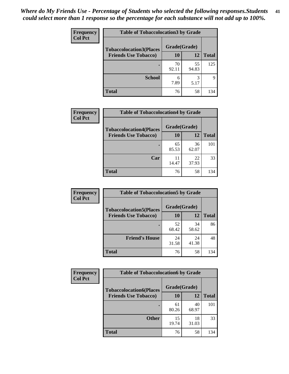| Frequency      | <b>Table of Tobaccolocation3 by Grade</b> |              |             |              |  |
|----------------|-------------------------------------------|--------------|-------------|--------------|--|
| <b>Col Pct</b> | <b>Tobaccolocation3(Places</b>            | Grade(Grade) |             |              |  |
|                | <b>Friends Use Tobacco)</b>               | 10           | 12          | <b>Total</b> |  |
|                |                                           | 70<br>92.11  | 55<br>94.83 | 125          |  |
|                | <b>School</b>                             | 6<br>7.89    | 3<br>5.17   | 9            |  |
|                | <b>Total</b>                              | 76           | 58          | 134          |  |

| Frequency      | <b>Table of Tobaccolocation4 by Grade</b> |              |             |              |
|----------------|-------------------------------------------|--------------|-------------|--------------|
| <b>Col Pct</b> | <b>Tobaccolocation4(Places</b>            | Grade(Grade) |             |              |
|                | <b>Friends Use Tobacco)</b>               | 10           | 12          | <b>Total</b> |
|                |                                           | 65<br>85.53  | 36<br>62.07 | 101          |
|                | Car                                       | 11<br>14.47  | 22<br>37.93 | 33           |
|                | <b>Total</b>                              | 76           | 58          | 134          |

 $\overline{\phantom{a}}$ 

| Frequency<br><b>Col Pct</b> | <b>Table of Tobaccolocation5 by Grade</b> |              |             |              |
|-----------------------------|-------------------------------------------|--------------|-------------|--------------|
|                             | <b>Tobaccolocation5(Places</b>            | Grade(Grade) |             |              |
|                             | <b>Friends Use Tobacco)</b>               | 10           | 12          | <b>Total</b> |
|                             |                                           | 52<br>68.42  | 34<br>58.62 | 86           |
|                             | <b>Friend's House</b>                     | 24<br>31.58  | 24<br>41.38 | 48           |
|                             | <b>Total</b>                              | 76           | 58          | 134          |

| <b>Frequency</b> | <b>Table of Tobaccolocation6 by Grade</b> |              |             |              |  |
|------------------|-------------------------------------------|--------------|-------------|--------------|--|
| <b>Col Pct</b>   | <b>Tobaccolocation6(Places</b>            | Grade(Grade) |             |              |  |
|                  | <b>Friends Use Tobacco)</b>               | 10           | 12          | <b>Total</b> |  |
|                  |                                           | 61<br>80.26  | 40<br>68.97 | 101          |  |
|                  | <b>Other</b>                              | 15<br>19.74  | 18<br>31.03 | 33           |  |
|                  | <b>Total</b>                              | 76           | 58          | 134          |  |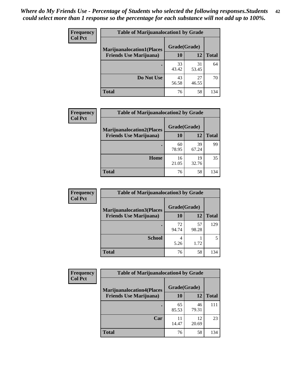| <b>Frequency</b> | <b>Table of Marijuanalocation1 by Grade</b> |              |             |              |
|------------------|---------------------------------------------|--------------|-------------|--------------|
| <b>Col Pct</b>   | <b>Marijuanalocation1(Places</b>            | Grade(Grade) |             |              |
|                  | <b>Friends Use Marijuana</b> )              | 10           | 12          | <b>Total</b> |
|                  |                                             | 33<br>43.42  | 31<br>53.45 | 64           |
|                  | Do Not Use                                  | 43<br>56.58  | 27<br>46.55 | 70           |
|                  | Total                                       | 76           | 58          | 134          |

| <b>Frequency</b> | <b>Table of Marijuanalocation2 by Grade</b>                        |                           |             |              |
|------------------|--------------------------------------------------------------------|---------------------------|-------------|--------------|
| <b>Col Pct</b>   | <b>Marijuanalocation2(Places</b><br><b>Friends Use Marijuana</b> ) | Grade(Grade)<br><b>10</b> | 12          | <b>Total</b> |
|                  |                                                                    | 60<br>78.95               | 39<br>67.24 | 99           |
|                  | Home                                                               | 16<br>21.05               | 19<br>32.76 | 35           |
|                  | <b>Total</b>                                                       | 76                        | 58          | 134          |

| Frequency<br><b>Col Pct</b> | <b>Table of Marijuanalocation3 by Grade</b> |              |             |              |
|-----------------------------|---------------------------------------------|--------------|-------------|--------------|
|                             | <b>Marijuanalocation3</b> (Places           | Grade(Grade) |             |              |
|                             | <b>Friends Use Marijuana</b> )              | 10           | 12          | <b>Total</b> |
|                             |                                             | 72<br>94.74  | 57<br>98.28 | 129          |
|                             | <b>School</b>                               | 4<br>5.26    | 1.72        |              |
|                             | <b>Total</b>                                | 76           | 58          | 134          |

| <b>Frequency</b> | <b>Table of Marijuanalocation4 by Grade</b> |              |             |              |  |
|------------------|---------------------------------------------|--------------|-------------|--------------|--|
| <b>Col Pct</b>   | <b>Marijuanalocation4(Places</b>            | Grade(Grade) |             |              |  |
|                  | <b>Friends Use Marijuana</b> )              | <b>10</b>    | 12          | <b>Total</b> |  |
|                  |                                             | 65<br>85.53  | 46<br>79.31 | 111          |  |
|                  | Car                                         | 11<br>14.47  | 12<br>20.69 | 23           |  |
|                  | <b>Total</b>                                | 76           | 58          | 134          |  |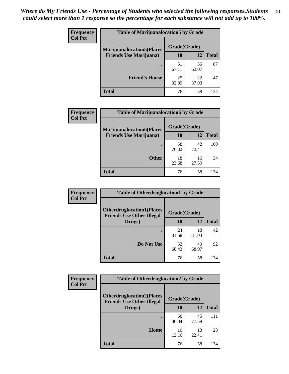| <b>Frequency</b> | <b>Table of Marijuanalocation5 by Grade</b> |              |             |              |
|------------------|---------------------------------------------|--------------|-------------|--------------|
| <b>Col Pct</b>   | <b>Marijuanalocation5(Places)</b>           | Grade(Grade) |             |              |
|                  | <b>Friends Use Marijuana</b> )              | 10           | 12          | <b>Total</b> |
|                  |                                             | 51<br>67.11  | 36<br>62.07 | 87           |
|                  | <b>Friend's House</b>                       | 25<br>32.89  | 22<br>37.93 | 47           |
|                  | <b>Total</b>                                | 76           | 58          | 134          |

| <b>Frequency</b> | <b>Table of Marijuanalocation6 by Grade</b> |              |             |              |
|------------------|---------------------------------------------|--------------|-------------|--------------|
| <b>Col Pct</b>   | <b>Marijuanalocation6(Places</b>            | Grade(Grade) |             |              |
|                  | <b>Friends Use Marijuana</b> )              | 10           | 12          | <b>Total</b> |
|                  |                                             | 58           | 42          | 100          |
|                  |                                             | 76.32        | 72.41       |              |
|                  | <b>Other</b>                                | 18<br>23.68  | 16<br>27.59 | 34           |
|                  |                                             |              |             |              |
|                  | <b>Total</b>                                | 76           | 58          | 134          |

| <b>Frequency</b> | <b>Table of Otherdruglocation1 by Grade</b> |              |             |              |
|------------------|---------------------------------------------|--------------|-------------|--------------|
| <b>Col Pct</b>   | <b>Otherdruglocation1(Places</b>            | Grade(Grade) |             |              |
|                  | <b>Friends Use Other Illegal</b><br>Drugs)  | 10           | 12          | <b>Total</b> |
|                  |                                             | 24<br>31.58  | 18<br>31.03 | 42           |
|                  | Do Not Use                                  | 52<br>68.42  | 40<br>68.97 | 92           |
|                  | <b>Total</b>                                | 76           | 58          | 134          |

| <b>Frequency</b> | <b>Table of Otherdruglocation2 by Grade</b>                          |              |             |              |
|------------------|----------------------------------------------------------------------|--------------|-------------|--------------|
| <b>Col Pct</b>   | <b>Otherdruglocation2(Places</b><br><b>Friends Use Other Illegal</b> | Grade(Grade) |             |              |
|                  | Drugs)                                                               | 10           | 12          | <b>Total</b> |
|                  |                                                                      | 66<br>86.84  | 45<br>77.59 | 111          |
|                  | Home                                                                 | 10<br>13.16  | 13<br>22.41 | 23           |
|                  | <b>Total</b>                                                         | 76           | 58          | 134          |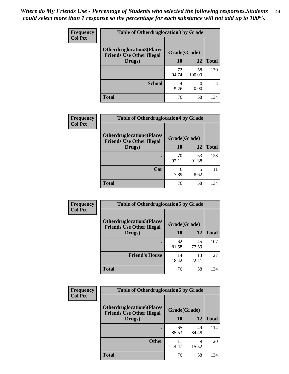| <b>Frequency</b> | <b>Table of Otherdruglocation 3 by Grade</b>                         |              |              |              |
|------------------|----------------------------------------------------------------------|--------------|--------------|--------------|
| <b>Col Pct</b>   | <b>Otherdruglocation3(Places</b><br><b>Friends Use Other Illegal</b> | Grade(Grade) |              |              |
|                  | Drugs)                                                               | <b>10</b>    | 12           | <b>Total</b> |
|                  |                                                                      | 72<br>94.74  | 58<br>100.00 | 130          |
|                  | <b>School</b>                                                        | 5.26         | 0.00         |              |
|                  | <b>Total</b>                                                         | 76           | 58           | 134          |

| <b>Frequency</b> | <b>Table of Otherdruglocation4 by Grade</b>                          |              |             |              |
|------------------|----------------------------------------------------------------------|--------------|-------------|--------------|
| <b>Col Pct</b>   | <b>Otherdruglocation4(Places</b><br><b>Friends Use Other Illegal</b> | Grade(Grade) |             |              |
|                  | Drugs)                                                               | <b>10</b>    | 12          | <b>Total</b> |
|                  |                                                                      | 70<br>92.11  | 53<br>91.38 | 123          |
|                  | Car                                                                  | 6<br>7.89    | 8.62        | 11           |
|                  | <b>Total</b>                                                         | 76           | 58          | 134          |

| <b>Frequency</b> | <b>Table of Otherdruglocation5 by Grade</b>                          |              |             |              |
|------------------|----------------------------------------------------------------------|--------------|-------------|--------------|
| <b>Col Pct</b>   | <b>Otherdruglocation5(Places</b><br><b>Friends Use Other Illegal</b> | Grade(Grade) |             |              |
|                  | Drugs)                                                               | 10           | 12          | <b>Total</b> |
|                  |                                                                      | 62<br>81.58  | 45<br>77.59 | 107          |
|                  | <b>Friend's House</b>                                                | 14<br>18.42  | 13<br>22.41 | 27           |
|                  | <b>Total</b>                                                         | 76           | 58          | 134          |

| <b>Frequency</b> | <b>Table of Otherdruglocation6 by Grade</b>                          |              |             |              |
|------------------|----------------------------------------------------------------------|--------------|-------------|--------------|
| <b>Col Pct</b>   | <b>Otherdruglocation6(Places</b><br><b>Friends Use Other Illegal</b> | Grade(Grade) |             |              |
|                  | Drugs)                                                               | <b>10</b>    | 12          | <b>Total</b> |
|                  |                                                                      | 65<br>85.53  | 49<br>84.48 | 114          |
|                  | <b>Other</b>                                                         | 11<br>14.47  | 9<br>15.52  | 20           |
|                  | <b>Total</b>                                                         | 76           | 58          | 134          |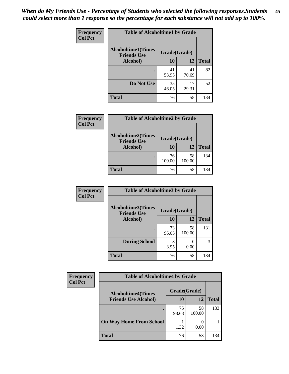| Frequency      | <b>Table of Alcoholtime1 by Grade</b>           |              |             |              |
|----------------|-------------------------------------------------|--------------|-------------|--------------|
| <b>Col Pct</b> | <b>Alcoholtime1(Times</b><br><b>Friends Use</b> | Grade(Grade) |             |              |
|                | Alcohol)                                        | 10           | 12          | <b>Total</b> |
|                |                                                 | 41<br>53.95  | 41<br>70.69 | 82           |
|                | Do Not Use                                      | 35<br>46.05  | 17<br>29.31 | 52           |
|                | <b>Total</b>                                    | 76           | 58          | 134          |

| <b>Frequency</b> | <b>Table of Alcoholtime2 by Grade</b>           |              |              |              |
|------------------|-------------------------------------------------|--------------|--------------|--------------|
| <b>Col Pct</b>   | <b>Alcoholtime2(Times</b><br><b>Friends Use</b> | Grade(Grade) |              |              |
|                  | Alcohol)                                        | 10           | 12           | <b>Total</b> |
|                  |                                                 | 76<br>100.00 | 58<br>100.00 | 134          |
|                  | <b>Total</b>                                    | 76           | 58           | 134          |

| Frequency      | <b>Table of Alcoholtime3 by Grade</b>           |              |              |              |
|----------------|-------------------------------------------------|--------------|--------------|--------------|
| <b>Col Pct</b> | <b>Alcoholtime3(Times</b><br><b>Friends Use</b> | Grade(Grade) |              |              |
|                | Alcohol)                                        | 10           | 12           | <b>Total</b> |
|                | ٠                                               | 73<br>96.05  | 58<br>100.00 | 131          |
|                | <b>During School</b>                            | 3<br>3.95    | 0<br>0.00    | 3            |
|                | <b>Total</b>                                    | 76           | 58           | 134          |

| Frequency<br><b>Col Pct</b> | <b>Table of Alcoholtime4 by Grade</b> |              |              |              |
|-----------------------------|---------------------------------------|--------------|--------------|--------------|
|                             | <b>Alcoholtime4(Times</b>             | Grade(Grade) |              |              |
|                             | <b>Friends Use Alcohol)</b>           | 10           | 12           | <b>Total</b> |
|                             |                                       | 75<br>98.68  | 58<br>100.00 | 133          |
|                             | <b>On Way Home From School</b>        | 1.32         | 0.00         |              |
|                             | <b>Total</b>                          | 76           | 58           | 134          |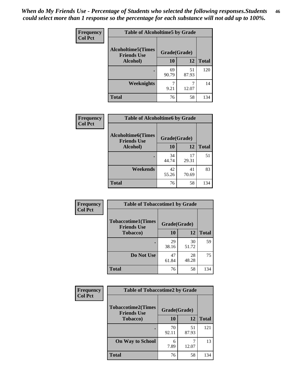*When do My Friends Use - Percentage of Students who selected the following responses.Students could select more than 1 response so the percentage for each substance will not add up to 100%.* **46**

| <b>Frequency</b> | <b>Table of Alcoholtime5 by Grade</b>           |              |             |              |
|------------------|-------------------------------------------------|--------------|-------------|--------------|
| <b>Col Pct</b>   | <b>Alcoholtime5(Times</b><br><b>Friends Use</b> | Grade(Grade) |             |              |
|                  | Alcohol)                                        | 10           | 12          | <b>Total</b> |
|                  |                                                 | 69<br>90.79  | 51<br>87.93 | 120          |
|                  | Weeknights                                      | 9.21         | 12.07       | 14           |
|                  | <b>Total</b>                                    | 76           | 58          | 134          |

| Frequency      | <b>Table of Alcoholtime6 by Grade</b>           |              |             |              |
|----------------|-------------------------------------------------|--------------|-------------|--------------|
| <b>Col Pct</b> | <b>Alcoholtime6(Times</b><br><b>Friends Use</b> | Grade(Grade) |             |              |
|                | Alcohol)                                        | 10           | 12          | <b>Total</b> |
|                |                                                 | 34<br>44.74  | 17<br>29.31 | 51           |
|                | Weekends                                        | 42<br>55.26  | 41<br>70.69 | 83           |
|                | <b>Total</b>                                    | 76           | 58          | 134          |

| <b>Frequency</b><br><b>Col Pct</b> | <b>Table of Tobaccotime1 by Grade</b>           |              |             |              |
|------------------------------------|-------------------------------------------------|--------------|-------------|--------------|
|                                    | <b>Tobaccotime1(Times</b><br><b>Friends Use</b> | Grade(Grade) |             |              |
|                                    | <b>Tobacco</b> )                                | 10           | 12          | <b>Total</b> |
|                                    |                                                 | 29<br>38.16  | 30<br>51.72 | 59           |
|                                    | Do Not Use                                      | 47<br>61.84  | 28<br>48.28 | 75           |
|                                    | <b>Total</b>                                    | 76           | 58          | 134          |

| <b>Frequency</b> | <b>Table of Tobaccotime2 by Grade</b>           |              |             |              |  |
|------------------|-------------------------------------------------|--------------|-------------|--------------|--|
| <b>Col Pct</b>   | <b>Tobaccotime2(Times</b><br><b>Friends Use</b> | Grade(Grade) |             |              |  |
|                  | <b>Tobacco</b> )                                | 10           | 12          | <b>Total</b> |  |
|                  | ٠                                               | 70<br>92.11  | 51<br>87.93 | 121          |  |
|                  | <b>On Way to School</b>                         | 6<br>7.89    | 12.07       | 13           |  |
|                  | <b>Total</b>                                    | 76           | 58          | 134          |  |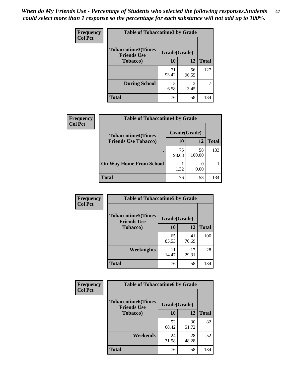*When do My Friends Use - Percentage of Students who selected the following responses.Students could select more than 1 response so the percentage for each substance will not add up to 100%.* **47**

| <b>Frequency</b> | <b>Table of Tobaccotime3 by Grade</b>           |             |                        |              |  |
|------------------|-------------------------------------------------|-------------|------------------------|--------------|--|
| <b>Col Pct</b>   | <b>Tobaccotime3(Times</b><br><b>Friends Use</b> |             | Grade(Grade)           |              |  |
|                  | <b>Tobacco</b> )                                | 10          | 12                     | <b>Total</b> |  |
|                  |                                                 | 71<br>93.42 | 56<br>96.55            | 127          |  |
|                  | <b>During School</b>                            | 5<br>6.58   | $\mathfrak{D}$<br>3.45 |              |  |
|                  | <b>Total</b>                                    | 76          | 58                     | 134          |  |

| Frequency<br><b>Col Pct</b> | <b>Table of Tobaccotime4 by Grade</b> |              |              |              |
|-----------------------------|---------------------------------------|--------------|--------------|--------------|
|                             | <b>Tobaccotime4(Times</b>             | Grade(Grade) |              |              |
|                             | <b>Friends Use Tobacco)</b>           | 10           | 12           | <b>Total</b> |
|                             |                                       | 75<br>98.68  | 58<br>100.00 | 133          |
|                             | <b>On Way Home From School</b>        | 1.32         | 0.00         |              |
|                             | <b>Total</b>                          | 76           | 58           | 134          |

| Frequency      | <b>Table of Tobaccotime5 by Grade</b>           |              |             |              |  |
|----------------|-------------------------------------------------|--------------|-------------|--------------|--|
| <b>Col Pct</b> | <b>Tobaccotime5(Times</b><br><b>Friends Use</b> | Grade(Grade) |             |              |  |
|                | <b>Tobacco</b> )                                | 10           | 12          | <b>Total</b> |  |
|                |                                                 | 65<br>85.53  | 41<br>70.69 | 106          |  |
|                | Weeknights                                      | 11<br>14.47  | 17<br>29.31 | 28           |  |
|                | <b>Total</b>                                    | 76           | 58          | 134          |  |

| Frequency      | <b>Table of Tobaccotime6 by Grade</b>           |              |             |              |
|----------------|-------------------------------------------------|--------------|-------------|--------------|
| <b>Col Pct</b> | <b>Tobaccotime6(Times</b><br><b>Friends Use</b> | Grade(Grade) |             |              |
|                | <b>Tobacco</b> )                                | 10           | 12          | <b>Total</b> |
|                | ٠                                               | 52<br>68.42  | 30<br>51.72 | 82           |
|                | Weekends                                        | 24<br>31.58  | 28<br>48.28 | 52           |
|                | <b>Total</b>                                    | 76           | 58          | 134          |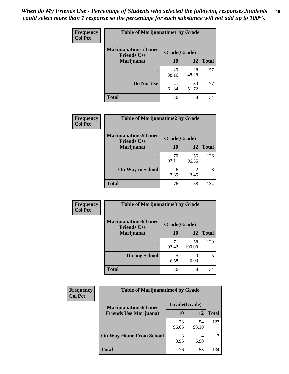| Frequency      | <b>Table of Marijuanatime1 by Grade</b>           |              |             |              |
|----------------|---------------------------------------------------|--------------|-------------|--------------|
| <b>Col Pct</b> | <b>Marijuanatime1(Times</b><br><b>Friends Use</b> | Grade(Grade) |             |              |
|                | Marijuana)                                        | 10           | 12          | <b>Total</b> |
|                |                                                   | 29<br>38.16  | 28<br>48.28 | 57           |
|                | Do Not Use                                        | 47<br>61.84  | 30<br>51.72 | 77           |
|                | <b>Total</b>                                      | 76           | 58          | 134          |

| Frequency      | <b>Table of Marijuanatime2 by Grade</b>           |              |             |              |
|----------------|---------------------------------------------------|--------------|-------------|--------------|
| <b>Col Pct</b> | <b>Marijuanatime2(Times</b><br><b>Friends Use</b> | Grade(Grade) |             |              |
|                | Marijuana)                                        | 10           | 12          | <b>Total</b> |
|                |                                                   | 70<br>92.11  | 56<br>96.55 | 126          |
|                | <b>On Way to School</b>                           | 6<br>7.89    | 3.45        | 8            |
|                | <b>Total</b>                                      | 76           | 58          | 134          |

| Frequency      | <b>Table of Marijuanatime3 by Grade</b>    |              |              |              |  |
|----------------|--------------------------------------------|--------------|--------------|--------------|--|
| <b>Col Pct</b> | Marijuanatime3(Times<br><b>Friends Use</b> | Grade(Grade) |              |              |  |
|                | Marijuana)                                 | 10           | 12           | <b>Total</b> |  |
|                |                                            | 71<br>93.42  | 58<br>100.00 | 129          |  |
|                | <b>During School</b>                       | 5<br>6.58    | 0.00         | 5            |  |
|                | <b>Total</b>                               | 76           | 58           | 134          |  |

| <b>Frequency</b> | <b>Table of Marijuanatime4 by Grade</b> |              |             |              |
|------------------|-----------------------------------------|--------------|-------------|--------------|
| <b>Col Pct</b>   | <b>Marijuanatime4(Times</b>             | Grade(Grade) |             |              |
|                  | <b>Friends Use Marijuana</b> )          | 10           | 12          | <b>Total</b> |
|                  |                                         | 73<br>96.05  | 54<br>93.10 | 127          |
|                  | <b>On Way Home From School</b>          | 3.95         | 6.90        |              |
|                  | <b>Total</b>                            | 76           | 58          | 134          |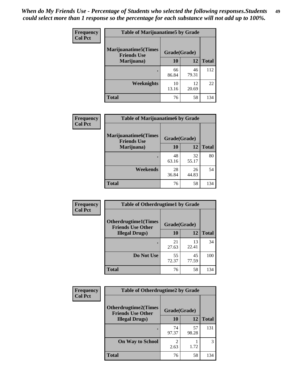| Frequency      | <b>Table of Marijuanatime5 by Grade</b>            |              |             |              |
|----------------|----------------------------------------------------|--------------|-------------|--------------|
| <b>Col Pct</b> | <b>Marijuanatime5</b> (Times<br><b>Friends Use</b> | Grade(Grade) |             |              |
|                | Marijuana)                                         | 10           | 12          | <b>Total</b> |
|                |                                                    | 66<br>86.84  | 46<br>79.31 | 112          |
|                | Weeknights                                         | 10<br>13.16  | 12<br>20.69 | 22           |
|                | <b>Total</b>                                       | 76           | 58          | 134          |

| Frequency      | <b>Table of Marijuanatime6 by Grade</b>            |              |             |              |
|----------------|----------------------------------------------------|--------------|-------------|--------------|
| <b>Col Pct</b> | <b>Marijuanatime6</b> (Times<br><b>Friends Use</b> | Grade(Grade) |             |              |
|                | Marijuana)                                         | 10           | 12          | <b>Total</b> |
|                |                                                    | 48<br>63.16  | 32<br>55.17 | 80           |
|                | Weekends                                           | 28<br>36.84  | 26<br>44.83 | 54           |
|                | <b>Total</b>                                       | 76           | 58          | 134          |

| <b>Frequency</b> | <b>Table of Otherdrugtime1 by Grade</b>                  |              |             |              |  |
|------------------|----------------------------------------------------------|--------------|-------------|--------------|--|
| <b>Col Pct</b>   | <b>Otherdrugtime1</b> (Times<br><b>Friends Use Other</b> | Grade(Grade) |             |              |  |
|                  | <b>Illegal Drugs</b> )                                   | 10           | 12          | <b>Total</b> |  |
|                  |                                                          | 21<br>27.63  | 13<br>22.41 | 34           |  |
|                  | Do Not Use                                               | 55<br>72.37  | 45<br>77.59 | 100          |  |
|                  | <b>Total</b>                                             | 76           | 58          | 134          |  |

| <b>Frequency</b> | <b>Table of Otherdrugtime2 by Grade</b>                 |                                     |             |              |  |  |
|------------------|---------------------------------------------------------|-------------------------------------|-------------|--------------|--|--|
| <b>Col Pct</b>   | <b>Otherdrugtime2(Times</b><br><b>Friends Use Other</b> | Grade(Grade)                        |             |              |  |  |
|                  | <b>Illegal Drugs</b> )                                  | 10                                  | 12          | <b>Total</b> |  |  |
|                  |                                                         | 74<br>97.37                         | 57<br>98.28 | 131          |  |  |
|                  | <b>On Way to School</b>                                 | $\mathcal{D}_{\mathcal{L}}$<br>2.63 | 1.72        | 3            |  |  |
|                  | Total                                                   | 76                                  | 58          | 134          |  |  |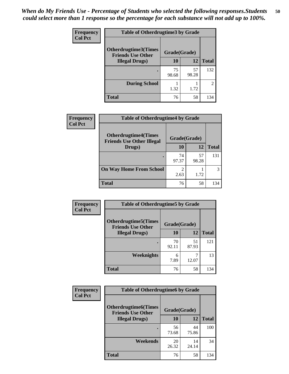| <b>Frequency</b> | <b>Table of Otherdrugtime3 by Grade</b>          |              |             |               |  |  |
|------------------|--------------------------------------------------|--------------|-------------|---------------|--|--|
| <b>Col Pct</b>   | Otherdrugtime3(Times<br><b>Friends Use Other</b> | Grade(Grade) |             |               |  |  |
|                  | <b>Illegal Drugs</b> )                           | 10           | 12          | <b>Total</b>  |  |  |
|                  |                                                  | 75<br>98.68  | 57<br>98.28 | 132           |  |  |
|                  | <b>During School</b>                             | 1.32         | 1.72        | $\mathcal{D}$ |  |  |
|                  | Total                                            | 76           | 58          | 134           |  |  |

| Frequency      | <b>Table of Otherdrugtime4 by Grade</b>                         |                        |             |              |  |  |
|----------------|-----------------------------------------------------------------|------------------------|-------------|--------------|--|--|
| <b>Col Pct</b> | <b>Otherdrugtime4(Times</b><br><b>Friends Use Other Illegal</b> | Grade(Grade)           |             |              |  |  |
|                | Drugs)                                                          | 10                     | 12          | <b>Total</b> |  |  |
|                | $\bullet$                                                       | 74<br>97.37            | 57<br>98.28 | 131          |  |  |
|                | <b>On Way Home From School</b>                                  | $\mathfrak{D}$<br>2.63 | 1.72        | 3            |  |  |
|                | <b>Total</b>                                                    | 76                     | 58          | 134          |  |  |

| <b>Frequency</b> | <b>Table of Otherdrugtime5 by Grade</b>                  |              |             |              |  |  |
|------------------|----------------------------------------------------------|--------------|-------------|--------------|--|--|
| <b>Col Pct</b>   | <b>Otherdrugtime5</b> (Times<br><b>Friends Use Other</b> | Grade(Grade) |             |              |  |  |
|                  | <b>Illegal Drugs</b> )                                   | 10           | 12          | <b>Total</b> |  |  |
|                  |                                                          | 70<br>92.11  | 51<br>87.93 | 121          |  |  |
|                  | Weeknights                                               | 6<br>7.89    | 7<br>12.07  | 13           |  |  |
|                  | Total                                                    | 76           | 58          | 134          |  |  |

| <b>Frequency</b> | <b>Table of Otherdrugtime6 by Grade</b>                 |              |             |              |  |  |
|------------------|---------------------------------------------------------|--------------|-------------|--------------|--|--|
| Col Pct          | <b>Otherdrugtime6(Times</b><br><b>Friends Use Other</b> | Grade(Grade) |             |              |  |  |
|                  | <b>Illegal Drugs</b> )                                  | 10           | 12          | <b>Total</b> |  |  |
|                  |                                                         | 56<br>73.68  | 44<br>75.86 | 100          |  |  |
|                  | Weekends                                                | 20<br>26.32  | 14<br>24.14 | 34           |  |  |
|                  | Total                                                   | 76           | 58          | 134          |  |  |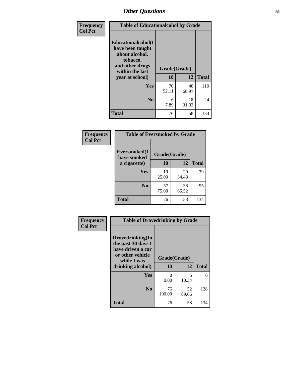| Frequency      | <b>Table of Educationalcohol by Grade</b>                                                                  |              |             |              |  |  |
|----------------|------------------------------------------------------------------------------------------------------------|--------------|-------------|--------------|--|--|
| <b>Col Pct</b> | Educationalcohol(I<br>have been taught<br>about alcohol,<br>tobacco,<br>and other drugs<br>within the last | Grade(Grade) |             |              |  |  |
|                | year at school)                                                                                            | 10           | 12          | <b>Total</b> |  |  |
|                | Yes                                                                                                        | 70<br>92.11  | 40<br>68.97 | 110          |  |  |
|                | N <sub>0</sub>                                                                                             | 6<br>7.89    | 18<br>31.03 | 24           |  |  |
|                | <b>Total</b>                                                                                               | 76           | 58          | 134          |  |  |

| Frequency      | <b>Table of Eversmoked by Grade</b>         |             |             |              |  |  |
|----------------|---------------------------------------------|-------------|-------------|--------------|--|--|
| <b>Col Pct</b> | Eversmoked(I<br>Grade(Grade)<br>have smoked |             |             |              |  |  |
|                | a cigarette)                                | 10          | 12          | <b>Total</b> |  |  |
|                | Yes                                         | 19<br>25.00 | 20<br>34.48 | 39           |  |  |
|                | N <sub>0</sub>                              | 57<br>75.00 | 38<br>65.52 | 95           |  |  |
|                | <b>Total</b>                                | 76          | 58          | 134          |  |  |

| Frequency      | <b>Table of Drovedrinking by Grade</b>                                                                              |                      |             |              |  |  |
|----------------|---------------------------------------------------------------------------------------------------------------------|----------------------|-------------|--------------|--|--|
| <b>Col Pct</b> | Drovedrinking(In<br>the past 30 days I<br>have driven a car<br>or other vehicle<br>while I was<br>drinking alcohol) | Grade(Grade)<br>10   | 12          | <b>Total</b> |  |  |
|                | Yes                                                                                                                 | $\mathbf{0}$<br>0.00 | 6<br>10.34  | 6            |  |  |
|                | N <sub>0</sub>                                                                                                      | 76<br>100.00         | 52<br>89.66 | 128          |  |  |
|                | <b>Total</b>                                                                                                        | 76                   | 58          | 134          |  |  |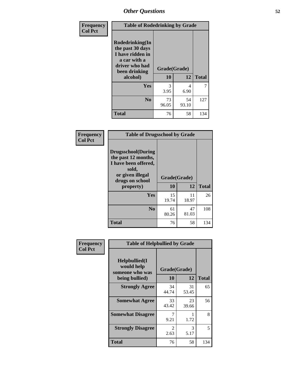| Frequency      | <b>Table of Rodedrinking by Grade</b>                                                                      |              |             |              |  |  |  |
|----------------|------------------------------------------------------------------------------------------------------------|--------------|-------------|--------------|--|--|--|
| <b>Col Pct</b> | Rodedrinking(In<br>the past 30 days<br>I have ridden in<br>a car with a<br>driver who had<br>been drinking | Grade(Grade) |             |              |  |  |  |
|                | alcohol)                                                                                                   | 10           | 12          | <b>Total</b> |  |  |  |
|                | <b>Yes</b>                                                                                                 | 3<br>3.95    | 4<br>6.90   | 7            |  |  |  |
|                | N <sub>0</sub>                                                                                             | 73<br>96.05  | 54<br>93.10 | 127          |  |  |  |
|                | <b>Total</b>                                                                                               | 76           | 58          | 134          |  |  |  |

#### **Frequency Col Pct**

| <b>Table of Drugsschool by Grade</b>                                                                                      |              |             |              |  |  |  |
|---------------------------------------------------------------------------------------------------------------------------|--------------|-------------|--------------|--|--|--|
| <b>Drugsschool</b> (During<br>the past 12 months,<br>I have been offered,<br>sold,<br>or given illegal<br>drugs on school | Grade(Grade) |             |              |  |  |  |
| property)                                                                                                                 | 10           | 12          | <b>Total</b> |  |  |  |
| Yes                                                                                                                       | 15<br>19.74  | 11<br>18.97 | 26           |  |  |  |
| N <sub>0</sub>                                                                                                            | 61<br>80.26  | 47<br>81.03 | 108          |  |  |  |
|                                                                                                                           |              |             |              |  |  |  |

| Frequency      | <b>Table of Helpbullied by Grade</b>                                   |                                 |             |              |  |  |  |
|----------------|------------------------------------------------------------------------|---------------------------------|-------------|--------------|--|--|--|
| <b>Col Pct</b> | $Helpb$ ullied $(I$<br>would help<br>someone who was<br>being bullied) | Grade(Grade)<br>12<br><b>10</b> |             | <b>Total</b> |  |  |  |
|                |                                                                        |                                 |             |              |  |  |  |
|                | <b>Strongly Agree</b>                                                  | 34<br>44.74                     | 31<br>53.45 | 65           |  |  |  |
|                | <b>Somewhat Agree</b>                                                  | 33<br>43.42                     | 23<br>39.66 | 56           |  |  |  |
|                | <b>Somewhat Disagree</b>                                               | 7<br>9.21                       | 1.72        | 8            |  |  |  |
|                | <b>Strongly Disagree</b>                                               | 2<br>2.63                       | 3<br>5.17   | 5            |  |  |  |
|                | <b>Total</b>                                                           | 76                              | 58          | 134          |  |  |  |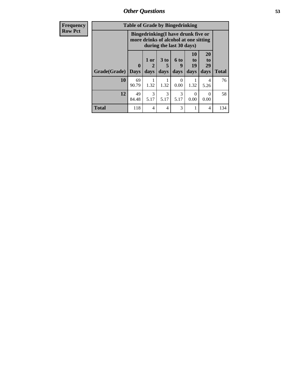*Other Questions* **53**

| <b>Frequency</b> | <b>Table of Grade by Bingedrinking</b> |                         |                                                                             |                |                          |                        |                        |              |
|------------------|----------------------------------------|-------------------------|-----------------------------------------------------------------------------|----------------|--------------------------|------------------------|------------------------|--------------|
| <b>Row Pct</b>   |                                        |                         | Bingedrinking(I have drunk five or<br>more drinks of alcohol at one sitting |                | during the last 30 days) |                        |                        |              |
|                  | Grade(Grade)                           | $\bf{0}$<br><b>Days</b> | $1$ or<br>days                                                              | $3$ to<br>days | $6$ to<br>9<br>days      | 10<br>to<br>19<br>days | 20<br>to<br>29<br>days | <b>Total</b> |
|                  | 10                                     | 69<br>90.79             | 1.32                                                                        | 1.32           | $\Omega$<br>0.00         | 1.32                   | 4<br>5.26              | 76           |
|                  | 12                                     | 49<br>84.48             | 3<br>5.17                                                                   | 3<br>5.17      | 3<br>5.17                | $\Omega$<br>0.00       | $\Omega$<br>0.00       | 58           |
|                  | <b>Total</b>                           | 118                     | 4                                                                           | 4              | 3                        | 1                      | 4                      | 134          |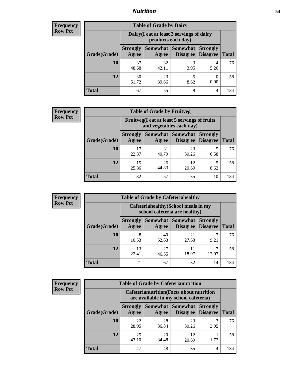### *Nutrition* **54**

| Frequency |
|-----------|
| Row Pct   |

| <b>Table of Grade by Dairy</b> |                          |                                                                 |                             |                                    |              |  |
|--------------------------------|--------------------------|-----------------------------------------------------------------|-----------------------------|------------------------------------|--------------|--|
|                                |                          | Dairy (I eat at least 3 servings of dairy<br>products each day) |                             |                                    |              |  |
| Grade(Grade)                   | <b>Strongly</b><br>Agree | <b>Somewhat</b><br>Agree                                        | <b>Somewhat</b><br>Disagree | <b>Strongly</b><br><b>Disagree</b> | <b>Total</b> |  |
| 10                             | 37<br>48.68              | 32<br>42.11                                                     | 3<br>3.95                   | 4<br>5.26                          | 76           |  |
| 12                             | 30<br>51.72              | 23<br>39.66                                                     | 5<br>8.62                   | 0<br>0.00                          | 58           |  |
| <b>Total</b>                   | 67                       | 55                                                              | 8                           | 4                                  | 134          |  |

| <b>Frequency</b> |  |
|------------------|--|
| <b>Row Pct</b>   |  |

| <b>Table of Grade by Fruitveg</b> |                          |                                                                          |                                      |                                    |              |  |
|-----------------------------------|--------------------------|--------------------------------------------------------------------------|--------------------------------------|------------------------------------|--------------|--|
|                                   |                          | Fruitveg(I eat at least 5 servings of fruits<br>and vegetables each day) |                                      |                                    |              |  |
| Grade(Grade)                      | <b>Strongly</b><br>Agree | Agree                                                                    | <b>Somewhat Somewhat</b><br>Disagree | <b>Strongly</b><br><b>Disagree</b> | <b>Total</b> |  |
| 10                                | 22.37                    | 31<br>40.79                                                              | 23<br>30.26                          | 6.58                               | 76           |  |
| 12                                | 15<br>25.86              | 26<br>44.83                                                              | 12<br>20.69                          | 8.62                               | 58           |  |
| <b>Total</b>                      | 32                       | 57                                                                       | 35                                   | 10                                 | 134          |  |

| <b>Frequency</b> |              | <b>Table of Grade by Cafeteriahealthy</b> |                                                                       |                                    |                                    |              |  |
|------------------|--------------|-------------------------------------------|-----------------------------------------------------------------------|------------------------------------|------------------------------------|--------------|--|
| <b>Row Pct</b>   |              |                                           | Cafeteriahealthy (School meals in my<br>school cafeteria are healthy) |                                    |                                    |              |  |
|                  | Grade(Grade) | <b>Strongly</b><br>Agree                  | <b>Somewhat</b><br>Agree                                              | <b>Somewhat</b><br><b>Disagree</b> | <b>Strongly</b><br><b>Disagree</b> | <b>Total</b> |  |
|                  | 10           | 8<br>10.53                                | 40<br>52.63                                                           | 21<br>27.63                        | 9.21                               | 76           |  |
|                  | 12           | 13<br>22.41                               | 27<br>46.55                                                           | 11<br>18.97                        | 12.07                              | 58           |  |
|                  | Total        | 21                                        | 67                                                                    | 32                                 | 14                                 | 134          |  |

| <b>Frequency</b> |
|------------------|
| <b>Row Pct</b>   |

| <b>Table of Grade by Cafeterianutrition</b> |                          |                                                                                           |                               |                                    |              |  |
|---------------------------------------------|--------------------------|-------------------------------------------------------------------------------------------|-------------------------------|------------------------------------|--------------|--|
|                                             |                          | <b>Cafeterianutrition</b> (Facts about nutrition<br>are available in my school cafeteria) |                               |                                    |              |  |
| Grade(Grade)                                | <b>Strongly</b><br>Agree | Agree                                                                                     | Somewhat Somewhat<br>Disagree | <b>Strongly</b><br><b>Disagree</b> | <b>Total</b> |  |
| 10                                          | 22<br>28.95              | 28<br>36.84                                                                               | 23<br>30.26                   | 3.95                               | 76           |  |
| 12                                          | 25<br>43.10              | 20<br>34.48                                                                               | 12<br>20.69                   | 1.72                               | 58           |  |
| Total                                       | 47                       | 48                                                                                        | 35                            | 4                                  | 134          |  |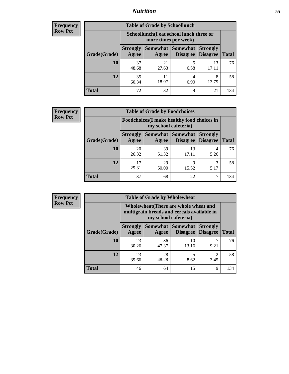### *Nutrition* **55**

| Frequency |
|-----------|
| Row Pct   |

| <b>Table of Grade by Schoollunch</b> |                          |                                                                 |                   |                                        |              |  |
|--------------------------------------|--------------------------|-----------------------------------------------------------------|-------------------|----------------------------------------|--------------|--|
|                                      |                          | Schoollunch(I eat school lunch three or<br>more times per week) |                   |                                        |              |  |
| Grade(Grade)                         | <b>Strongly</b><br>Agree | Agree                                                           | Somewhat Somewhat | <b>Strongly</b><br>Disagree   Disagree | <b>Total</b> |  |
| 10                                   | 37<br>48.68              | 21<br>27.63                                                     | 5<br>6.58         | 13<br>17.11                            | 76           |  |
| 12                                   | 35<br>60.34              | 11<br>18.97                                                     | 4<br>6.90         | 8<br>13.79                             | 58           |  |
| <b>Total</b>                         | 72                       | 32                                                              | 9                 | 21                                     | 134          |  |

| <b>Frequency</b> |  |
|------------------|--|
| <b>Row Pct</b>   |  |

| <b>Table of Grade by Foodchoices</b> |                          |                                                                            |                                        |                                    |              |  |
|--------------------------------------|--------------------------|----------------------------------------------------------------------------|----------------------------------------|------------------------------------|--------------|--|
|                                      |                          | <b>Foodchoices</b> (I make healthy food choices in<br>my school cafeteria) |                                        |                                    |              |  |
| Grade(Grade)                         | <b>Strongly</b><br>Agree | Agree                                                                      | <b>Somewhat   Somewhat</b><br>Disagree | <b>Strongly</b><br><b>Disagree</b> | <b>Total</b> |  |
| 10                                   | 20<br>26.32              | 39<br>51.32                                                                | 13<br>17.11                            | 5.26                               | 76           |  |
| 12                                   | 17<br>29.31              | 29<br>50.00                                                                | 9<br>15.52                             | 5.17                               | 58           |  |
| <b>Total</b>                         | 37                       | 68                                                                         | 22                                     |                                    | 134          |  |

| <b>Frequency</b> |
|------------------|
| <b>Row Pct</b>   |

| V | <b>Table of Grade by Wholewheat</b> |                                                                                                             |             |                                             |                                    |              |
|---|-------------------------------------|-------------------------------------------------------------------------------------------------------------|-------------|---------------------------------------------|------------------------------------|--------------|
|   |                                     | Wholewheat (There are whole wheat and<br>multigrain breads and cereals available in<br>my school cafeteria) |             |                                             |                                    |              |
|   | Grade(Grade)                        | <b>Strongly</b><br>Agree                                                                                    | Agree       | <b>Somewhat Somewhat</b><br><b>Disagree</b> | <b>Strongly</b><br><b>Disagree</b> | <b>Total</b> |
|   | 10                                  | 23<br>30.26                                                                                                 | 36<br>47.37 | 10<br>13.16                                 | 9.21                               | 76           |
|   | 12                                  | 23<br>39.66                                                                                                 | 28<br>48.28 | 5<br>8.62                                   | 3.45                               | 58           |
|   | <b>Total</b>                        | 46                                                                                                          | 64          | 15                                          | 9                                  | 134          |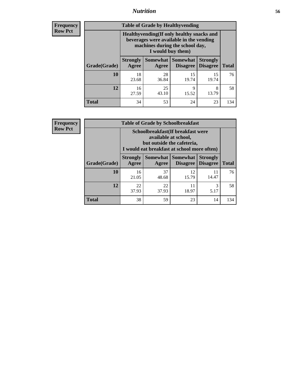### *Nutrition* **56**

**Frequency Row Pct**

| <b>Table of Grade by Healthyvending</b> |                                                                                                                                               |             |                                        |                                    |              |  |  |
|-----------------------------------------|-----------------------------------------------------------------------------------------------------------------------------------------------|-------------|----------------------------------------|------------------------------------|--------------|--|--|
|                                         | Healthyvending (If only healthy snacks and<br>beverages were available in the vending<br>machines during the school day,<br>I would buy them) |             |                                        |                                    |              |  |  |
| Grade(Grade)                            | <b>Strongly</b><br>Agree                                                                                                                      | Agree       | Somewhat   Somewhat<br><b>Disagree</b> | <b>Strongly</b><br><b>Disagree</b> | <b>Total</b> |  |  |
| 10                                      | 18<br>23.68                                                                                                                                   | 28<br>36.84 | 15<br>19.74                            | 15<br>19.74                        | 76           |  |  |
| 12                                      | 16<br>27.59                                                                                                                                   | 25<br>43.10 | 9<br>15.52                             | 8<br>13.79                         | 58           |  |  |
| <b>Total</b>                            | 34                                                                                                                                            | 53          | 24                                     | 23                                 | 134          |  |  |

**Frequency Row Pct**

| <b>Table of Grade by Schoolbreakfast</b> |                                                                                                                                        |             |                                            |                 |              |  |  |
|------------------------------------------|----------------------------------------------------------------------------------------------------------------------------------------|-------------|--------------------------------------------|-----------------|--------------|--|--|
|                                          | Schoolbreakfast(If breakfast were<br>available at school,<br>but outside the cafeteria,<br>I would eat breakfast at school more often) |             |                                            |                 |              |  |  |
| Grade(Grade)                             | <b>Strongly</b><br><b>Agree</b>                                                                                                        | Agree       | Somewhat   Somewhat<br>Disagree   Disagree | <b>Strongly</b> | <b>Total</b> |  |  |
| 10                                       | 16<br>21.05                                                                                                                            | 37<br>48.68 | 12<br>15.79                                | 11<br>14.47     | 76           |  |  |
| 12                                       | 22<br>37.93                                                                                                                            | 22<br>37.93 | 11<br>18.97                                | 3<br>5.17       | 58           |  |  |
| <b>Total</b>                             | 38                                                                                                                                     | 59          | 23                                         | 14              | 134          |  |  |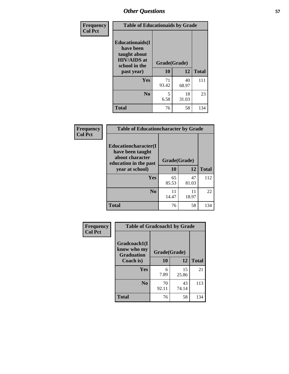| Frequency<br><b>Col Pct</b> | <b>Table of Educationaids by Grade</b>                                                                    |                    |             |              |
|-----------------------------|-----------------------------------------------------------------------------------------------------------|--------------------|-------------|--------------|
|                             | <b>Educationaids</b> (I<br>have been<br>taught about<br><b>HIV/AIDS</b> at<br>school in the<br>past year) | Grade(Grade)<br>10 | 12          | <b>Total</b> |
|                             | <b>Yes</b>                                                                                                | 71<br>93.42        | 40<br>68.97 | 111          |
|                             | N <sub>0</sub>                                                                                            | 5<br>6.58          | 18<br>31.03 | 23           |
|                             | <b>Total</b>                                                                                              | 76                 | 58          | 134          |

| Frequency      | <b>Table of Educationcharacter by Grade</b>                                                                     |              |             |              |
|----------------|-----------------------------------------------------------------------------------------------------------------|--------------|-------------|--------------|
| <b>Col Pct</b> | <b>Educationcharacter(I)</b><br>have been taught<br>about character<br>education in the past<br>year at school) | Grade(Grade) |             |              |
|                |                                                                                                                 | 10           | 12          | <b>Total</b> |
|                | Yes                                                                                                             | 65<br>85.53  | 47<br>81.03 | 112          |
|                | N <sub>0</sub>                                                                                                  | 11<br>14.47  | 11<br>18.97 | 22           |
|                | <b>Total</b>                                                                                                    | 76           | 58          | 134          |

| Frequency      | <b>Table of Gradcoach1 by Grade</b> |              |             |              |
|----------------|-------------------------------------|--------------|-------------|--------------|
| <b>Col Pct</b> | Gradcoach1(I<br>know who my         | Grade(Grade) |             |              |
|                | <b>Graduation</b><br>Coach is)      | 10           | 12          | <b>Total</b> |
|                | Yes                                 | 6<br>7.89    | 15<br>25.86 | 21           |
|                | N <sub>0</sub>                      | 70<br>92.11  | 43<br>74.14 | 113          |
|                | <b>Total</b>                        | 76           | 58          | 134          |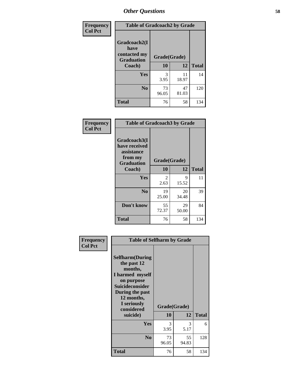| Frequency      | <b>Table of Gradcoach2 by Grade</b> |              |             |              |
|----------------|-------------------------------------|--------------|-------------|--------------|
| <b>Col Pct</b> |                                     |              |             |              |
|                | Gradcoach2(I<br>have                |              |             |              |
|                | contacted my<br><b>Graduation</b>   | Grade(Grade) |             |              |
|                | Coach)                              | 10           | 12          | <b>Total</b> |
|                | Yes                                 | 3<br>3.95    | 11<br>18.97 | 14           |
|                | N <sub>0</sub>                      | 73<br>96.05  | 47<br>81.03 | 120          |
|                | <b>Total</b>                        | 76           | 58          | 134          |

| Frequency<br><b>Col Pct</b> | <b>Table of Gradcoach3 by Grade</b>                                         |              |             |              |
|-----------------------------|-----------------------------------------------------------------------------|--------------|-------------|--------------|
|                             | Gradcoach3(I<br>have received<br>assistance<br>from my<br><b>Graduation</b> | Grade(Grade) |             |              |
|                             | Coach)                                                                      | 10           | 12          | <b>Total</b> |
|                             | Yes                                                                         | 2            | 9           | 11           |
|                             |                                                                             | 2.63         | 15.52       |              |
|                             | N <sub>0</sub>                                                              | 19           | 20          | 39           |
|                             |                                                                             | 25.00        | 34.48       |              |
|                             | Don't know                                                                  | 55<br>72.37  | 29<br>50.00 | 84           |
|                             | <b>Total</b>                                                                | 76           | 58          | 134          |

| Frequency<br><b>Col Pct</b> | <b>Table of Selfharm by Grade</b>                                                                                                                                                      |                    |             |              |
|-----------------------------|----------------------------------------------------------------------------------------------------------------------------------------------------------------------------------------|--------------------|-------------|--------------|
|                             | <b>Selfharm</b> (During<br>the past 12<br>months,<br>I harmed myself<br>on purpose<br><b>Suicideconsider</b><br>During the past<br>12 months,<br>I seriously<br>considered<br>suicide) | Grade(Grade)<br>10 | 12          | <b>Total</b> |
|                             |                                                                                                                                                                                        |                    |             |              |
|                             | Yes                                                                                                                                                                                    | 3<br>3.95          | 3<br>5.17   | 6            |
|                             | N <sub>0</sub>                                                                                                                                                                         | 73<br>96.05        | 55<br>94.83 | 128          |
|                             | <b>Total</b>                                                                                                                                                                           | 76                 | 58          | 134          |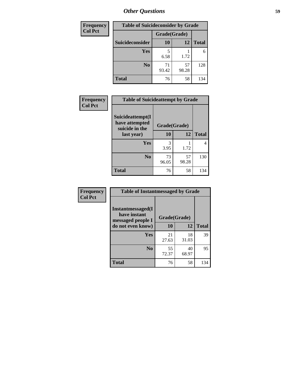| <b>Frequency</b> | <b>Table of Suicideconsider by Grade</b> |              |             |              |
|------------------|------------------------------------------|--------------|-------------|--------------|
| <b>Col Pct</b>   |                                          | Grade(Grade) |             |              |
|                  | Suicideconsider                          | <b>10</b>    | 12          | <b>Total</b> |
|                  | <b>Yes</b>                               | 5<br>6.58    | 1.72        | 6            |
|                  | N <sub>0</sub>                           | 71<br>93.42  | 57<br>98.28 | 128          |
|                  | <b>Total</b>                             | 76           | 58          | 134          |

| Frequency      | <b>Table of Suicideattempt by Grade</b>              |              |             |              |
|----------------|------------------------------------------------------|--------------|-------------|--------------|
| <b>Col Pct</b> | Suicideattempt(I<br>have attempted<br>suicide in the | Grade(Grade) |             |              |
|                | last year)                                           | 10           | 12          | <b>Total</b> |
|                | Yes                                                  | 3<br>3.95    | 1.72        | 4            |
|                | N <sub>0</sub>                                       | 73<br>96.05  | 57<br>98.28 | 130          |
|                | <b>Total</b>                                         | 76           | 58          | 134          |

| Frequency      | <b>Table of Instantmessaged by Grade</b>               |              |             |              |  |
|----------------|--------------------------------------------------------|--------------|-------------|--------------|--|
| <b>Col Pct</b> | Instantmessaged(I<br>have instant<br>messaged people I | Grade(Grade) |             |              |  |
|                | do not even know)                                      | 10           | 12          | <b>Total</b> |  |
|                | Yes                                                    | 21<br>27.63  | 18<br>31.03 | 39           |  |
|                | N <sub>0</sub>                                         | 55<br>72.37  | 40<br>68.97 | 95           |  |
|                | <b>Total</b>                                           | 76           | 58          | 134          |  |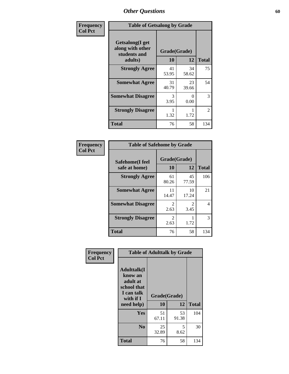| Frequency      | <b>Table of Getsalong by Grade</b>                          |              |             |              |  |  |  |
|----------------|-------------------------------------------------------------|--------------|-------------|--------------|--|--|--|
| <b>Col Pct</b> | <b>Getsalong</b> (I get<br>along with other<br>students and | Grade(Grade) |             |              |  |  |  |
|                | adults)                                                     | 10           | 12          | <b>Total</b> |  |  |  |
|                | <b>Strongly Agree</b>                                       | 41<br>53.95  | 34<br>58.62 | 75           |  |  |  |
|                | <b>Somewhat Agree</b>                                       | 31<br>40.79  | 23<br>39.66 | 54           |  |  |  |
|                | <b>Somewhat Disagree</b>                                    | 3<br>3.95    | 0<br>0.00   | 3            |  |  |  |
|                | <b>Strongly Disagree</b>                                    | 1.32         | 1.72        | 2            |  |  |  |
|                | <b>Total</b>                                                | 76           | 58          | 134          |  |  |  |

| Frequency      | <b>Table of Safehome by Grade</b> |                        |             |              |  |  |  |  |
|----------------|-----------------------------------|------------------------|-------------|--------------|--|--|--|--|
| <b>Col Pct</b> | Safehome(I feel<br>safe at home)  | Grade(Grade)<br>10     | 12          | <b>Total</b> |  |  |  |  |
|                | <b>Strongly Agree</b>             | 61<br>80.26            | 45<br>77.59 | 106          |  |  |  |  |
|                | <b>Somewhat Agree</b>             | 11<br>14.47            | 10<br>17.24 | 21           |  |  |  |  |
|                | <b>Somewhat Disagree</b>          | 2<br>2.63              | 2<br>3.45   | 4            |  |  |  |  |
|                | <b>Strongly Disagree</b>          | $\mathfrak{D}$<br>2.63 | 1.72        | 3            |  |  |  |  |
|                | <b>Total</b>                      | 76                     | 58          | 134          |  |  |  |  |

| Frequency      | <b>Table of Adulttalk by Grade</b>                                                                |                    |             |              |  |  |  |
|----------------|---------------------------------------------------------------------------------------------------|--------------------|-------------|--------------|--|--|--|
| <b>Col Pct</b> | <b>Adulttalk(I</b><br>know an<br>adult at<br>school that<br>I can talk<br>with if I<br>need help) | Grade(Grade)<br>10 | 12          | <b>Total</b> |  |  |  |
|                |                                                                                                   |                    |             |              |  |  |  |
|                | Yes                                                                                               | 51<br>67.11        | 53<br>91.38 | 104          |  |  |  |
|                | N <sub>0</sub>                                                                                    | 25<br>32.89        | 5<br>8.62   | 30           |  |  |  |
|                | <b>Total</b>                                                                                      | 76                 | 58          | 134          |  |  |  |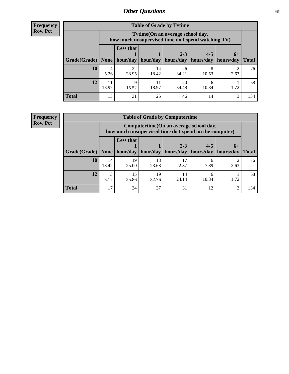**Frequency Row Pct**

| <b>Table of Grade by Tytime</b> |             |                                                                                        |             |                                                         |            |      |              |  |  |  |
|---------------------------------|-------------|----------------------------------------------------------------------------------------|-------------|---------------------------------------------------------|------------|------|--------------|--|--|--|
|                                 |             | Tvtime(On an average school day,<br>how much unsupervised time do I spend watching TV) |             |                                                         |            |      |              |  |  |  |
| Grade(Grade)   None   hour/day  |             | <b>Less that</b>                                                                       |             | $2 - 3$<br>hour/day   hours/day   hours/day   hours/day | $4 - 5$    | $6+$ | <b>Total</b> |  |  |  |
|                                 |             |                                                                                        |             |                                                         |            |      |              |  |  |  |
| 10                              | 4<br>5.26   | 22<br>28.95                                                                            | 14<br>18.42 | 26<br>34.21                                             | 10.53      | 2.63 | 76           |  |  |  |
| 12                              | 11<br>18.97 | Q<br>15.52                                                                             | 11<br>18.97 | 20<br>34.48                                             | 6<br>10.34 | 1.72 | 58           |  |  |  |
| <b>Total</b>                    | 15          | 31                                                                                     | 25          | 46                                                      | 14         | 3    | 134          |  |  |  |

**Frequency Row Pct**

| <b>Table of Grade by Computertime</b> |             |                                                                                                   |             |                                 |                      |                   |              |  |  |
|---------------------------------------|-------------|---------------------------------------------------------------------------------------------------|-------------|---------------------------------|----------------------|-------------------|--------------|--|--|
|                                       |             | Computertime (On an average school day,<br>how much unsupervised time do I spend on the computer) |             |                                 |                      |                   |              |  |  |
| Grade(Grade)                          | None        | <b>Less that</b><br>hour/day                                                                      |             | $2 - 3$<br>hour/day   hours/day | $4 - 5$<br>hours/day | $6+$<br>hours/day | <b>Total</b> |  |  |
| 10                                    | 14<br>18.42 | 19<br>25.00                                                                                       | 18<br>23.68 | 17<br>22.37                     | 6<br>7.89            | 2.63              | 76           |  |  |
| 12                                    | 3<br>5.17   | 15<br>19<br>14<br>h<br>24.14<br>10.34<br>1.72<br>25.86<br>32.76                                   |             |                                 |                      |                   |              |  |  |
| <b>Total</b>                          | 17          | 34                                                                                                | 37          | 31                              | 12                   | 3                 | 134          |  |  |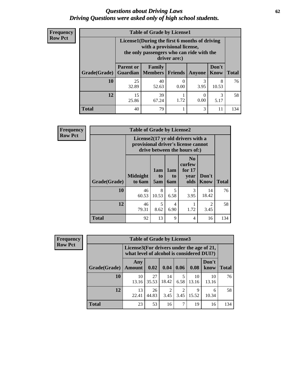#### *Questions about Driving Laws* **62** *Driving Questions were asked only of high school students.*

| <b>Frequency</b> |
|------------------|
| <b>Row Pct</b>   |

| <b>Table of Grade by License1</b> |                                                         |                                                                                                                                           |         |           |                      |              |  |  |  |
|-----------------------------------|---------------------------------------------------------|-------------------------------------------------------------------------------------------------------------------------------------------|---------|-----------|----------------------|--------------|--|--|--|
|                                   |                                                         | License1(During the first 6 months of driving<br>with a provisional license,<br>the only passengers who can ride with the<br>driver are:) |         |           |                      |              |  |  |  |
| <b>Grade</b> (Grade)              | <b>Parent or</b><br><b>Guardian</b>                     | <b>Family</b><br>  Members                                                                                                                | Friends | Anyone    | Don't<br><b>Know</b> | <b>Total</b> |  |  |  |
| <b>10</b>                         | 25<br>32.89                                             | 40<br>52.63                                                                                                                               | 0.00    | 3<br>3.95 | 8<br>10.53           | 76           |  |  |  |
| 12                                | 15<br>39<br>3<br>1.72<br>0.00<br>25.86<br>5.17<br>67.24 |                                                                                                                                           |         |           |                      |              |  |  |  |
| <b>Total</b>                      | 40                                                      | 79                                                                                                                                        |         | 3         | 11                   | 134          |  |  |  |

| <b>Frequency</b> |              | <b>Table of Grade by License2</b>                                                                        |                  |                  |                                                      |                      |              |  |
|------------------|--------------|----------------------------------------------------------------------------------------------------------|------------------|------------------|------------------------------------------------------|----------------------|--------------|--|
| <b>Row Pct</b>   |              | License2(17 yr old drivers with a<br>provisional driver's license cannot<br>drive between the hours of:) |                  |                  |                                                      |                      |              |  |
|                  | Grade(Grade) | <b>Midnight</b><br>to 6am                                                                                | 1am<br>to<br>5am | 1am<br>to<br>6am | N <sub>0</sub><br>curfew<br>for $17$<br>year<br>olds | Don't<br><b>Know</b> | <b>Total</b> |  |
|                  | 10           | 46<br>60.53                                                                                              | 8<br>10.53       | 5<br>6.58        | 3<br>3.95                                            | 14<br>18.42          | 76           |  |
|                  | 12           | 46<br>79.31                                                                                              | 5<br>8.62        | 4<br>6.90        | 1.72                                                 | 2<br>3.45            | 58           |  |
|                  | <b>Total</b> | 92                                                                                                       | 13               | 9                | $\overline{4}$                                       | 16                   | 134          |  |

| Frequency      |              | <b>Table of Grade by License3</b> |                                                                                        |                        |                                     |             |               |              |  |
|----------------|--------------|-----------------------------------|----------------------------------------------------------------------------------------|------------------------|-------------------------------------|-------------|---------------|--------------|--|
| <b>Row Pct</b> |              |                                   | License3(For drivers under the age of 21,<br>what level of alcohol is considered DUI?) |                        |                                     |             |               |              |  |
|                | Grade(Grade) | Any<br><b>Amount</b>              | 0.02                                                                                   | 0.04                   | 0.06                                | 0.08        | Don't<br>know | <b>Total</b> |  |
|                | 10           | 10<br>13.16                       | 27<br>35.53                                                                            | 14<br>18.42            | 6.58                                | 10<br>13.16 | 10<br>13.16   | 76           |  |
|                | 12           | 13<br>22.41                       | 26<br>44.83                                                                            | $\mathfrak{D}$<br>3.45 | $\mathcal{D}_{\mathcal{L}}$<br>3.45 | 9<br>15.52  | 6<br>10.34    | 58           |  |
|                | <b>Total</b> | 23                                | 53                                                                                     | 16                     | 7                                   | 19          | 16            | 134          |  |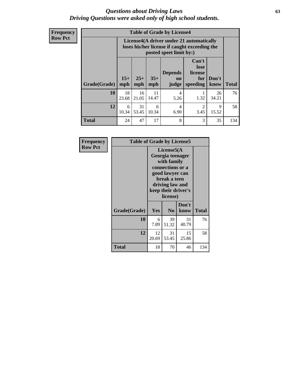#### *Questions about Driving Laws* **63** *Driving Questions were asked only of high school students.*

**Frequency Row Pct**

|              |             |                                                                                                                                                                                                                                                                                |             | <b>Table of Grade by License4</b> |      |             |     |  |  |
|--------------|-------------|--------------------------------------------------------------------------------------------------------------------------------------------------------------------------------------------------------------------------------------------------------------------------------|-------------|-----------------------------------|------|-------------|-----|--|--|
|              |             | License4(A driver under 21 automatically<br>loses his/her license if caught exceeding the<br>posted speet limit by:)<br>Can't<br>lose<br><b>Depends</b><br>license<br>$15+$<br>$25+$<br>$35+$<br>Don't<br>for<br>on<br><b>Total</b><br>speeding<br>mph<br>mph<br>know<br>judge |             |                                   |      |             |     |  |  |
| Grade(Grade) | mph         |                                                                                                                                                                                                                                                                                |             |                                   |      |             |     |  |  |
| 10           | 18<br>23.68 | 16<br>21.05                                                                                                                                                                                                                                                                    | 11<br>14.47 | $\overline{4}$<br>5.26            | 1.32 | 26<br>34.21 | 76  |  |  |
| 12           | 6<br>10.34  | 31<br>$\mathfrak{D}$<br>$\overline{4}$<br>9<br>6<br>53.45<br>3.45<br>15.52<br>10.34<br>6.90                                                                                                                                                                                    |             |                                   |      |             |     |  |  |
| <b>Total</b> | 24          | 47                                                                                                                                                                                                                                                                             | 17          | 8                                 | 3    | 35          | 134 |  |  |

| Frequency      | <b>Table of Grade by License5</b> |                                                                                                                                                             |                |               |       |
|----------------|-----------------------------------|-------------------------------------------------------------------------------------------------------------------------------------------------------------|----------------|---------------|-------|
| <b>Row Pct</b> |                                   | License5(A)<br>Georgia teenager<br>with family<br>connections or a<br>good lawyer can<br>break a teen<br>driving law and<br>keep their driver's<br>license) |                |               |       |
|                | Grade(Grade)                      | Yes                                                                                                                                                         | N <sub>0</sub> | Don't<br>know | Total |
|                | 10                                | 6<br>7.89                                                                                                                                                   | 39<br>51.32    | 31<br>40.79   | 76    |
|                | 12                                | 12<br>20.69                                                                                                                                                 | 31<br>53.45    | 15<br>25.86   | 58    |
|                | <b>Total</b>                      | 18                                                                                                                                                          | 70             | 46            | 134   |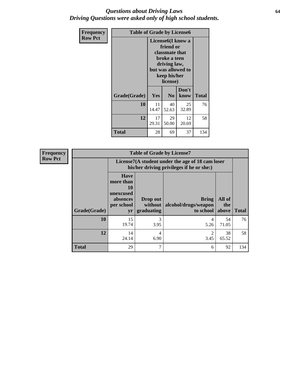#### *Questions about Driving Laws* **64** *Driving Questions were asked only of high school students.*

| <b>Frequency</b> | <b>Table of Grade by License6</b> |                                                                                                                                                 |                |               |              |  |
|------------------|-----------------------------------|-------------------------------------------------------------------------------------------------------------------------------------------------|----------------|---------------|--------------|--|
| <b>Row Pct</b>   |                                   | License <sub>6</sub> (I know a<br>friend or<br>classmate that<br>broke a teen<br>driving law,<br>but was allowed to<br>keep his/her<br>license) |                |               |              |  |
|                  | Grade(Grade)                      | <b>Yes</b>                                                                                                                                      | N <sub>0</sub> | Don't<br>know | <b>Total</b> |  |
|                  | 10                                | 11<br>40<br>25<br>14.47<br>52.63<br>32.89                                                                                                       |                |               | 76           |  |
|                  | 12                                | 17<br>29.31                                                                                                                                     | 58             |               |              |  |
|                  | <b>Total</b>                      | 28                                                                                                                                              | 69             | 37            | 134          |  |

| <b>Frequency</b> |              | <b>Table of Grade by License7</b>                                           |                                                                                               |                                                   |                        |              |  |
|------------------|--------------|-----------------------------------------------------------------------------|-----------------------------------------------------------------------------------------------|---------------------------------------------------|------------------------|--------------|--|
| <b>Row Pct</b>   |              |                                                                             | License7(A student under the age of 18 cam loser<br>his/her driving privileges if he or she:) |                                                   |                        |              |  |
|                  | Grade(Grade) | <b>Have</b><br>more than<br>10<br>unexcused<br>absences<br>per school<br>yr | Drop out<br>without<br>graduating                                                             | <b>Bring</b><br>alcohol/drugs/weapon<br>to school | All of<br>the<br>above | <b>Total</b> |  |
|                  | 10           | 15<br>19.74                                                                 | 3<br>3.95                                                                                     | 4<br>5.26                                         | 54<br>71.05            | 76           |  |
|                  | 12           | 14<br>24.14                                                                 | 4<br>6.90                                                                                     | 2<br>3.45                                         | 38<br>65.52            | 58           |  |
|                  | <b>Total</b> | 29                                                                          | $\mathcal{I}$                                                                                 | 6                                                 | 92                     | 134          |  |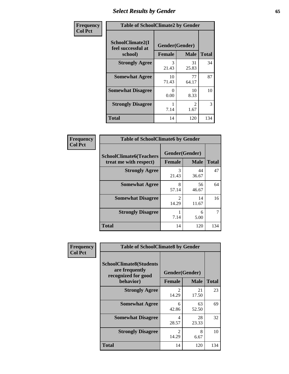# *Select Results by Gender* **65**

| Frequency      | <b>Table of SchoolClimate2 by Gender</b> |                             |                            |                    |
|----------------|------------------------------------------|-----------------------------|----------------------------|--------------------|
| <b>Col Pct</b> | SchoolClimate2(I<br>feel successful at   | Gender(Gender)              |                            |                    |
|                | school)<br><b>Strongly Agree</b>         | <b>Female</b><br>3<br>21.43 | <b>Male</b><br>31<br>25.83 | <b>Total</b><br>34 |
|                | <b>Somewhat Agree</b>                    | 10<br>71.43                 | 77<br>64.17                | 87                 |
|                | <b>Somewhat Disagree</b>                 | 0<br>0.00                   | 10<br>8.33                 | 10                 |
|                | <b>Strongly Disagree</b>                 | 7.14                        | $\mathcal{L}$<br>1.67      | 3                  |
|                | <b>Total</b>                             | 14                          | 120                        | 134                |

| Frequency      | <b>Table of SchoolClimate6 by Gender</b>                 |                                 |             |              |  |
|----------------|----------------------------------------------------------|---------------------------------|-------------|--------------|--|
| <b>Col Pct</b> | <b>SchoolClimate6(Teachers</b><br>treat me with respect) | Gender(Gender)<br><b>Female</b> | <b>Male</b> | <b>Total</b> |  |
|                | <b>Strongly Agree</b>                                    | 3<br>21.43                      | 44<br>36.67 | 47           |  |
|                | <b>Somewhat Agree</b>                                    | 8<br>57.14                      | 56<br>46.67 | 64           |  |
|                | <b>Somewhat Disagree</b>                                 | $\mathfrak{D}$<br>14.29         | 14<br>11.67 | 16           |  |
|                | <b>Strongly Disagree</b>                                 | 7.14                            | 6<br>5.00   | 7            |  |
|                | <b>Total</b>                                             | 14                              | 120         | 134          |  |

| <b>Frequency</b> | <b>Table of SchoolClimate8 by Gender</b>                                |                         |             |              |
|------------------|-------------------------------------------------------------------------|-------------------------|-------------|--------------|
| <b>Col Pct</b>   | <b>SchoolClimate8(Students</b><br>are frequently<br>recognized for good | Gender(Gender)          |             |              |
|                  | behavior)                                                               | <b>Female</b>           | <b>Male</b> | <b>Total</b> |
|                  | <b>Strongly Agree</b>                                                   | $\mathfrak{D}$<br>14.29 | 21<br>17.50 | 23           |
|                  | <b>Somewhat Agree</b>                                                   | 6<br>42.86              | 63<br>52.50 | 69           |
|                  | <b>Somewhat Disagree</b>                                                | 4<br>28.57              | 28<br>23.33 | 32           |
|                  | <b>Strongly Disagree</b>                                                | $\mathfrak{D}$<br>14.29 | 8<br>6.67   | 10           |
|                  | Total                                                                   | 14                      | 120         | 134          |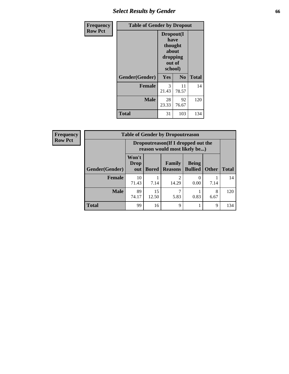## *Select Results by Gender* **66**

| Frequency      | <b>Table of Gender by Dropout</b> |                                                                        |                |              |
|----------------|-----------------------------------|------------------------------------------------------------------------|----------------|--------------|
| <b>Row Pct</b> |                                   | Dropout(I<br>have<br>thought<br>about<br>dropping<br>out of<br>school) |                |              |
|                | Gender(Gender)                    | Yes                                                                    | N <sub>0</sub> | <b>Total</b> |
|                | <b>Female</b>                     | 3<br>21.43                                                             | 11<br>78.57    | 14           |
|                | <b>Male</b>                       | 28<br>23.33                                                            | 92<br>76.67    | 120          |
|                | <b>Total</b>                      | 31                                                                     | 103            | 134          |

| <b>Frequency</b> | <b>Table of Gender by Dropoutreason</b> |                                                                    |              |                          |                                |              |              |
|------------------|-----------------------------------------|--------------------------------------------------------------------|--------------|--------------------------|--------------------------------|--------------|--------------|
| <b>Row Pct</b>   |                                         | Dropoutreason(If I dropped out the<br>reason would most likely be) |              |                          |                                |              |              |
|                  | Gender(Gender)                          | Won't<br><b>Drop</b><br>out                                        | <b>Bored</b> | Family<br><b>Reasons</b> | <b>Being</b><br><b>Bullied</b> | <b>Other</b> | <b>Total</b> |
|                  | <b>Female</b>                           | 10<br>71.43                                                        | 7.14         | ◠<br>14.29               | 0.00                           | 7.14         | 14           |
|                  | <b>Male</b>                             | 89<br>74.17                                                        | 15<br>12.50  | 5.83                     | 0.83                           | 8<br>6.67    | 120          |
|                  | <b>Total</b>                            | 99                                                                 | 16           | 9                        |                                | 9            | 134          |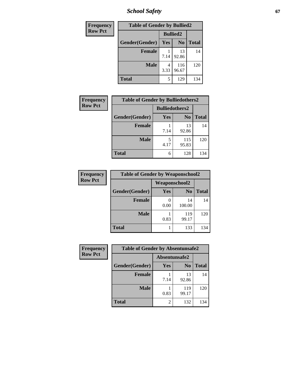*School Safety* **67**

| Frequency      | <b>Table of Gender by Bullied2</b> |                 |                |              |
|----------------|------------------------------------|-----------------|----------------|--------------|
| <b>Row Pct</b> |                                    | <b>Bullied2</b> |                |              |
|                | Gender(Gender)                     | Yes             | N <sub>0</sub> | <b>Total</b> |
|                | <b>Female</b>                      | 7.14            | 13<br>92.86    | 14           |
|                | <b>Male</b>                        | 4<br>3.33       | 116<br>96.67   | 120          |
|                | <b>Total</b>                       | 5               | 129            | 134          |

| Frequency      | <b>Table of Gender by Bulliedothers2</b> |                       |                |              |
|----------------|------------------------------------------|-----------------------|----------------|--------------|
| <b>Row Pct</b> |                                          | <b>Bulliedothers2</b> |                |              |
|                | Gender(Gender)                           | Yes                   | N <sub>0</sub> | <b>Total</b> |
|                | <b>Female</b>                            | 7.14                  | 13<br>92.86    | 14           |
|                | <b>Male</b>                              | 5<br>4.17             | 115<br>95.83   | 120          |
|                | Total                                    | 6                     | 128            | 134          |

| Frequency      | <b>Table of Gender by Weaponschool2</b> |                      |                |              |
|----------------|-----------------------------------------|----------------------|----------------|--------------|
| <b>Row Pct</b> |                                         | <b>Weaponschool2</b> |                |              |
|                | Gender(Gender)                          | Yes                  | N <sub>0</sub> | <b>Total</b> |
|                | <b>Female</b>                           | 0.00                 | 14<br>100.00   | 14           |
|                | <b>Male</b>                             | 0.83                 | 119<br>99.17   | 120          |
|                | <b>Total</b>                            |                      | 133            | 134          |

| <b>Frequency</b> | <b>Table of Gender by Absentunsafe2</b> |                |                |              |
|------------------|-----------------------------------------|----------------|----------------|--------------|
| <b>Row Pct</b>   |                                         | Absentunsafe2  |                |              |
|                  | Gender(Gender)                          | Yes            | N <sub>0</sub> | <b>Total</b> |
|                  | <b>Female</b>                           | 7.14           | 13<br>92.86    | 14           |
|                  | <b>Male</b>                             | 0.83           | 119<br>99.17   | 120          |
|                  | <b>Total</b>                            | $\mathfrak{D}$ | 132            | 134          |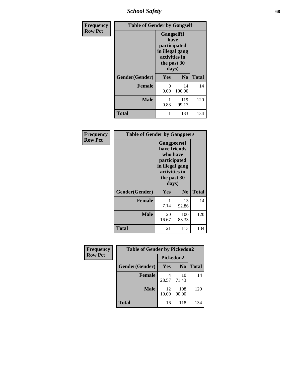*School Safety* **68**

| Frequency      | <b>Table of Gender by Gangself</b> |                                                                                                |                |              |
|----------------|------------------------------------|------------------------------------------------------------------------------------------------|----------------|--------------|
| <b>Row Pct</b> |                                    | Gangself(I<br>have<br>participated<br>in illegal gang<br>activities in<br>the past 30<br>days) |                |              |
|                | Gender(Gender)                     | Yes                                                                                            | N <sub>0</sub> | <b>Total</b> |
|                | <b>Female</b>                      | 0<br>0.00                                                                                      | 14<br>100.00   | 14           |
|                | <b>Male</b>                        | 0.83                                                                                           | 119<br>99.17   | 120          |
|                | <b>Total</b>                       |                                                                                                | 133            | 134          |

| <b>Frequency</b> | <b>Table of Gender by Gangpeers</b> |                                                                                                                             |                |              |
|------------------|-------------------------------------|-----------------------------------------------------------------------------------------------------------------------------|----------------|--------------|
| <b>Row Pct</b>   |                                     | <b>Gangpeers</b> (I<br>have friends<br>who have<br>participated<br>in illegal gang<br>activities in<br>the past 30<br>days) |                |              |
|                  | Gender(Gender)                      | <b>Yes</b>                                                                                                                  | N <sub>0</sub> | <b>Total</b> |
|                  | <b>Female</b>                       | 7.14                                                                                                                        | 13<br>92.86    | 14           |
|                  | <b>Male</b>                         | 20<br>16.67                                                                                                                 | 100<br>83.33   | 120          |
|                  | <b>Total</b>                        | 21                                                                                                                          | 113            | 134          |

| Frequency<br><b>Table of Gender by Pickedon2</b> |                |             |                |              |
|--------------------------------------------------|----------------|-------------|----------------|--------------|
| <b>Row Pct</b>                                   |                | Pickedon2   |                |              |
|                                                  | Gender(Gender) | <b>Yes</b>  | N <sub>0</sub> | <b>Total</b> |
|                                                  | Female         | 4<br>28.57  | 10<br>71.43    | 14           |
|                                                  | <b>Male</b>    | 12<br>10.00 | 108<br>90.00   | 120          |
|                                                  | <b>Total</b>   | 16          | 118            | 134          |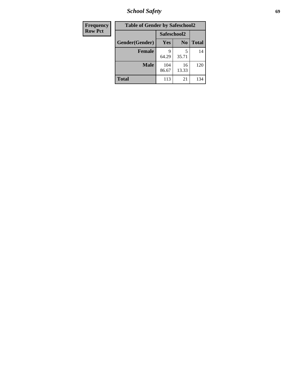*School Safety* **69**

| Frequency      | <b>Table of Gender by Safeschool2</b> |              |                |              |
|----------------|---------------------------------------|--------------|----------------|--------------|
| <b>Row Pct</b> |                                       |              | Safeschool2    |              |
|                | Gender(Gender)                        | Yes          | N <sub>0</sub> | <b>Total</b> |
|                | <b>Female</b>                         | Q<br>64.29   | 5<br>35.71     | 14           |
|                | <b>Male</b>                           | 104<br>86.67 | 16<br>13.33    | 120          |
|                | <b>Total</b>                          | 113          | 21             | 134          |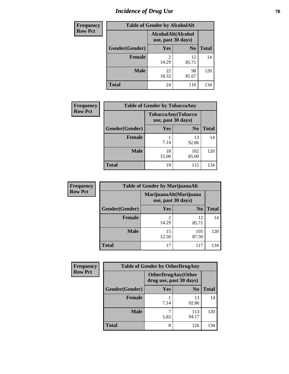# *Incidence of Drug Use* **70**

| <b>Frequency</b> | <b>Table of Gender by AlcoholAlt</b> |                                          |                |              |  |
|------------------|--------------------------------------|------------------------------------------|----------------|--------------|--|
| <b>Row Pct</b>   |                                      | AlcoholAlt(Alcohol<br>use, past 30 days) |                |              |  |
|                  | Gender(Gender)                       | <b>Yes</b>                               | N <sub>0</sub> | <b>Total</b> |  |
|                  | <b>Female</b>                        | $\mathfrak{D}$<br>14.29                  | 12<br>85.71    | 14           |  |
|                  | <b>Male</b>                          | 22<br>18.33                              | 98<br>81.67    | 120          |  |
|                  | <b>Total</b>                         | 24                                       | 110            | 134          |  |

| Frequency      | <b>Table of Gender by TobaccoAny</b> |                                          |                |              |  |
|----------------|--------------------------------------|------------------------------------------|----------------|--------------|--|
| <b>Row Pct</b> |                                      | TobaccoAny(Tobacco<br>use, past 30 days) |                |              |  |
|                | Gender(Gender)                       | Yes                                      | N <sub>0</sub> | <b>Total</b> |  |
|                | <b>Female</b>                        | 7.14                                     | 13<br>92.86    | 14           |  |
|                | <b>Male</b>                          | 18<br>15.00                              | 102<br>85.00   | 120          |  |
|                | Total                                | 19                                       | 115            | 134          |  |

| <b>Frequency</b> | <b>Table of Gender by MarijuanaAlt</b> |             |                                              |              |
|------------------|----------------------------------------|-------------|----------------------------------------------|--------------|
| <b>Row Pct</b>   |                                        |             | MarijuanaAlt(Marijuana<br>use, past 30 days) |              |
|                  | Gender(Gender)                         | <b>Yes</b>  | N <sub>0</sub>                               | <b>Total</b> |
|                  | <b>Female</b>                          | 2<br>14.29  | 12<br>85.71                                  | 14           |
|                  | <b>Male</b>                            | 15<br>12.50 | 105<br>87.50                                 | 120          |
|                  | <b>Total</b>                           | 17          | 117                                          | 134          |

| <b>Frequency</b> | <b>Table of Gender by OtherDrugAny</b> |                                                      |                |              |
|------------------|----------------------------------------|------------------------------------------------------|----------------|--------------|
| <b>Row Pct</b>   |                                        | <b>OtherDrugAny(Other</b><br>drug use, past 30 days) |                |              |
|                  | Gender(Gender)                         | <b>Yes</b>                                           | N <sub>0</sub> | <b>Total</b> |
|                  | <b>Female</b>                          | 7.14                                                 | 13<br>92.86    | 14           |
|                  | <b>Male</b>                            | 5.83                                                 | 113<br>94.17   | 120          |
|                  | <b>Total</b>                           | 8                                                    | 126            | 134          |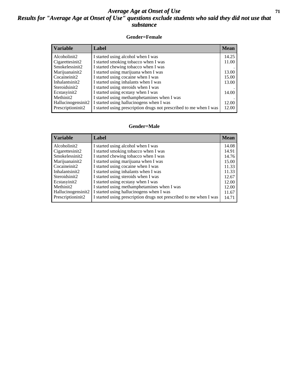#### *Average Age at Onset of Use* **71** *Results for "Average Age at Onset of Use" questions exclude students who said they did not use that substance*

#### **Gender=Female**

| <b>Variable</b>                 | <b>Label</b>                                                       | <b>Mean</b> |
|---------------------------------|--------------------------------------------------------------------|-------------|
| Alcoholinit2                    | I started using alcohol when I was                                 | 14.25       |
| Cigarettesinit2                 | I started smoking tobacco when I was                               | 11.00       |
| Smokelessinit2                  | I started chewing tobacco when I was                               |             |
| Marijuanainit2                  | I started using marijuana when I was                               | 13.00       |
| Cocaineinit2                    | I started using cocaine when I was                                 | 15.00       |
| Inhalantsinit2                  | I started using inhalants when I was                               | 13.00       |
| Steroidsinit2                   | I started using steroids when I was                                |             |
| Ecstasyinit2                    | I started using ecstasy when I was                                 | 14.00       |
| Methinit2                       | I started using methamphetamines when I was                        |             |
| Hallucinogensinit2              | I started using hallucinogens when I was                           | 12.00       |
| Prescription in it <sub>2</sub> | I started using prescription drugs not prescribed to me when I was | 12.00       |

#### **Gender=Male**

| <b>Variable</b>    | Label                                                              | <b>Mean</b> |
|--------------------|--------------------------------------------------------------------|-------------|
| Alcoholinit2       | I started using alcohol when I was                                 | 14.08       |
| Cigarettesinit2    | I started smoking tobacco when I was                               | 14.91       |
| Smokelessinit2     | I started chewing tobacco when I was                               | 14.76       |
| Marijuanainit2     | I started using marijuana when I was                               | 15.00       |
| Cocaineinit2       | I started using cocaine when I was                                 | 11.33       |
| Inhalantsinit2     | I started using inhalants when I was                               | 11.33       |
| Steroidsinit2      | I started using steroids when I was                                | 12.67       |
| Ecstasyinit2       | I started using ecstasy when I was                                 | 12.00       |
| Methinit2          | I started using methamphetamines when I was                        | 12.00       |
| Hallucinogensinit2 | I started using hallucinogens when I was                           | 11.67       |
| Prescriptioninit2  | I started using prescription drugs not prescribed to me when I was | 14.71       |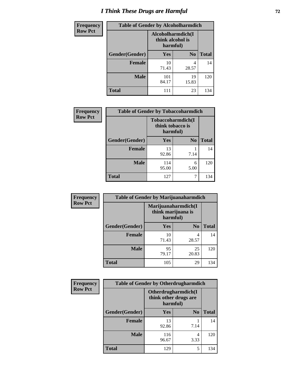# *I Think These Drugs are Harmful* **72**

| <b>Frequency</b> | <b>Table of Gender by Alcoholharmdich</b> |                                                   |                |              |  |
|------------------|-------------------------------------------|---------------------------------------------------|----------------|--------------|--|
| <b>Row Pct</b>   |                                           | Alcoholharmdich(I<br>think alcohol is<br>harmful) |                |              |  |
|                  | Gender(Gender)                            | Yes                                               | N <sub>0</sub> | <b>Total</b> |  |
|                  | <b>Female</b>                             | 10<br>71.43                                       | 4<br>28.57     | 14           |  |
|                  | <b>Male</b>                               | 101<br>84.17                                      | 19<br>15.83    | 120          |  |
|                  | <b>Total</b>                              | 111                                               | 23             | 134          |  |

| Frequency      | <b>Table of Gender by Tobaccoharmdich</b> |                  |                               |              |
|----------------|-------------------------------------------|------------------|-------------------------------|--------------|
| <b>Row Pct</b> |                                           | think tobacco is | Tobaccoharmdich(I<br>harmful) |              |
|                | Gender(Gender)                            | <b>Yes</b>       | N <sub>0</sub>                | <b>Total</b> |
|                | <b>Female</b>                             | 13<br>92.86      | 7.14                          | 14           |
|                | <b>Male</b>                               | 114<br>95.00     | 6<br>5.00                     | 120          |
|                | <b>Total</b>                              | 127              |                               | 134          |

| Frequency      | <b>Table of Gender by Marijuanaharmdich</b> |                                                       |                |              |  |
|----------------|---------------------------------------------|-------------------------------------------------------|----------------|--------------|--|
| <b>Row Pct</b> |                                             | Marijuanaharmdich(I<br>think marijuana is<br>harmful) |                |              |  |
|                | Gender(Gender)                              | <b>Yes</b>                                            | N <sub>0</sub> | <b>Total</b> |  |
|                | <b>Female</b>                               | 10<br>71.43                                           | 4<br>28.57     | 14           |  |
|                | <b>Male</b>                                 | 95<br>79.17                                           | 25<br>20.83    | 120          |  |
|                | <b>Total</b>                                | 105                                                   | 29             | 134          |  |

| Frequency      | <b>Table of Gender by Otherdrugharmdich</b> |                                                          |                |              |  |
|----------------|---------------------------------------------|----------------------------------------------------------|----------------|--------------|--|
| <b>Row Pct</b> |                                             | Otherdrugharmdich(I<br>think other drugs are<br>harmful) |                |              |  |
|                | Gender(Gender)                              | <b>Yes</b>                                               | N <sub>0</sub> | <b>Total</b> |  |
|                | Female                                      | 13<br>92.86                                              | 7.14           | 14           |  |
|                | <b>Male</b>                                 | 116<br>96.67                                             | 4<br>3.33      | 120          |  |
|                | <b>Total</b>                                | 129                                                      | 5              | 134          |  |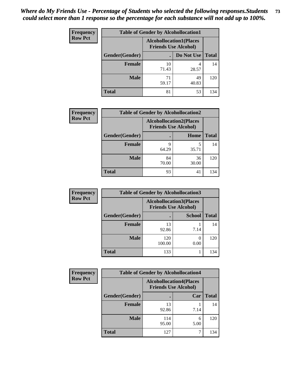| <b>Frequency</b> | <b>Table of Gender by Alcohollocation1</b> |                                                               |             |              |
|------------------|--------------------------------------------|---------------------------------------------------------------|-------------|--------------|
| <b>Row Pct</b>   |                                            | <b>Alcohollocation1(Places</b><br><b>Friends Use Alcohol)</b> |             |              |
|                  | Gender(Gender)                             |                                                               | Do Not Use  | <b>Total</b> |
|                  | <b>Female</b>                              | 10<br>71.43                                                   | 28.57       | 14           |
|                  | <b>Male</b>                                | 71<br>59.17                                                   | 49<br>40.83 | 120          |
|                  | Total                                      | 81                                                            | 53          | 134          |

| <b>Frequency</b> | <b>Table of Gender by Alcohollocation2</b> |                                                               |             |              |
|------------------|--------------------------------------------|---------------------------------------------------------------|-------------|--------------|
| <b>Row Pct</b>   |                                            | <b>Alcohollocation2(Places</b><br><b>Friends Use Alcohol)</b> |             |              |
|                  | Gender(Gender)                             |                                                               | Home        | <b>Total</b> |
|                  | <b>Female</b>                              | 9<br>64.29                                                    | 35.71       | 14           |
|                  | <b>Male</b>                                | 84<br>70.00                                                   | 36<br>30.00 | 120          |
|                  | <b>Total</b>                               | 93                                                            | 41          | 134          |

| Frequency      | <b>Table of Gender by Alcohollocation3</b> |                                                               |               |              |
|----------------|--------------------------------------------|---------------------------------------------------------------|---------------|--------------|
| <b>Row Pct</b> |                                            | <b>Alcohollocation3(Places</b><br><b>Friends Use Alcohol)</b> |               |              |
|                | Gender(Gender)                             |                                                               | <b>School</b> | <b>Total</b> |
|                | <b>Female</b>                              | 13<br>92.86                                                   | 7.14          | 14           |
|                | <b>Male</b>                                | 120<br>100.00                                                 | 0.00          | 120          |
|                | <b>Total</b>                               | 133                                                           |               | 134          |

| <b>Frequency</b> | <b>Table of Gender by Alcohollocation4</b> |                                                               |           |              |
|------------------|--------------------------------------------|---------------------------------------------------------------|-----------|--------------|
| <b>Row Pct</b>   |                                            | <b>Alcohollocation4(Places</b><br><b>Friends Use Alcohol)</b> |           |              |
|                  | Gender(Gender)                             |                                                               | Car       | <b>Total</b> |
|                  | <b>Female</b>                              | 13<br>92.86                                                   | 7.14      | 14           |
|                  | <b>Male</b>                                | 114<br>95.00                                                  | 6<br>5.00 | 120          |
|                  | <b>Total</b>                               | 127                                                           |           | 134          |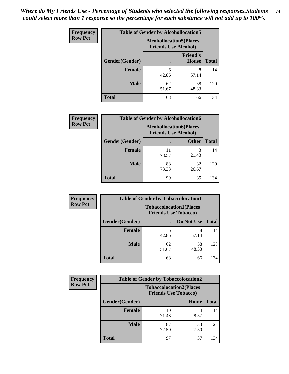| <b>Frequency</b> | <b>Table of Gender by Alcohollocation5</b> |                                                                |                                 |              |
|------------------|--------------------------------------------|----------------------------------------------------------------|---------------------------------|--------------|
| <b>Row Pct</b>   |                                            | <b>Alcohollocation5</b> (Places<br><b>Friends Use Alcohol)</b> |                                 |              |
|                  | Gender(Gender)                             |                                                                | <b>Friend's</b><br><b>House</b> | <b>Total</b> |
|                  | <b>Female</b>                              | 6<br>42.86                                                     | 8<br>57.14                      | 14           |
|                  | <b>Male</b>                                | 62<br>51.67                                                    | 58<br>48.33                     | 120          |
|                  | <b>Total</b>                               | 68                                                             | 66                              | 134          |

| Frequency      | <b>Table of Gender by Alcohollocation6</b> |                                                               |              |              |
|----------------|--------------------------------------------|---------------------------------------------------------------|--------------|--------------|
| <b>Row Pct</b> |                                            | <b>Alcohollocation6(Places</b><br><b>Friends Use Alcohol)</b> |              |              |
|                | Gender(Gender)                             |                                                               | <b>Other</b> | <b>Total</b> |
|                | <b>Female</b>                              | 78.57                                                         | 3<br>21.43   | 14           |
|                | <b>Male</b>                                | 88<br>73.33                                                   | 32<br>26.67  | 120          |
|                | <b>Total</b>                               | 99                                                            | 35           | 134          |

| Frequency      | <b>Table of Gender by Tobaccolocation1</b> |                                                               |             |              |
|----------------|--------------------------------------------|---------------------------------------------------------------|-------------|--------------|
| <b>Row Pct</b> |                                            | <b>Tobaccolocation1(Places</b><br><b>Friends Use Tobacco)</b> |             |              |
|                | Gender(Gender)                             |                                                               | Do Not Use  | <b>Total</b> |
|                | <b>Female</b>                              | 6<br>42.86                                                    | 8<br>57.14  | 14           |
|                | <b>Male</b>                                | 62<br>51.67                                                   | 58<br>48.33 | 120          |
|                | <b>Total</b>                               | 68                                                            | 66          | 134          |

| Frequency      | <b>Table of Gender by Tobaccolocation2</b> |             |                                                               |              |
|----------------|--------------------------------------------|-------------|---------------------------------------------------------------|--------------|
| <b>Row Pct</b> |                                            |             | <b>Tobaccolocation2(Places</b><br><b>Friends Use Tobacco)</b> |              |
|                | <b>Gender</b> (Gender)                     |             | Home                                                          | <b>Total</b> |
|                | Female                                     | 10<br>71.43 | 28.57                                                         | 14           |
|                | <b>Male</b>                                | 87<br>72.50 | 33<br>27.50                                                   | 120          |
|                | <b>Total</b>                               | 97          | 37                                                            | 134          |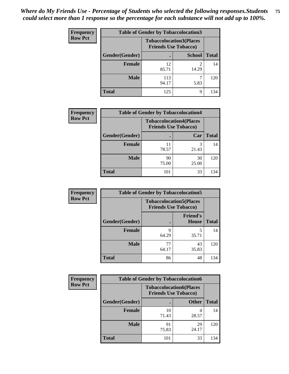| <b>Frequency</b> | <b>Table of Gender by Tobaccolocation3</b> |                                                               |               |              |
|------------------|--------------------------------------------|---------------------------------------------------------------|---------------|--------------|
| <b>Row Pct</b>   |                                            | <b>Tobaccolocation3(Places</b><br><b>Friends Use Tobacco)</b> |               |              |
|                  | <b>Gender</b> (Gender)                     |                                                               | <b>School</b> | <b>Total</b> |
|                  | <b>Female</b>                              | 12<br>85.71                                                   | 14.29         | 14           |
|                  | <b>Male</b>                                | 113<br>94.17                                                  | 5.83          | 120          |
|                  | <b>Total</b>                               | 125                                                           | 9             | 134          |

| <b>Frequency</b> | <b>Table of Gender by Tobaccolocation4</b> |                                                               |             |              |
|------------------|--------------------------------------------|---------------------------------------------------------------|-------------|--------------|
| <b>Row Pct</b>   |                                            | <b>Tobaccolocation4(Places</b><br><b>Friends Use Tobacco)</b> |             |              |
|                  | Gender(Gender)                             |                                                               | Car         | <b>Total</b> |
|                  | <b>Female</b>                              | 78.57                                                         | 3<br>21.43  | 14           |
|                  | <b>Male</b>                                | 90<br>75.00                                                   | 30<br>25.00 | 120          |
|                  | <b>Total</b>                               | 101                                                           | 33          | 134          |

| <b>Frequency</b> | <b>Table of Gender by Tobaccolocation5</b> |                             |                                 |              |
|------------------|--------------------------------------------|-----------------------------|---------------------------------|--------------|
| <b>Row Pct</b>   |                                            | <b>Friends Use Tobacco)</b> | <b>Tobaccolocation5(Places</b>  |              |
|                  | <b>Gender</b> (Gender)                     |                             | <b>Friend's</b><br><b>House</b> | <b>Total</b> |
|                  | <b>Female</b>                              | q<br>64.29                  | 5<br>35.71                      | 14           |
|                  | <b>Male</b>                                | 77<br>64.17                 | 43<br>35.83                     | 120          |
|                  | <b>Total</b>                               | 86                          | 48                              | 134          |

| <b>Frequency</b> | <b>Table of Gender by Tobaccolocation6</b> |                                                               |              |              |
|------------------|--------------------------------------------|---------------------------------------------------------------|--------------|--------------|
| <b>Row Pct</b>   |                                            | <b>Tobaccolocation6(Places</b><br><b>Friends Use Tobacco)</b> |              |              |
|                  | <b>Gender</b> (Gender)                     |                                                               | <b>Other</b> | <b>Total</b> |
|                  | Female                                     | 10<br>71.43                                                   | 28.57        | 14           |
|                  | <b>Male</b>                                | 91<br>75.83                                                   | 29<br>24.17  | 120          |
|                  | <b>Total</b>                               | 101                                                           | 33           | 134          |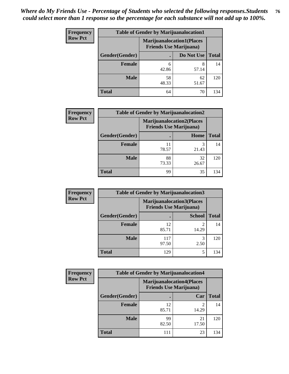| <b>Frequency</b> | <b>Table of Gender by Marijuanalocation1</b> |                                                                    |             |              |
|------------------|----------------------------------------------|--------------------------------------------------------------------|-------------|--------------|
| <b>Row Pct</b>   |                                              | <b>Marijuanalocation1(Places</b><br><b>Friends Use Marijuana</b> ) |             |              |
|                  | Gender(Gender)                               |                                                                    | Do Not Use  | <b>Total</b> |
|                  | <b>Female</b>                                | 6<br>42.86                                                         | 8<br>57.14  | 14           |
|                  | <b>Male</b>                                  | 58<br>48.33                                                        | 62<br>51.67 | 120          |
|                  | Total                                        | 64                                                                 | 70          | 134          |

| <b>Frequency</b> |                | <b>Table of Gender by Marijuanalocation2</b>                       |             |              |
|------------------|----------------|--------------------------------------------------------------------|-------------|--------------|
| <b>Row Pct</b>   |                | <b>Marijuanalocation2(Places</b><br><b>Friends Use Marijuana</b> ) |             |              |
|                  | Gender(Gender) |                                                                    | Home        | <b>Total</b> |
|                  | Female         | 78.57                                                              | 21.43       | 14           |
|                  | <b>Male</b>    | 88<br>73.33                                                        | 32<br>26.67 | 120          |
|                  | <b>Total</b>   | 99                                                                 | 35          | 134          |

| Frequency      |                | <b>Table of Gender by Marijuanalocation3</b>                       |               |              |  |
|----------------|----------------|--------------------------------------------------------------------|---------------|--------------|--|
| <b>Row Pct</b> |                | <b>Marijuanalocation3(Places</b><br><b>Friends Use Marijuana</b> ) |               |              |  |
|                | Gender(Gender) |                                                                    | <b>School</b> | <b>Total</b> |  |
|                | Female         | 12<br>85.71                                                        | ↑<br>14.29    | 14           |  |
|                | <b>Male</b>    | 117<br>97.50                                                       | 3<br>2.50     | 120          |  |
|                | <b>Total</b>   | 129                                                                | 5             | 134          |  |

| Frequency      | <b>Table of Gender by Marijuanalocation4</b> |                                |                                  |              |
|----------------|----------------------------------------------|--------------------------------|----------------------------------|--------------|
| <b>Row Pct</b> |                                              | <b>Friends Use Marijuana</b> ) | <b>Marijuanalocation4(Places</b> |              |
|                | Gender(Gender)                               |                                | Car                              | <b>Total</b> |
|                | <b>Female</b>                                | 12<br>85.71                    | 14.29                            | 14           |
|                | <b>Male</b>                                  | 99<br>82.50                    | 21<br>17.50                      | 120          |
|                | <b>Total</b>                                 | 111                            | 23                               | 134          |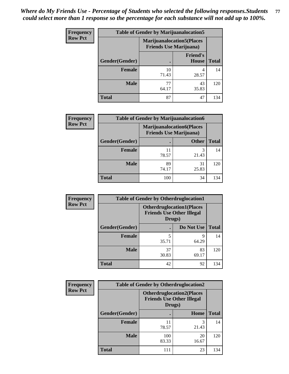| <b>Frequency</b> | <b>Table of Gender by Marijuanalocation5</b> |                                                                     |                          |              |
|------------------|----------------------------------------------|---------------------------------------------------------------------|--------------------------|--------------|
| <b>Row Pct</b>   |                                              | <b>Marijuanalocation5</b> (Places<br><b>Friends Use Marijuana</b> ) |                          |              |
|                  | Gender(Gender)                               |                                                                     | <b>Friend's</b><br>House | <b>Total</b> |
|                  | <b>Female</b>                                | 10<br>71.43                                                         | 28.57                    | 14           |
|                  | <b>Male</b>                                  | 77<br>64.17                                                         | 43<br>35.83              | 120          |
|                  | <b>Total</b>                                 | 87                                                                  | 47                       | 134          |

| <b>Frequency</b> | <b>Table of Gender by Marijuanalocation6</b> |                                |                                  |              |
|------------------|----------------------------------------------|--------------------------------|----------------------------------|--------------|
| <b>Row Pct</b>   |                                              | <b>Friends Use Marijuana</b> ) | <b>Marijuanalocation6(Places</b> |              |
|                  | <b>Gender</b> (Gender)                       |                                | <b>Other</b>                     | <b>Total</b> |
|                  | <b>Female</b>                                | 11<br>78.57                    | 3<br>21.43                       | 14           |
|                  | <b>Male</b>                                  | 89<br>74.17                    | 31<br>25.83                      | 120          |
|                  | <b>Total</b>                                 | 100                            | 34                               | 134          |

| <b>Frequency</b> | <b>Table of Gender by Otherdruglocation1</b> |             |                                                                      |              |
|------------------|----------------------------------------------|-------------|----------------------------------------------------------------------|--------------|
| <b>Row Pct</b>   |                                              | Drugs)      | <b>Otherdruglocation1(Places</b><br><b>Friends Use Other Illegal</b> |              |
|                  | Gender(Gender)                               |             | Do Not Use                                                           | <b>Total</b> |
|                  | <b>Female</b>                                | 5<br>35.71  | Q<br>64.29                                                           | 14           |
|                  | <b>Male</b>                                  | 37<br>30.83 | 83<br>69.17                                                          | 120          |
|                  | <b>Total</b>                                 | 42          | 92                                                                   | 134          |

| <b>Frequency</b> | <b>Table of Gender by Otherdruglocation2</b> |                                                                                |             |              |
|------------------|----------------------------------------------|--------------------------------------------------------------------------------|-------------|--------------|
| <b>Row Pct</b>   |                                              | <b>Otherdruglocation2(Places</b><br><b>Friends Use Other Illegal</b><br>Drugs) |             |              |
|                  | Gender(Gender)                               |                                                                                | Home        | <b>Total</b> |
|                  | <b>Female</b>                                | 11<br>78.57                                                                    | 3<br>21.43  | 14           |
|                  | <b>Male</b>                                  | 100<br>83.33                                                                   | 20<br>16.67 | 120          |
|                  | <b>Total</b>                                 | 111                                                                            | 23          | 134          |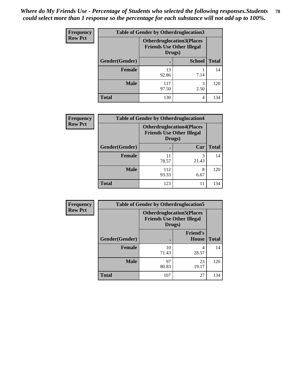| <b>Frequency</b> | <b>Table of Gender by Otherdruglocation3</b> |                                                                                |               |              |
|------------------|----------------------------------------------|--------------------------------------------------------------------------------|---------------|--------------|
| <b>Row Pct</b>   |                                              | <b>Otherdruglocation3(Places</b><br><b>Friends Use Other Illegal</b><br>Drugs) |               |              |
|                  | Gender(Gender)                               |                                                                                | <b>School</b> | <b>Total</b> |
|                  | <b>Female</b>                                | 13<br>92.86                                                                    | 7.14          | 14           |
|                  | <b>Male</b>                                  | 117<br>97.50                                                                   | 3<br>2.50     | 120          |
|                  | <b>Total</b>                                 | 130                                                                            | 4             | 134          |

| Frequency      | <b>Table of Gender by Otherdruglocation4</b> |                                                                                |            |              |
|----------------|----------------------------------------------|--------------------------------------------------------------------------------|------------|--------------|
| <b>Row Pct</b> |                                              | <b>Otherdruglocation4(Places</b><br><b>Friends Use Other Illegal</b><br>Drugs) |            |              |
|                | Gender(Gender)                               |                                                                                | Car        | <b>Total</b> |
|                | <b>Female</b>                                | 11<br>78.57                                                                    | 3<br>21.43 | 14           |
|                | <b>Male</b>                                  | 112<br>93.33                                                                   | 8<br>6.67  | 120          |
|                | <b>Total</b>                                 | 123                                                                            | 11         | 134          |

| Frequency      | <b>Table of Gender by Otherdruglocation5</b> |                                                                                |                                 |              |
|----------------|----------------------------------------------|--------------------------------------------------------------------------------|---------------------------------|--------------|
| <b>Row Pct</b> |                                              | <b>Otherdruglocation5(Places</b><br><b>Friends Use Other Illegal</b><br>Drugs) |                                 |              |
|                | Gender(Gender)                               |                                                                                | <b>Friend's</b><br><b>House</b> | <b>Total</b> |
|                | <b>Female</b>                                | 10<br>71.43                                                                    | 4<br>28.57                      | 14           |
|                | <b>Male</b>                                  | 97<br>80.83                                                                    | 23<br>19.17                     | 120          |
|                | <b>Total</b>                                 | 107                                                                            | 27                              | 134          |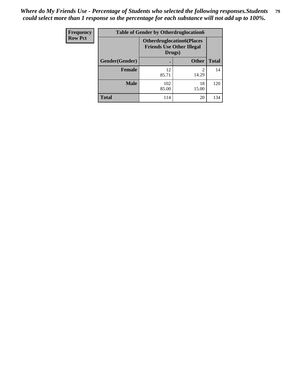| <b>Frequency</b> | <b>Table of Gender by Otherdruglocation6</b> |                                            |                                  |              |
|------------------|----------------------------------------------|--------------------------------------------|----------------------------------|--------------|
| <b>Row Pct</b>   |                                              | <b>Friends Use Other Illegal</b><br>Drugs) | <b>Otherdruglocation6(Places</b> |              |
|                  | Gender(Gender)                               |                                            | <b>Other</b>                     | <b>Total</b> |
|                  | Female                                       | 12<br>85.71                                | 14.29                            | 14           |
|                  | <b>Male</b>                                  | 102<br>85.00                               | 18<br>15.00                      | 120          |
|                  | <b>Total</b>                                 | 114                                        | 20                               | 134          |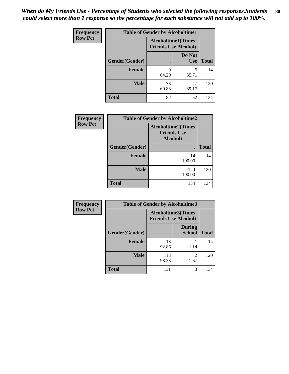| <b>Frequency</b> | <b>Table of Gender by Alcoholtime1</b> |                                                          |                      |              |
|------------------|----------------------------------------|----------------------------------------------------------|----------------------|--------------|
| <b>Row Pct</b>   |                                        | <b>Alcoholtime1(Times</b><br><b>Friends Use Alcohol)</b> |                      |              |
|                  | Gender(Gender)                         |                                                          | Do Not<br><b>Use</b> | <b>Total</b> |
|                  | <b>Female</b>                          | 9<br>64.29                                               | 5<br>35.71           | 14           |
|                  | <b>Male</b>                            | 73<br>60.83                                              | 47<br>39.17          | 120          |
|                  | <b>Total</b>                           | 82                                                       | 52                   | 134          |

| <b>Frequency</b> | <b>Table of Gender by Alcoholtime2</b> |                                                             |              |
|------------------|----------------------------------------|-------------------------------------------------------------|--------------|
| <b>Row Pct</b>   |                                        | <b>Alcoholtime2(Times</b><br><b>Friends Use</b><br>Alcohol) |              |
|                  | Gender(Gender)                         |                                                             | <b>Total</b> |
|                  | <b>Female</b>                          | 14<br>100.00                                                | 14           |
|                  | <b>Male</b>                            | 120<br>100.00                                               | 120          |
|                  | <b>Total</b>                           | 134                                                         | 134          |

| Frequency      | <b>Table of Gender by Alcoholtime3</b> |                                                          |                                |              |
|----------------|----------------------------------------|----------------------------------------------------------|--------------------------------|--------------|
| <b>Row Pct</b> |                                        | <b>Alcoholtime3(Times</b><br><b>Friends Use Alcohol)</b> |                                |              |
|                | Gender(Gender)                         |                                                          | <b>During</b><br><b>School</b> | <b>Total</b> |
|                | Female                                 | 13<br>92.86                                              | 7.14                           | 14           |
|                | <b>Male</b>                            | 118<br>98.33                                             | $\mathfrak{D}$<br>1.67         | 120          |
|                | <b>Total</b>                           | 131                                                      | 3                              | 134          |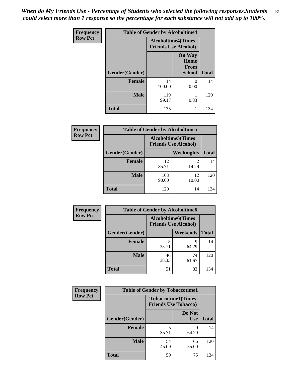*When do My Friends Use - Percentage of Students who selected the following responses.Students could select more than 1 response so the percentage for each substance will not add up to 100%.* **81**

| <b>Frequency</b> | <b>Table of Gender by Alcoholtime4</b> |                                                          |                                                |              |
|------------------|----------------------------------------|----------------------------------------------------------|------------------------------------------------|--------------|
| <b>Row Pct</b>   |                                        | <b>Alcoholtime4(Times</b><br><b>Friends Use Alcohol)</b> |                                                |              |
|                  | Gender(Gender)                         |                                                          | <b>On Way</b><br>Home<br>From<br><b>School</b> | <b>Total</b> |
|                  | <b>Female</b>                          | 14<br>100.00                                             | 0<br>0.00                                      | 14           |
|                  | <b>Male</b>                            | 119<br>99.17                                             | 0.83                                           | 120          |
|                  | <b>Total</b>                           | 133                                                      | 1                                              | 134          |

| <b>Frequency</b> | <b>Table of Gender by Alcoholtime5</b> |                                                           |                         |              |
|------------------|----------------------------------------|-----------------------------------------------------------|-------------------------|--------------|
| <b>Row Pct</b>   |                                        | <b>Alcoholtime5</b> (Times<br><b>Friends Use Alcohol)</b> |                         |              |
|                  | Gender(Gender)                         |                                                           | <b>Weeknights</b>       | <b>Total</b> |
|                  | <b>Female</b>                          | 12<br>85.71                                               | $\overline{c}$<br>14.29 | 14           |
|                  | <b>Male</b>                            | 108<br>90.00                                              | 12<br>10.00             | 120          |
|                  | <b>Total</b>                           | 120                                                       | 14                      | 134          |

| <b>Frequency</b> | <b>Table of Gender by Alcoholtime6</b> |             |                                                           |              |
|------------------|----------------------------------------|-------------|-----------------------------------------------------------|--------------|
| <b>Row Pct</b>   |                                        |             | <b>Alcoholtime6</b> (Times<br><b>Friends Use Alcohol)</b> |              |
|                  | Gender(Gender)                         |             | Weekends                                                  | <b>Total</b> |
|                  | Female                                 | 5<br>35.71  | Q<br>64.29                                                | 14           |
|                  | <b>Male</b>                            | 46<br>38.33 | 74<br>61.67                                               | 120          |
|                  | <b>Total</b>                           | 51          | 83                                                        | 134          |

| Frequency      | <b>Table of Gender by Tobaccotime1</b> |                                                          |                      |              |
|----------------|----------------------------------------|----------------------------------------------------------|----------------------|--------------|
| <b>Row Pct</b> |                                        | <b>Tobaccotime1(Times</b><br><b>Friends Use Tobacco)</b> |                      |              |
|                | Gender(Gender)                         |                                                          | Do Not<br><b>Use</b> | <b>Total</b> |
|                | Female                                 | 5<br>35.71                                               | 9<br>64.29           | 14           |
|                | <b>Male</b>                            | 54<br>45.00                                              | 66<br>55.00          | 120          |
|                | <b>Total</b>                           | 59                                                       | 75                   | 134          |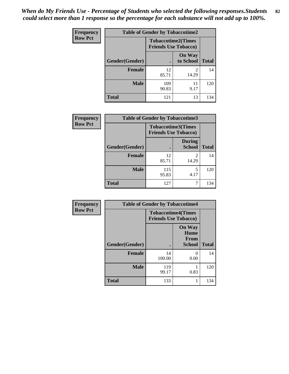| <b>Frequency</b> | <b>Table of Gender by Tobaccotime2</b> |                                                          |                            |              |
|------------------|----------------------------------------|----------------------------------------------------------|----------------------------|--------------|
| <b>Row Pct</b>   |                                        | <b>Tobaccotime2(Times</b><br><b>Friends Use Tobacco)</b> |                            |              |
|                  | Gender(Gender)                         | $\bullet$                                                | <b>On Way</b><br>to School | <b>Total</b> |
|                  | Female                                 | 12<br>85.71                                              | 2<br>14.29                 | 14           |
|                  | <b>Male</b>                            | 109<br>90.83                                             | 11<br>9.17                 | 120          |
|                  | <b>Total</b>                           | 121                                                      | 13                         | 134          |

| Frequency      | <b>Table of Gender by Tobaccotime3</b> |                             |                                |              |
|----------------|----------------------------------------|-----------------------------|--------------------------------|--------------|
| <b>Row Pct</b> |                                        | <b>Friends Use Tobacco)</b> | <b>Tobaccotime3(Times</b>      |              |
|                | Gender(Gender)                         |                             | <b>During</b><br><b>School</b> | <b>Total</b> |
|                | <b>Female</b>                          | 12<br>85.71                 | 2<br>14.29                     | 14           |
|                | <b>Male</b>                            | 115<br>95.83                | 5<br>4.17                      | 120          |
|                | <b>Total</b>                           | 127                         |                                | 134          |

| <b>Frequency</b> | <b>Table of Gender by Tobaccotime4</b> |                                                          |                                                |              |
|------------------|----------------------------------------|----------------------------------------------------------|------------------------------------------------|--------------|
| <b>Row Pct</b>   |                                        | <b>Tobaccotime4(Times</b><br><b>Friends Use Tobacco)</b> |                                                |              |
|                  | Gender(Gender)                         |                                                          | <b>On Way</b><br>Home<br>From<br><b>School</b> | <b>Total</b> |
|                  | <b>Female</b>                          | 14<br>100.00                                             | 0<br>0.00                                      | 14           |
|                  | <b>Male</b>                            | 119<br>99.17                                             | 0.83                                           | 120          |
|                  | <b>Total</b>                           | 133                                                      | 1                                              | 134          |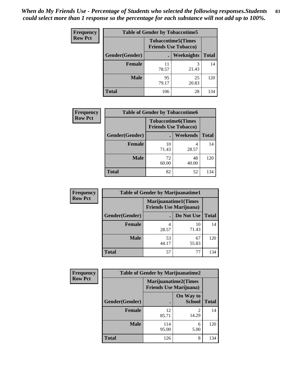| Frequency      | <b>Table of Gender by Tobaccotime5</b> |             |                                                           |              |  |
|----------------|----------------------------------------|-------------|-----------------------------------------------------------|--------------|--|
| <b>Row Pct</b> |                                        |             | <b>Tobaccotime5</b> (Times<br><b>Friends Use Tobacco)</b> |              |  |
|                | <b>Gender</b> (Gender)                 |             | <b>Weeknights</b>                                         | <b>Total</b> |  |
|                | <b>Female</b>                          | 11<br>78.57 | 3<br>21.43                                                | 14           |  |
|                | <b>Male</b>                            | 95<br>79.17 | 25<br>20.83                                               | 120          |  |
|                | <b>Total</b>                           | 106         | 28                                                        | 134          |  |

| <b>Frequency</b> |                | <b>Table of Gender by Tobaccotime6</b> |                           |              |
|------------------|----------------|----------------------------------------|---------------------------|--------------|
| <b>Row Pct</b>   |                | <b>Friends Use Tobacco)</b>            | <b>Tobaccotime6(Times</b> |              |
|                  | Gender(Gender) |                                        | <b>Weekends</b>           | <b>Total</b> |
|                  | Female         | 10<br>71.43                            | 4<br>28.57                | 14           |
|                  | <b>Male</b>    | 72<br>60.00                            | 48<br>40.00               | 120          |
|                  | <b>Total</b>   | 82                                     | 52                        | 134          |

| Frequency      | <b>Table of Gender by Marijuanatime1</b> |                                                                |             |              |  |
|----------------|------------------------------------------|----------------------------------------------------------------|-------------|--------------|--|
| <b>Row Pct</b> |                                          | <b>Marijuanatime1</b> (Times<br><b>Friends Use Marijuana</b> ) |             |              |  |
|                | Gender(Gender)                           |                                                                | Do Not Use  | <b>Total</b> |  |
|                | <b>Female</b>                            | 28.57                                                          | 10<br>71.43 | 14           |  |
|                | <b>Male</b>                              | 53<br>44.17                                                    | 67<br>55.83 | 120          |  |
|                | <b>Total</b>                             | 57                                                             | 77          | 134          |  |

| <b>Frequency</b> | <b>Table of Gender by Marijuanatime2</b> |                                                        |                            |              |
|------------------|------------------------------------------|--------------------------------------------------------|----------------------------|--------------|
| <b>Row Pct</b>   |                                          | Marijuanatime2(Times<br><b>Friends Use Marijuana</b> ) |                            |              |
|                  | Gender(Gender)                           |                                                        | On Way to<br><b>School</b> | <b>Total</b> |
|                  | <b>Female</b>                            | 12<br>85.71                                            | $\mathfrak{D}$<br>14.29    | 14           |
|                  | <b>Male</b>                              | 114<br>95.00                                           | 6<br>5.00                  | 120          |
|                  | <b>Total</b>                             | 126                                                    | 8                          | 134          |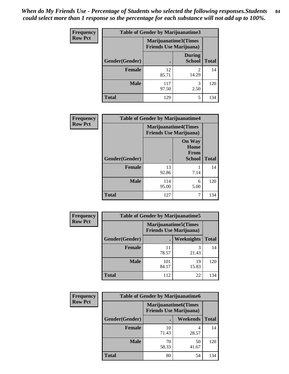*When do My Friends Use - Percentage of Students who selected the following responses.Students could select more than 1 response so the percentage for each substance will not add up to 100%.* **84**

| <b>Frequency</b> | Table of Gender by Marijuanatime3 |                                                        |                                |              |
|------------------|-----------------------------------|--------------------------------------------------------|--------------------------------|--------------|
| <b>Row Pct</b>   |                                   | Marijuanatime3(Times<br><b>Friends Use Marijuana</b> ) |                                |              |
|                  | Gender(Gender)                    |                                                        | <b>During</b><br><b>School</b> | <b>Total</b> |
|                  | <b>Female</b>                     | 12<br>85.71                                            | 2<br>14.29                     | 14           |
|                  | <b>Male</b>                       | 117<br>97.50                                           | 3<br>2.50                      | 120          |
|                  | <b>Total</b>                      | 129                                                    | 5                              | 134          |

| Frequency      | <b>Table of Gender by Marijuanatime4</b> |                                |                                                       |              |
|----------------|------------------------------------------|--------------------------------|-------------------------------------------------------|--------------|
| <b>Row Pct</b> |                                          | <b>Friends Use Marijuana</b> ) | <b>Marijuanatime4</b> (Times                          |              |
|                | <b>Gender</b> (Gender)                   |                                | <b>On Way</b><br>Home<br><b>From</b><br><b>School</b> | <b>Total</b> |
|                | <b>Female</b>                            | 13<br>92.86                    | 7.14                                                  | 14           |
|                | <b>Male</b>                              | 114<br>95.00                   | 6<br>5.00                                             | 120          |
|                | <b>Total</b>                             | 127                            | 7                                                     | 134          |

| Frequency      | <b>Table of Gender by Marijuanatime5</b> |                                                                |             |              |
|----------------|------------------------------------------|----------------------------------------------------------------|-------------|--------------|
| <b>Row Pct</b> |                                          | <b>Marijuanatime5</b> (Times<br><b>Friends Use Marijuana</b> ) |             |              |
|                | Gender(Gender)                           |                                                                | Weeknights  | <b>Total</b> |
|                | <b>Female</b>                            | 78.57                                                          | 3<br>21.43  | 14           |
|                | <b>Male</b>                              | 101<br>84.17                                                   | 19<br>15.83 | 120          |
|                | <b>Total</b>                             | 112                                                            | 22          | 134          |

| Frequency      | <b>Table of Gender by Marijuanatime6</b> |                                                               |                 |              |  |
|----------------|------------------------------------------|---------------------------------------------------------------|-----------------|--------------|--|
| <b>Row Pct</b> |                                          | <b>Marijuanatime6(Times</b><br><b>Friends Use Marijuana</b> ) |                 |              |  |
|                | Gender(Gender)                           |                                                               | <b>Weekends</b> | <b>Total</b> |  |
|                | <b>Female</b>                            | 10<br>71.43                                                   | 4<br>28.57      | 14           |  |
|                | <b>Male</b>                              | 70<br>58.33                                                   | 50<br>41.67     | 120          |  |
|                | <b>Total</b>                             | 80                                                            | 54              | 134          |  |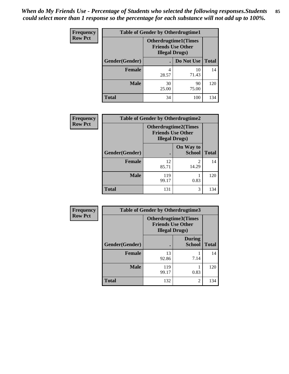| <b>Frequency</b> | <b>Table of Gender by Otherdrugtime1</b> |                                                                                    |             |              |
|------------------|------------------------------------------|------------------------------------------------------------------------------------|-------------|--------------|
| <b>Row Pct</b>   |                                          | <b>Otherdrugtime1</b> (Times<br><b>Friends Use Other</b><br><b>Illegal Drugs</b> ) |             |              |
|                  | Gender(Gender)                           |                                                                                    | Do Not Use  | <b>Total</b> |
|                  | <b>Female</b>                            | 4<br>28.57                                                                         | 10<br>71.43 | 14           |
|                  | <b>Male</b>                              | 30<br>25.00                                                                        | 90<br>75.00 | 120          |
|                  | <b>Total</b>                             | 34                                                                                 | 100         | 134          |

| Frequency      | <b>Table of Gender by Otherdrugtime2</b> |                                                                                   |                            |              |
|----------------|------------------------------------------|-----------------------------------------------------------------------------------|----------------------------|--------------|
| <b>Row Pct</b> |                                          | <b>Otherdrugtime2(Times</b><br><b>Friends Use Other</b><br><b>Illegal Drugs</b> ) |                            |              |
|                | Gender(Gender)                           |                                                                                   | On Way to<br><b>School</b> | <b>Total</b> |
|                | <b>Female</b>                            | 12<br>85.71                                                                       | $\mathfrak{D}$<br>14.29    | 14           |
|                | <b>Male</b>                              | 119<br>99.17                                                                      | 0.83                       | 120          |
|                | <b>Total</b>                             | 131                                                                               | 3                          | 134          |

| <b>Frequency</b> | Table of Gender by Otherdrugtime3 |                                                                            |                                |              |
|------------------|-----------------------------------|----------------------------------------------------------------------------|--------------------------------|--------------|
| <b>Row Pct</b>   |                                   | Otherdrugtime3(Times<br><b>Friends Use Other</b><br><b>Illegal Drugs</b> ) |                                |              |
|                  | Gender(Gender)                    | $\bullet$                                                                  | <b>During</b><br><b>School</b> | <b>Total</b> |
|                  | <b>Female</b>                     | 13<br>92.86                                                                | 7.14                           | 14           |
|                  | <b>Male</b>                       | 119<br>99.17                                                               | 0.83                           | 120          |
|                  | <b>Total</b>                      | 132                                                                        | $\overline{2}$                 | 134          |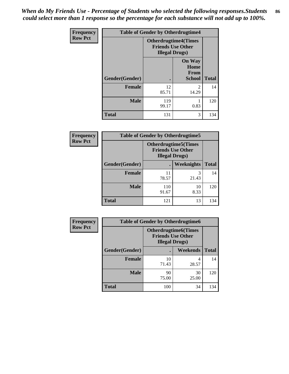*When do My Friends Use - Percentage of Students who selected the following responses.Students could select more than 1 response so the percentage for each substance will not add up to 100%.* **86**

| Frequency      | <b>Table of Gender by Otherdrugtime4</b> |                                                    |                                                       |              |
|----------------|------------------------------------------|----------------------------------------------------|-------------------------------------------------------|--------------|
| <b>Row Pct</b> |                                          | <b>Friends Use Other</b><br><b>Illegal Drugs</b> ) | <b>Otherdrugtime4(Times</b>                           |              |
|                | Gender(Gender)                           |                                                    | <b>On Way</b><br>Home<br><b>From</b><br><b>School</b> | <b>Total</b> |
|                | <b>Female</b>                            | 12<br>85.71                                        | $\mathcal{D}_{\mathcal{L}}$<br>14.29                  | 14           |
|                | <b>Male</b>                              | 119<br>99.17                                       | 0.83                                                  | 120          |
|                | <b>Total</b>                             | 131                                                | 3                                                     | 134          |

| Frequency      | <b>Table of Gender by Otherdrugtime5</b> |                                                                                    |            |              |
|----------------|------------------------------------------|------------------------------------------------------------------------------------|------------|--------------|
| <b>Row Pct</b> |                                          | <b>Otherdrugtime5</b> (Times<br><b>Friends Use Other</b><br><b>Illegal Drugs</b> ) |            |              |
|                | Gender(Gender)                           |                                                                                    | Weeknights | <b>Total</b> |
|                | <b>Female</b>                            | 11<br>78.57                                                                        | 3<br>21.43 | 14           |
|                | <b>Male</b>                              | 110<br>91.67                                                                       | 10<br>8.33 | 120          |
|                | <b>Total</b>                             | 121                                                                                | 13         | 134          |

| <b>Frequency</b> | <b>Table of Gender by Otherdrugtime6</b> |                                                                                   |             |              |
|------------------|------------------------------------------|-----------------------------------------------------------------------------------|-------------|--------------|
| <b>Row Pct</b>   |                                          | <b>Otherdrugtime6(Times</b><br><b>Friends Use Other</b><br><b>Illegal Drugs</b> ) |             |              |
|                  | Gender(Gender)                           |                                                                                   | Weekends    | <b>Total</b> |
|                  | <b>Female</b>                            | 10<br>71.43                                                                       | 4<br>28.57  | 14           |
|                  | <b>Male</b>                              | 90<br>75.00                                                                       | 30<br>25.00 | 120          |
|                  | <b>Total</b>                             | 100                                                                               | 34          | 134          |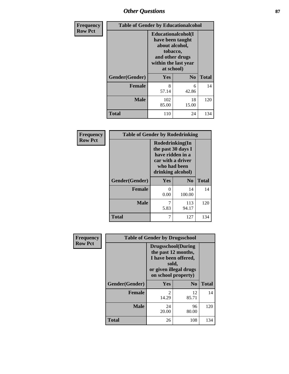## *Other Questions* **87**

| Frequency      | <b>Table of Gender by Educationalcohol</b> |                                                                                                                               |                        |              |
|----------------|--------------------------------------------|-------------------------------------------------------------------------------------------------------------------------------|------------------------|--------------|
| <b>Row Pct</b> |                                            | Educationalcohol(I<br>have been taught<br>about alcohol,<br>tobacco,<br>and other drugs<br>within the last year<br>at school) |                        |              |
|                | Gender(Gender)                             | Yes                                                                                                                           | $\mathbf{N}\mathbf{0}$ | <b>Total</b> |
|                | <b>Female</b>                              | 8<br>57.14                                                                                                                    | 6<br>42.86             | 14           |
|                | <b>Male</b>                                | 102<br>85.00                                                                                                                  | 18<br>15.00            | 120          |
|                | <b>Total</b>                               | 110                                                                                                                           | 24                     | 134          |

| Frequency      | <b>Table of Gender by Rodedrinking</b>                                                                              |                       |              |              |  |
|----------------|---------------------------------------------------------------------------------------------------------------------|-----------------------|--------------|--------------|--|
| <b>Row Pct</b> | Rodedrinking(In<br>the past 30 days I<br>have ridden in a<br>car with a driver<br>who had been<br>drinking alcohol) |                       |              |              |  |
|                | Gender(Gender)                                                                                                      | Yes<br>N <sub>0</sub> |              | <b>Total</b> |  |
|                | <b>Female</b>                                                                                                       | 0.00                  | 14<br>100.00 | 14           |  |
|                | <b>Male</b>                                                                                                         | 5.83                  | 113<br>94.17 | 120          |  |
|                | <b>Total</b>                                                                                                        |                       | 127          | 134          |  |

| Frequency      | <b>Table of Gender by Drugsschool</b> |                                                                                                                                     |                |              |
|----------------|---------------------------------------|-------------------------------------------------------------------------------------------------------------------------------------|----------------|--------------|
| <b>Row Pct</b> |                                       | <b>Drugsschool</b> (During<br>the past 12 months,<br>I have been offered,<br>sold,<br>or given illegal drugs<br>on school property) |                |              |
|                | Gender(Gender)                        | <b>Yes</b>                                                                                                                          | N <sub>0</sub> | <b>Total</b> |
|                | <b>Female</b>                         | $\overline{2}$<br>14.29                                                                                                             | 12<br>85.71    | 14           |
|                | <b>Male</b>                           | 24<br>20.00                                                                                                                         | 96<br>80.00    | 120          |
|                | <b>Total</b>                          | 26                                                                                                                                  | 108            | 134          |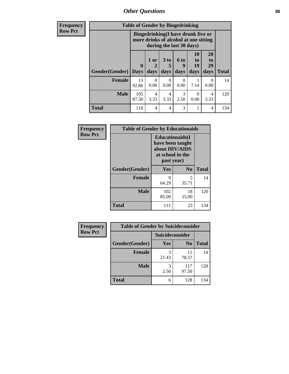*Other Questions* **88**

**Frequency Row Pct**

| <b>Table of Gender by Bingedrinking</b> |                         |                                                                                                         |                   |                          |                               |                        |              |
|-----------------------------------------|-------------------------|---------------------------------------------------------------------------------------------------------|-------------------|--------------------------|-------------------------------|------------------------|--------------|
|                                         |                         | Bingedrinking(I have drunk five or<br>more drinks of alcohol at one sitting<br>during the last 30 days) |                   |                          |                               |                        |              |
| <b>Gender</b> (Gender)                  | $\bf{0}$<br><b>Days</b> | 1 or<br>2<br>days                                                                                       | 3 to<br>5<br>days | <b>6 to</b><br>9<br>days | <b>10</b><br>to<br>19<br>days | 20<br>to<br>29<br>days | <b>Total</b> |
| <b>Female</b>                           | 13<br>92.86             | 0<br>0.00                                                                                               | 0<br>0.00         | 0.00                     | 7.14                          | $\Omega$<br>0.00       | 14           |
|                                         |                         |                                                                                                         |                   |                          |                               |                        |              |
| <b>Male</b>                             | 105<br>87.50            | 4<br>3.33                                                                                               | 4<br>3.33         | 3<br>2.50                | 0.00                          | 4<br>3.33              | 120          |

| Frequency      | <b>Table of Gender by Educationaids</b> |                                                                                                 |                |              |  |
|----------------|-----------------------------------------|-------------------------------------------------------------------------------------------------|----------------|--------------|--|
| <b>Row Pct</b> |                                         | <b>Educationaids</b> (I<br>have been taught<br>about HIV/AIDS<br>at school in the<br>past year) |                |              |  |
|                | Gender(Gender)                          | Yes                                                                                             | N <sub>0</sub> | <b>Total</b> |  |
|                | <b>Female</b>                           | q<br>64.29                                                                                      | 5<br>35.71     | 14           |  |
|                | <b>Male</b>                             | 102<br>85.00                                                                                    | 18<br>15.00    | 120          |  |
|                | <b>Total</b>                            | 111                                                                                             | 23             | 134          |  |

| <b>Frequency</b> | <b>Table of Gender by Suicideconsider</b> |                 |                |              |  |
|------------------|-------------------------------------------|-----------------|----------------|--------------|--|
| <b>Row Pct</b>   |                                           | Suicideconsider |                |              |  |
|                  | Gender(Gender)                            | Yes             | N <sub>0</sub> | <b>Total</b> |  |
|                  | Female                                    | 21.43           | 11<br>78.57    | 14           |  |
|                  | <b>Male</b>                               | 2.50            | 117<br>97.50   | 120          |  |
|                  | <b>Total</b>                              | 6               | 128            | 134          |  |